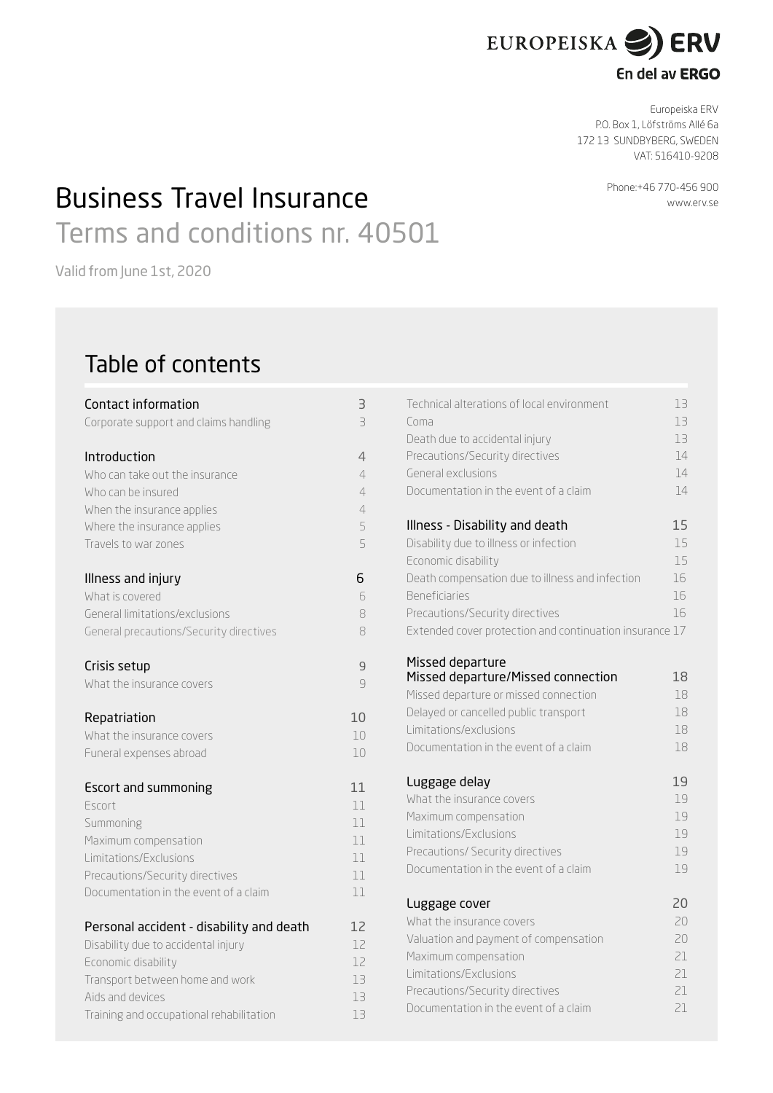

# En del av ERGO

Europeiska ERV P.O. Box 1, Löfströms Allé 6a 172 13 SUNDBYBERG, SWEDEN VAT: 516410-9208

# **Phone:+46 770-456 900** Business Travel Insurance Terms and conditions nr. 40501

Valid from June 1st, 2020

# Table of contents

| Contact information                      | З              |
|------------------------------------------|----------------|
| Corporate support and claims handling    | 3              |
| Introduction                             | 4              |
| Who can take out the insurance           | $\overline{4}$ |
| Who can be insured                       | 4              |
| When the insurance applies               | 4              |
| Where the insurance applies              | 5              |
| Travels to war zones                     | 5              |
| Illness and injury                       | 6              |
| What is covered                          | 6              |
| General limitations/exclusions           | 8              |
| General precautions/Security directives  | 8              |
| Crisis setup                             | 9              |
| What the insurance covers                | 9              |
| Repatriation                             | 10             |
| What the insurance covers                | 10             |
| Funeral expenses abroad                  | 10             |
| <b>Escort and summoning</b>              | 11             |
| Escort                                   | 11             |
| Summoning                                | 11             |
| Maximum compensation                     | 11             |
| Limitations/Exclusions                   | 11             |
| Precautions/Security directives          | 11             |
| Documentation in the event of a claim    | 11             |
| Personal accident - disability and death | 12             |
| Disability due to accidental injury      | 12             |
| Economic disability                      | 12             |
| Transport between home and work          | 13             |
| Aids and devices                         | 13             |
| Training and occupational rehabilitation | 13             |

| Technical alterations of local environment<br>Coma<br>Death due to accidental injury<br>Precautions/Security directives<br>General exclusions<br>Documentation in the event of a claim | 13<br>13<br>13<br>14<br>14<br>14 |
|----------------------------------------------------------------------------------------------------------------------------------------------------------------------------------------|----------------------------------|
| Illness - Disability and death                                                                                                                                                         | 15                               |
| Disability due to illness or infection                                                                                                                                                 | 15                               |
| Economic disability                                                                                                                                                                    | 15                               |
| Death compensation due to illness and infection                                                                                                                                        | 16                               |
| <b>Beneficiaries</b>                                                                                                                                                                   | 16                               |
| Precautions/Security directives                                                                                                                                                        | 16                               |
| Extended cover protection and continuation insurance 17                                                                                                                                |                                  |
|                                                                                                                                                                                        |                                  |
| Missed departure<br>Missed departure/Missed connection                                                                                                                                 | 18                               |
| Missed departure or missed connection                                                                                                                                                  | 18                               |
| Delayed or cancelled public transport                                                                                                                                                  | 18                               |
| Limitations/exclusions                                                                                                                                                                 | 18                               |
| Documentation in the event of a claim                                                                                                                                                  | 18                               |
|                                                                                                                                                                                        |                                  |
| Luggage delay                                                                                                                                                                          | 19                               |
| What the insurance covers                                                                                                                                                              | 19                               |
| Maximum compensation                                                                                                                                                                   | 19                               |
| Limitations/Exclusions                                                                                                                                                                 | 19                               |
| Precautions/ Security directives                                                                                                                                                       | 19                               |
| Documentation in the event of a claim                                                                                                                                                  | 19                               |
| Luggage cover                                                                                                                                                                          | 20                               |
| What the insurance covers                                                                                                                                                              | 20                               |
| Valuation and payment of compensation                                                                                                                                                  | 20                               |
| Maximum compensation                                                                                                                                                                   | 21                               |
| Limitations/Exclusions                                                                                                                                                                 | 21                               |
| Precautions/Security directives                                                                                                                                                        | 21                               |
| Documentation in the event of a claim                                                                                                                                                  | 21                               |
|                                                                                                                                                                                        |                                  |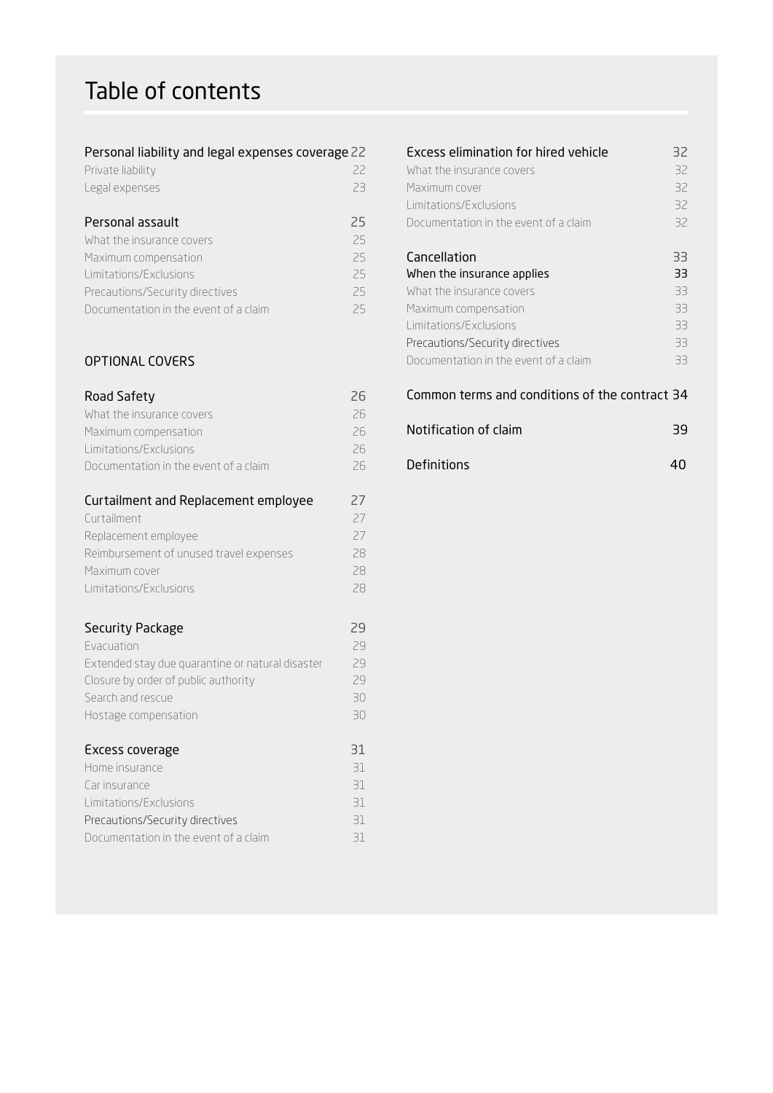# Table of contents

### Personal liability and legal expenses coverage22

| Private liability |  |
|-------------------|--|
| Legal expenses    |  |

# Personal assault 25

| What the insurance covers             | 25 |
|---------------------------------------|----|
| Maximum compensation                  | 25 |
| Limitations/Exclusions                | 25 |
| Precautions/Security directives       | 25 |
| Documentation in the event of a claim | 25 |

# OPTIONAL COVERS

# Road Safety 26

| Curtailment and Replacement employee  | 27 |
|---------------------------------------|----|
| Documentation in the event of a claim | 26 |
| Limitations/Exclusions                | 26 |
| Maximum compensation                  | 26 |
| What the insurance covers             | 26 |

| Curtailment                             |    |
|-----------------------------------------|----|
| Replacement employee                    | 27 |
| Reimbursement of unused travel expenses | 28 |
| Maximum cover                           | 28 |
| Limitations/Exclusions                  | 28 |

# Security Package 29

| <b>Evacuation</b>                                | 29 |
|--------------------------------------------------|----|
| Extended stay due quarantine or natural disaster | 29 |
| Closure by order of public authority             | 29 |
| Search and rescue                                | 30 |
| Hostage compensation                             | 30 |
|                                                  |    |
| Excess coverage                                  | 31 |
| Home insurance                                   | 31 |
| Car insurance                                    | 31 |
| Limitations/Exclusions                           | 31 |
| Precautions/Security directives                  | 31 |
| Documentation in the event of a claim            | 31 |

# Excess elimination for hired vehicle 32 What the insurance covers 32 Maximum cover 32 Limitations/Exclusions 32 Documentation in the event of a claim 32 Cancellation 33 When the insurance applies 33 What the insurance covers 33 Maximum compensation 33 Limitations/Exclusions 33 Precautions/Security directives 33 Documentation in the event of a claim 33 Common terms and conditions of the contract 34

| Notification of claim | 39 |
|-----------------------|----|
| <b>Definitions</b>    | ΔN |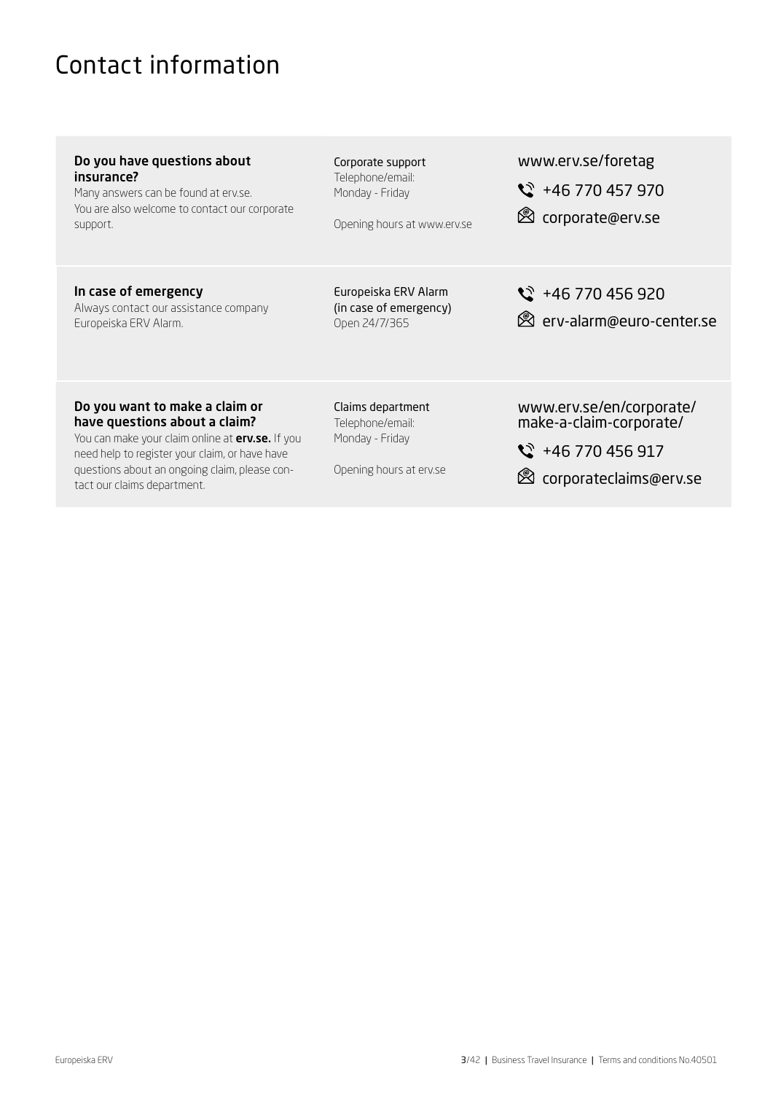# <span id="page-2-0"></span>Contact information

questions about an ongoing claim, please con-

tact our claims department.

| Do you have questions about<br>insurance?<br>Many answers can be found at erv.se.<br>You are also welcome to contact our corporate<br>support.                        | Corporate support<br>Telephone/email:<br>Monday - Friday<br>Opening hours at www.erv.se | www.erv.se/foretag<br>$\frac{1}{2}$ +46 770 457 970<br>torporate@erv.se              |
|-----------------------------------------------------------------------------------------------------------------------------------------------------------------------|-----------------------------------------------------------------------------------------|--------------------------------------------------------------------------------------|
| In case of emergency<br>Always contact our assistance company<br>Europeiska ERV Alarm.                                                                                | Europeiska ERV Alarm<br>(in case of emergency)<br>Open 24/7/365                         | $\frac{1}{2}$ +46 770 456 920<br><b>&amp;</b> erv-alarm@euro-center.se               |
| Do you want to make a claim or<br>have questions about a claim?<br>You can make your claim online at erv.se. If you<br>need help to register your claim, or have have | Claims department<br>Telephone/email:<br>Monday - Friday                                | www.erv.se/en/corporate/<br>make-a-claim-corporate/<br>$\frac{1}{2}$ +46 770 456 917 |

Opening hours at erv.se corporateclaims@erv.se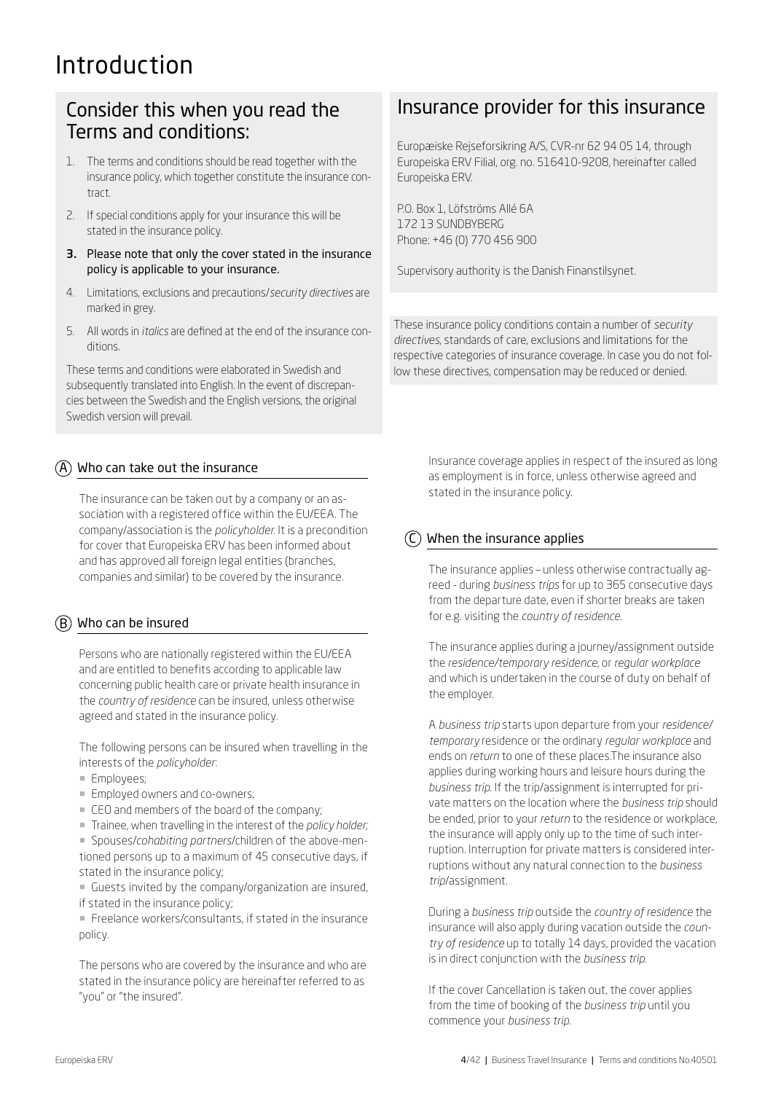# Introduction

# Consider this when you read the Terms and conditions:

- 1. The terms and conditions should be read together with the insurance policy, which together constitute the insurance contract.
- 2. If special conditions apply for your insurance this will be stated in the insurance policy.
- 3. Please note that only the cover stated in the insurance policy is applicable to your insurance.
- 4. Limitations, exclusions and precautions/*security directives* are marked in grey.
- 5. All words in *italics* are defined at the end of the insurance conditions.

These terms and conditions were elaborated in Swedish and subsequently translated into English. In the event of discrepancies between the Swedish and the English versions, the original Swedish version will prevail.

# $(A)$  Who can take out the insurance

The insurance can be taken out by a company or an association with a registered office within the EU/EEA. The company/association is the *policyholder*. It is a precondition for cover that Europeiska ERV has been informed about and has approved all foreign legal entities (branches, companies and similar) to be covered by the insurance.

# $\overline{(B)}$  Who can be insured

Persons who are nationally registered within the EU/EEA and are entitled to benefits according to applicable law concerning public health care or private health insurance in the *country of residence* can be insured, unless otherwise agreed and stated in the insurance policy.

The following persons can be insured when travelling in the interests of the *policyholder*:

- **Employees**;
- Employed owners and co-owners;
- CEO and members of the board of the company;
- ¡ Trainee, when travelling in the interest of the *policy holder;*

¡ Spouses/*cohabiting partners*/children of the above-mentioned persons up to a maximum of 45 consecutive days, if stated in the insurance policy;

**• Guests invited by the company/organization are insured,** if stated in the insurance policy;

**• Freelance workers/consultants, if stated in the insurance** policy.

The persons who are covered by the insurance and who are stated in the insurance policy are hereinafter referred to as "you" or "the insured".

# Insurance provider for this insurance

Europæiske Rejseforsikring A/S, CVR-nr 62 94 05 14, through Europeiska ERV Filial, org. no. 516410-9208, hereinafter called Europeiska ERV.

P.O. Box 1, Löfströms Allé 6A 172 13 SUNDBYBERG Phone: +46 (0) 770 456 900

Supervisory authority is the Danish Finanstilsynet.

These insurance policy conditions contain a number of *security directives*, standards of care, exclusions and limitations for the respective categories of insurance coverage. In case you do not follow these directives, compensation may be reduced or denied.

> Insurance coverage applies in respect of the insured as long as employment is in force, unless otherwise agreed and stated in the insurance policy.

# When the insurance applies

The insurance applies – unless otherwise contractually agreed - during *business trips* for up to 365 consecutive days from the departure date, even if shorter breaks are taken for e.g. visiting the *country of residence*.

The insurance applies during a journey/assignment outside the *residence/temporary residence*, or *regular workplace*  and which is undertaken in the course of duty on behalf of the employer.

A *business trip* starts upon departure from your *residence/ temporary* residence or the ordinary *regular workplace* and ends on *return* to one of these places.The insurance also applies during working hours and leisure hours during the *business trip*. If the trip/assignment is interrupted for private matters on the location where the *business trip* should be ended, prior to your *return* to the residence or workplace, the insurance will apply only up to the time of such interruption. Interruption for private matters is considered interruptions without any natural connection to the *business trip*/assignment.

During a *business trip* outside the *country of residence* the insurance will also apply during vacation outside the *country of residence* up to totally 14 days, provided the vacation is in direct conjunction with the *business trip*.

If the cover Cancellation is taken out, the cover applies from the time of booking of the *business trip* until you commence your *business trip*.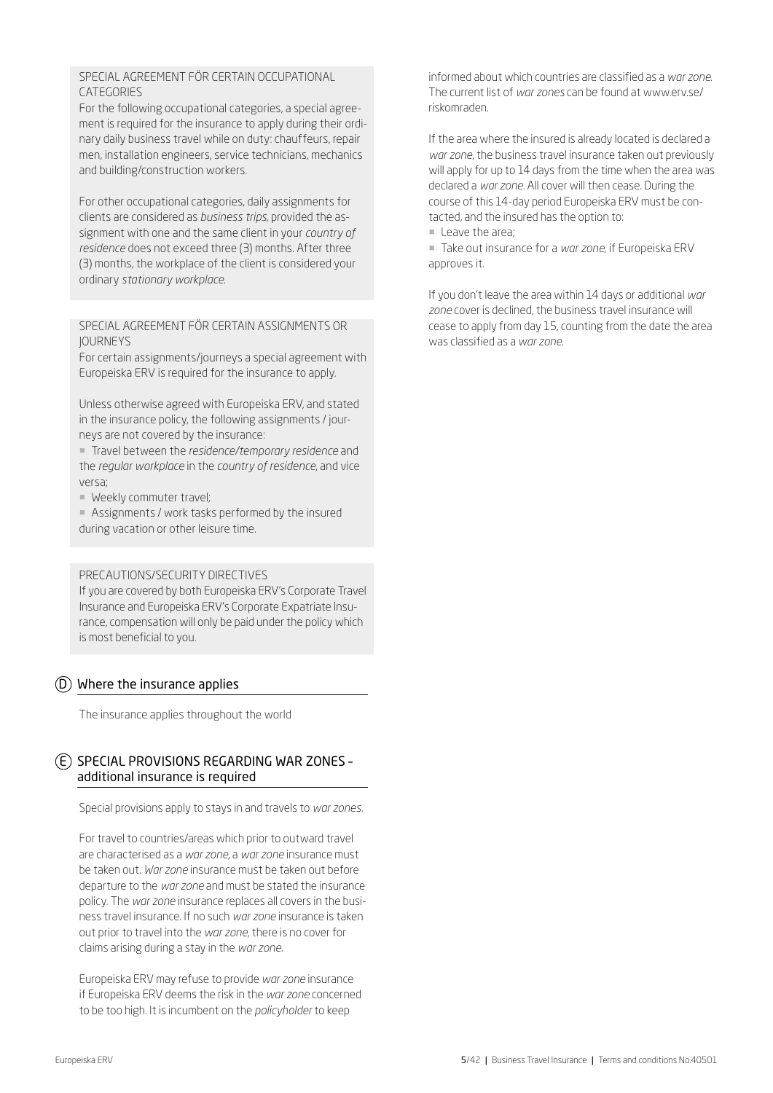# SPECIAL AGREEMENT FÖR CERTAIN OCCUPATIONAL **CATEGORIES**

For the following occupational categories, a special agreement is required for the insurance to apply during their ordinary daily business travel while on duty: chauffeurs, repair men, installation engineers, service technicians, mechanics and building/construction workers.

For other occupational categories, daily assignments for clients are considered as *business trips*, provided the assignment with one and the same client in your *country of residence* does not exceed three (3) months. After three (3) months, the workplace of the client is considered your ordinary *stationary workplace*.

SPECIAL AGREEMENT FÖR CERTAIN ASSIGNMENTS OR JOURNEYS

For certain assignments/journeys a special agreement with Europeiska ERV is required for the insurance to apply.

Unless otherwise agreed with Europeiska ERV, and stated in the insurance policy, the following assignments / journeys are not covered by the insurance:

¡ Travel between the *residence/temporary residence* and the *regular workplace* in the *country of residence*, and vice versa;

**• Weekly commuter travel:** 

¡ Assignments / work tasks performed by the insured during vacation or other leisure time.

# PRECAUTIONS/SECURITY DIRECTIVES

If you are covered by both Europeiska ERV's Corporate Travel Insurance and Europeiska ERV's Corporate Expatriate Insurance, compensation will only be paid under the policy which is most beneficial to you.

# $(D)$  Where the insurance applies

The insurance applies throughout the world

# E SPECIAL PROVISIONS REGARDING WAR ZONES – additional insurance is required

Special provisions apply to stays in and travels to *war zones.*

For travel to countries/areas which prior to outward travel are characterised as a *war zone*, a *war zone* insurance must be taken out. *War zone* insurance must be taken out before departure to the *war zone* and must be stated the insurance policy. The *war zone* insurance replaces all covers in the business travel insurance. If no such *war zone* insurance is taken out prior to travel into the *war zone*, there is no cover for claims arising during a stay in the *war zone.*

Europeiska ERV may refuse to provide *war zone* insurance if Europeiska ERV deems the risk in the *war zone* concerned to be too high. It is incumbent on the *policyholder* to keep

informed about which countries are classified as a *war zone.* The current list of *war zones* can be found at www.erv.se/ riskomraden.

If the area where the insured is already located is declared a *war zone*, the business travel insurance taken out previously will apply for up to 14 days from the time when the area was declared a *war zone.* All cover will then cease. During the course of this 14-day period Europeiska ERV must be contacted, and the insured has the option to:

**E** Leave the area;

¡ Take out insurance for a *war zone*, if Europeiska ERV approves it.

If you don't leave the area within 14 days or additional *war zone* cover is declined, the business travel insurance will cease to apply from day 15, counting from the date the area was classified as a *war zone*.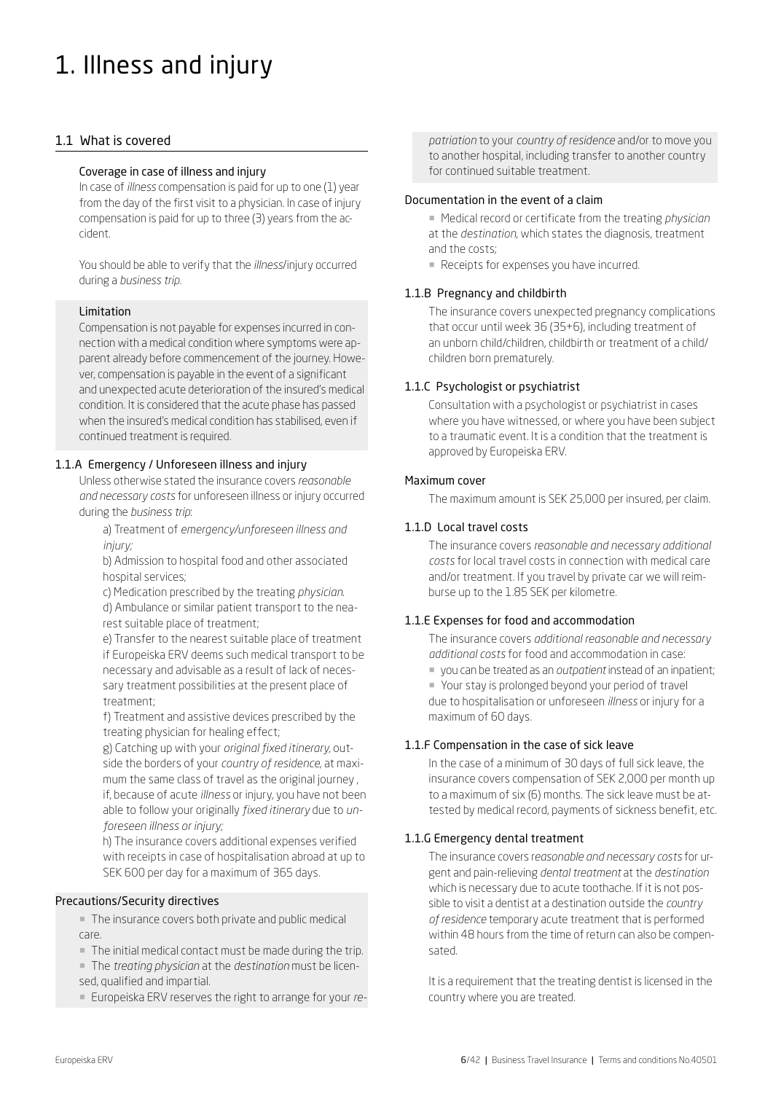# 1. Illness and injury

# 1.1 What is covered

# Coverage in case of illness and injury

In case of *illness* compensation is paid for up to one (1) year from the day of the first visit to a physician. In case of injury compensation is paid for up to three (3) years from the accident.

You should be able to verify that the *illness*/injury occurred during a *business trip.*

#### Limitation

Compensation is not payable for expenses incurred in connection with a medical condition where symptoms were apparent already before commencement of the journey. However, compensation is payable in the event of a significant and unexpected acute deterioration of the insured's medical condition. It is considered that the acute phase has passed when the insured's medical condition has stabilised, even if continued treatment is required.

# 1.1.A Emergency / Unforeseen illness and injury

Unless otherwise stated the insurance covers *reasonable and necessary costs* for unforeseen illness or injury occurred during the *business trip*:

a) Treatment of *emergency/unforeseen illness and injury;*

b) Admission to hospital food and other associated hospital services;

c) Medication prescribed by the treating *physician*. d) Ambulance or similar patient transport to the nearest suitable place of treatment;

e) Transfer to the nearest suitable place of treatment if Europeiska ERV deems such medical transport to be necessary and advisable as a result of lack of necessary treatment possibilities at the present place of treatment;

f) Treatment and assistive devices prescribed by the treating physician for healing effect;

g) Catching up with your *original fixed itinerary,* outside the borders of your *country of residence*, at maximum the same class of travel as the original journey , if, because of acute *illness* or injury, you have not been able to follow your originally *fixed itinerary* due to *unforeseen illness or injury;*

h) The insurance covers additional expenses verified with receipts in case of hospitalisation abroad at up to SEK 600 per day for a maximum of 365 days.

#### Precautions/Security directives

■ The insurance covers both private and public medical care.

■ The initial medical contact must be made during the trip.

¡ The *treating physician* at the *destination* must be licensed, qualified and impartial.

¡ Europeiska ERV reserves the right to arrange for your *re-*

*patriation* to your *country of residence* and/or to move you to another hospital, including transfer to another country for continued suitable treatment.

#### Documentation in the event of a claim

¡ Medical record or certificate from the treating *physician* at the *destination*, which states the diagnosis, treatment and the costs;

■ Receipts for expenses you have incurred.

# 1.1.B Pregnancy and childbirth

The insurance covers unexpected pregnancy complications that occur until week 36 (35+6), including treatment of an unborn child/children, childbirth or treatment of a child/ children born prematurely.

#### 1.1.C Psychologist or psychiatrist

Consultation with a psychologist or psychiatrist in cases where you have witnessed, or where you have been subject to a traumatic event. It is a condition that the treatment is approved by Europeiska ERV.

#### Maximum cover

The maximum amount is SEK 25,000 per insured, per claim.

#### 1.1.D Local travel costs

The insurance covers *reasonable and necessary additional costs* for local travel costs in connection with medical care and/or treatment. If you travel by private car we will reimburse up to the 1.85 SEK per kilometre.

#### 1.1.E Expenses for food and accommodation

The insurance covers *additional reasonable and necessary additional costs* for food and accommodation in case: ¡ you can be treated as an *outpatient* instead of an inpatient; ¡ Your stay is prolonged beyond your period of travel due to hospitalisation or unforeseen *illness* or injury for a maximum of 60 days.

# 1.1.F Compensation in the case of sick leave

In the case of a minimum of 30 days of full sick leave, the insurance covers compensation of SEK 2,000 per month up to a maximum of six (6) months. The sick leave must be attested by medical record, payments of sickness benefit, etc.

#### 1.1.G Emergency dental treatment

The insurance covers r*easonable and necessary costs* for urgent and pain-relieving *dental treatment* at the *destination* which is necessary due to acute toothache. If it is not possible to visit a dentist at a destination outside the *country of residence* temporary acute treatment that is performed within 48 hours from the time of return can also be compensated.

It is a requirement that the treating dentist is licensed in the country where you are treated.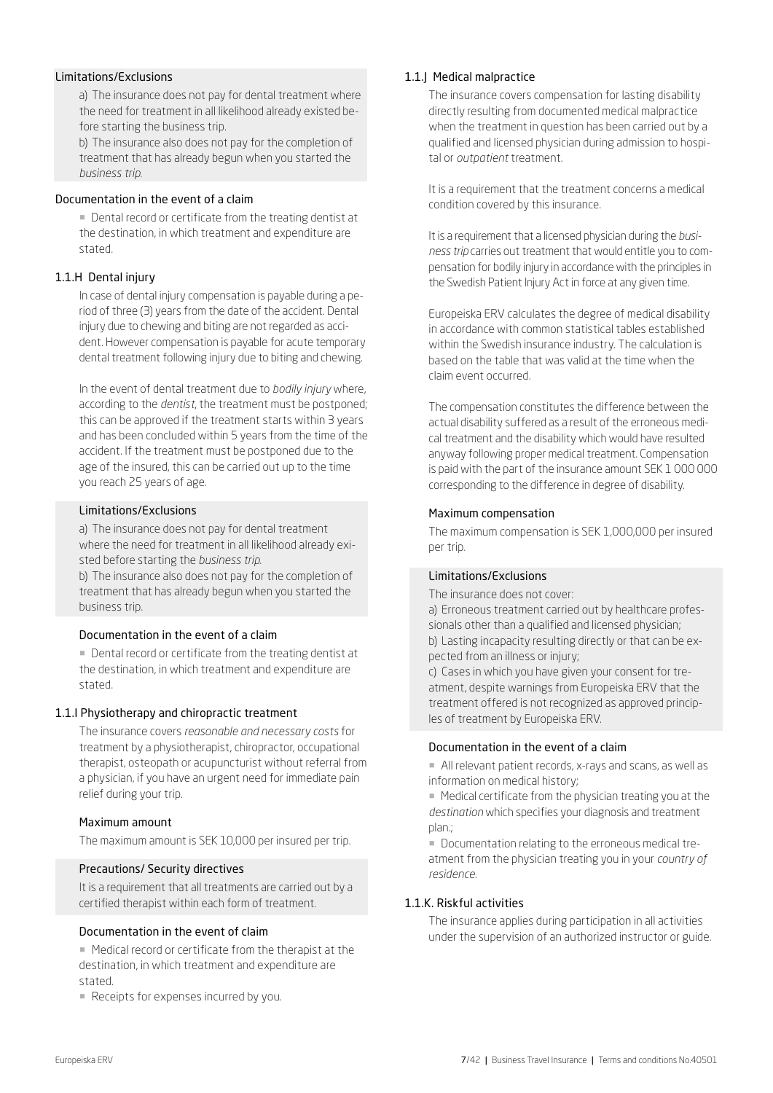# Limitations/Exclusions

a) The insurance does not pay for dental treatment where the need for treatment in all likelihood already existed before starting the business trip.

b) The insurance also does not pay for the completion of treatment that has already begun when you started the *business trip*.

#### Documentation in the event of a claim

■ Dental record or certificate from the treating dentist at the destination, in which treatment and expenditure are stated.

# 1.1.H Dental injury

In case of dental injury compensation is payable during a period of three (3) years from the date of the accident. Dental injury due to chewing and biting are not regarded as accident. However compensation is payable for acute temporary dental treatment following injury due to biting and chewing.

In the event of dental treatment due to *bodily injury* where, according to the *dentist*, the treatment must be postponed; this can be approved if the treatment starts within 3 years and has been concluded within 5 years from the time of the accident. If the treatment must be postponed due to the age of the insured, this can be carried out up to the time you reach 25 years of age.

#### Limitations/Exclusions

a) The insurance does not pay for dental treatment where the need for treatment in all likelihood already existed before starting the *business trip*.

b) The insurance also does not pay for the completion of treatment that has already begun when you started the business trip.

#### Documentation in the event of a claim

¡ Dental record or certificate from the treating dentist at the destination, in which treatment and expenditure are stated.

#### 1.1.I Physiotherapy and chiropractic treatment

The insurance covers *reasonable and necessary costs* for treatment by a physiotherapist, chiropractor, occupational therapist, osteopath or acupuncturist without referral from a physician, if you have an urgent need for immediate pain relief during your trip.

#### Maximum amount

The maximum amount is SEK 10,000 per insured per trip.

#### Precautions/ Security directives

It is a requirement that all treatments are carried out by a certified therapist within each form of treatment.

#### Documentation in the event of claim

¡ Medical record or certificate from the therapist at the destination, in which treatment and expenditure are stated.

Receipts for expenses incurred by you.

#### 1.1.J Medical malpractice

The insurance covers compensation for lasting disability directly resulting from documented medical malpractice when the treatment in question has been carried out by a qualified and licensed physician during admission to hospital or *outpatient* treatment.

It is a requirement that the treatment concerns a medical condition covered by this insurance.

It is a requirement that a licensed physician during the *business trip* carries out treatment that would entitle you to compensation for bodily injury in accordance with the principles in the Swedish Patient Injury Act in force at any given time.

Europeiska ERV calculates the degree of medical disability in accordance with common statistical tables established within the Swedish insurance industry. The calculation is based on the table that was valid at the time when the claim event occurred.

The compensation constitutes the difference between the actual disability suffered as a result of the erroneous medical treatment and the disability which would have resulted anyway following proper medical treatment. Compensation is paid with the part of the insurance amount SEK 1 000 000 corresponding to the difference in degree of disability.

#### Maximum compensation

The maximum compensation is SEK 1,000,000 per insured per trip.

#### Limitations/Exclusions

The insurance does not cover:

a) Erroneous treatment carried out by healthcare professionals other than a qualified and licensed physician; b) Lasting incapacity resulting directly or that can be expected from an illness or injury;

c) Cases in which you have given your consent for treatment, despite warnings from Europeiska ERV that the treatment offered is not recognized as approved principles of treatment by Europeiska ERV.

#### Documentation in the event of a claim

¡ All relevant patient records, x-rays and scans, as well as information on medical history;

■ Medical certificate from the physician treating you at the *destination* which specifies your diagnosis and treatment plan.;

¡ Documentation relating to the erroneous medical treatment from the physician treating you in your *country of residence.*

#### 1.1.K. Riskful activities

The insurance applies during participation in all activities under the supervision of an authorized instructor or guide.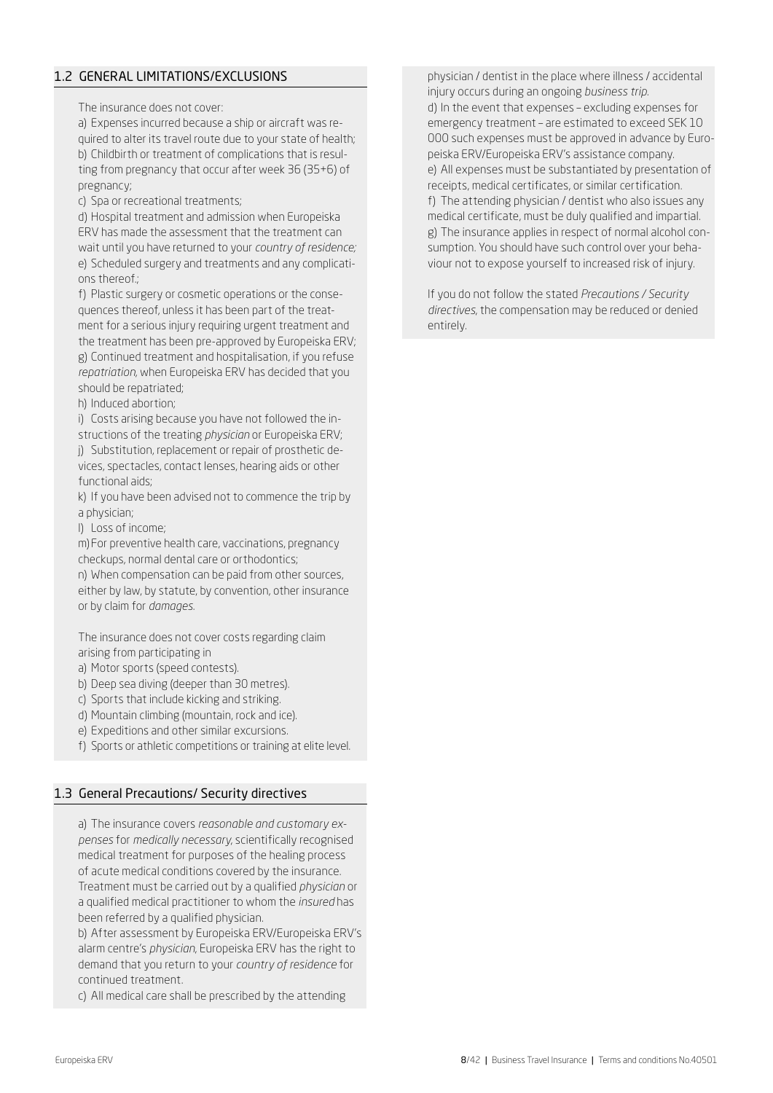# 1.2 GENERAL LIMITATIONS/EXCLUSIONS

The insurance does not cover:

a) Expenses incurred because a ship or aircraft was required to alter its travel route due to your state of health; b) Childbirth or treatment of complications that is resulting from pregnancy that occur after week 36 (35+6) of pregnancy;

c) Spa or recreational treatments;

d) Hospital treatment and admission when Europeiska ERV has made the assessment that the treatment can wait until you have returned to your *country of residence;* e) Scheduled surgery and treatments and any complications thereof.;

f) Plastic surgery or cosmetic operations or the consequences thereof, unless it has been part of the treatment for a serious injury requiring urgent treatment and the treatment has been pre-approved by Europeiska ERV; g) Continued treatment and hospitalisation, if you refuse *repatriation*, when Europeiska ERV has decided that you should be repatriated;

h) Induced abortion;

i) Costs arising because you have not followed the in-

structions of the treating *physician* or Europeiska ERV; j) Substitution, replacement or repair of prosthetic devices, spectacles, contact lenses, hearing aids or other functional aids;

k) If you have been advised not to commence the trip by a physician;

l) Loss of income;

m)For preventive health care, vaccinations, pregnancy checkups, normal dental care or orthodontics;

n) When compensation can be paid from other sources, either by law, by statute, by convention, other insurance or by claim for *damages*.

The insurance does not cover costs regarding claim arising from participating in

- a) Motor sports (speed contests).
- b) Deep sea diving (deeper than 30 metres).
- c) Sports that include kicking and striking.
- d) Mountain climbing (mountain, rock and ice).
- e) Expeditions and other similar excursions.
- f) Sports or athletic competitions or training at elite level.

# 1.3 General Precautions/ Security directives

a) The insurance covers *reasonable and customary expenses* for *medically necessary*, scientifically recognised medical treatment for purposes of the healing process of acute medical conditions covered by the insurance. Treatment must be carried out by a qualified *physician* or a qualified medical practitioner to whom the *insured* has been referred by a qualified physician.

b) After assessment by Europeiska ERV/Europeiska ERV's alarm centre's *physician*, Europeiska ERV has the right to demand that you return to your *country of residence* for continued treatment.

c) All medical care shall be prescribed by the attending

physician / dentist in the place where illness / accidental injury occurs during an ongoing *business trip.* d) In the event that expenses – excluding expenses for emergency treatment – are estimated to exceed SEK 10 000 such expenses must be approved in advance by Europeiska ERV/Europeiska ERV's assistance company. e) All expenses must be substantiated by presentation of receipts, medical certificates, or similar certification. f) The attending physician / dentist who also issues any medical certificate, must be duly qualified and impartial. g) The insurance applies in respect of normal alcohol consumption. You should have such control over your behaviour not to expose yourself to increased risk of injury.

If you do not follow the stated *Precautions / Security directives*, the compensation may be reduced or denied entirely.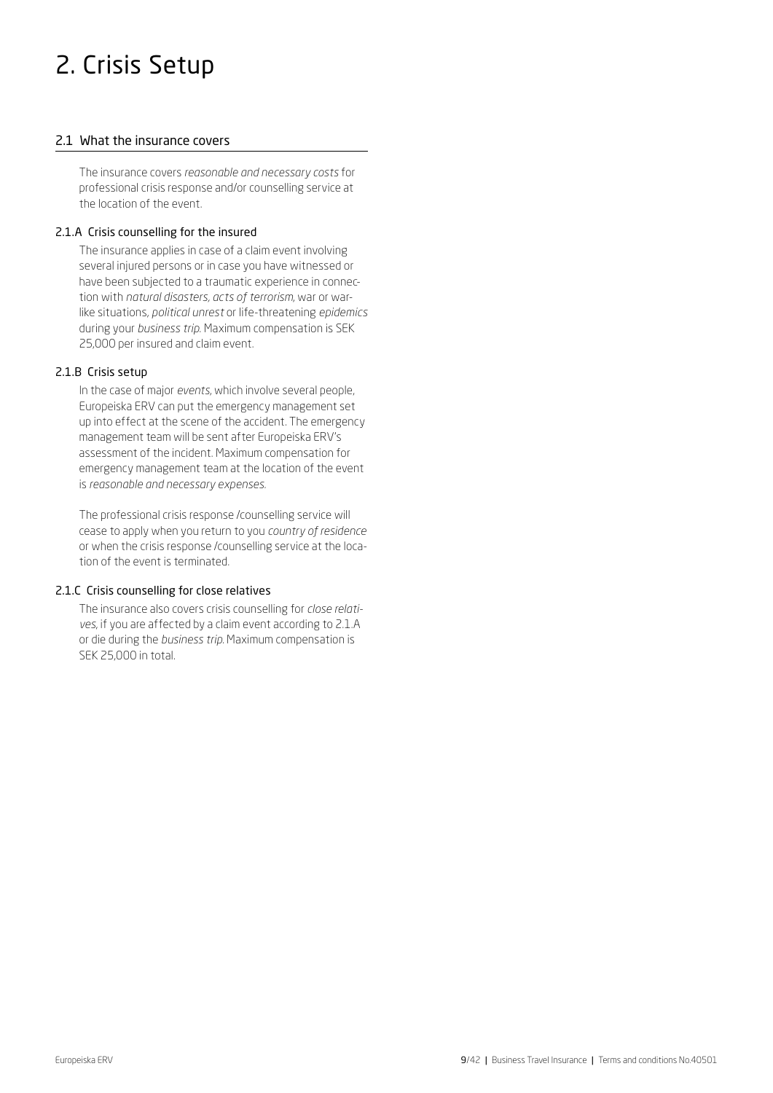# 2. Crisis Setup

# 2.1 What the insurance covers

The insurance covers *reasonable and necessary costs* for professional crisis response and/or counselling service at the location of the event.

### 2.1.A Crisis counselling for the insured

The insurance applies in case of a claim event involving several injured persons or in case you have witnessed or have been subjected to a traumatic experience in connection with *natural disasters, acts of terrorism*, war or warlike situations, *political unrest* or life-threatening *epidemics* during your *business trip*. Maximum compensation is SEK 25,000 per insured and claim event.

# 2.1.B Crisis setup

In the case of major *events*, which involve several people, Europeiska ERV can put the emergency management set up into effect at the scene of the accident. The emergency management team will be sent after Europeiska ERV's assessment of the incident. Maximum compensation for emergency management team at the location of the event is *reasonable and necessary expenses.*

The professional crisis response /counselling service will cease to apply when you return to you *country of residence*  or when the crisis response /counselling service at the location of the event is terminated.

#### 2.1.C Crisis counselling for close relatives

The insurance also covers crisis counselling for *close relatives*, if you are affected by a claim event according to 2.1.A or die during the *business trip*. Maximum compensation is SEK 25,000 in total.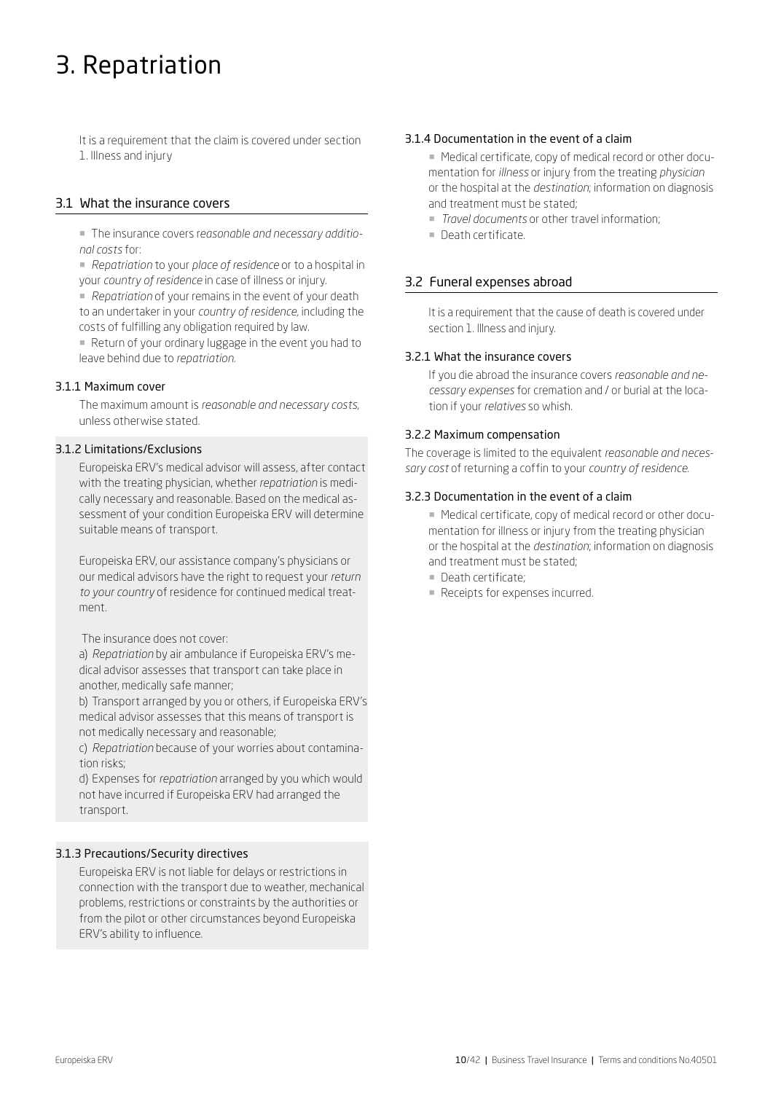# 3. Repatriation

It is a requirement that the claim is covered under section 1. Illness and injury

# 3.1 What the insurance covers

¡ The insurance covers r*easonable and necessary additional costs* for:

¡ *Repatriation* to your *place of residence* or to a hospital in your *country of residence* in case of illness or injury.

■ *Repatriation* of your remains in the event of your death to an undertaker in your *country of residence,* including the costs of fulfilling any obligation required by law.

¡ Return of your ordinary luggage in the event you had to leave behind due to *repatriation*.

#### 3.1.1 Maximum cover

The maximum amount is *reasonable and necessary costs*, unless otherwise stated.

# 3.1.2 Limitations/Exclusions

Europeiska ERV's medical advisor will assess, after contact with the treating physician, whether *repatriation* is medically necessary and reasonable. Based on the medical assessment of your condition Europeiska ERV will determine suitable means of transport.

Europeiska ERV, our assistance company's physicians or our medical advisors have the right to request your *return to your country* of residence for continued medical treatment.

The insurance does not cover:

a) *Repatriation* by air ambulance if Europeiska ERV's medical advisor assesses that transport can take place in another, medically safe manner;

b) Transport arranged by you or others, if Europeiska ERV's medical advisor assesses that this means of transport is not medically necessary and reasonable;

c) *Repatriation* because of your worries about contamination risks;

d) Expenses for *repatriation* arranged by you which would not have incurred if Europeiska ERV had arranged the transport.

# 3.1.3 Precautions/Security directives

Europeiska ERV is not liable for delays or restrictions in connection with the transport due to weather, mechanical problems, restrictions or constraints by the authorities or from the pilot or other circumstances beyond Europeiska ERV's ability to influence.

#### 3.1.4 Documentation in the event of a claim

■ Medical certificate, copy of medical record or other documentation for *illness* or injury from the treating *physician* or the hospital at the *destination*; information on diagnosis and treatment must be stated;

- ¡ *Travel documents* or other travel information;
- ¡ Death certificate.

# 3.2 Funeral expenses abroad

It is a requirement that the cause of death is covered under section 1. Illness and injury.

#### 3.2.1 What the insurance covers

If you die abroad the insurance covers *reasonable and necessary expenses* for cremation and / or burial at the location if your *relatives* so whish.

#### 3.2.2 Maximum compensation

The coverage is limited to the equivalent *reasonable and necessary cost* of returning a coffin to your *country of residence.*

#### 3.2.3 Documentation in the event of a claim

■ Medical certificate, copy of medical record or other documentation for illness or injury from the treating physician or the hospital at the *destination*; information on diagnosis and treatment must be stated;

- **Death certificate:**
- Receipts for expenses incurred.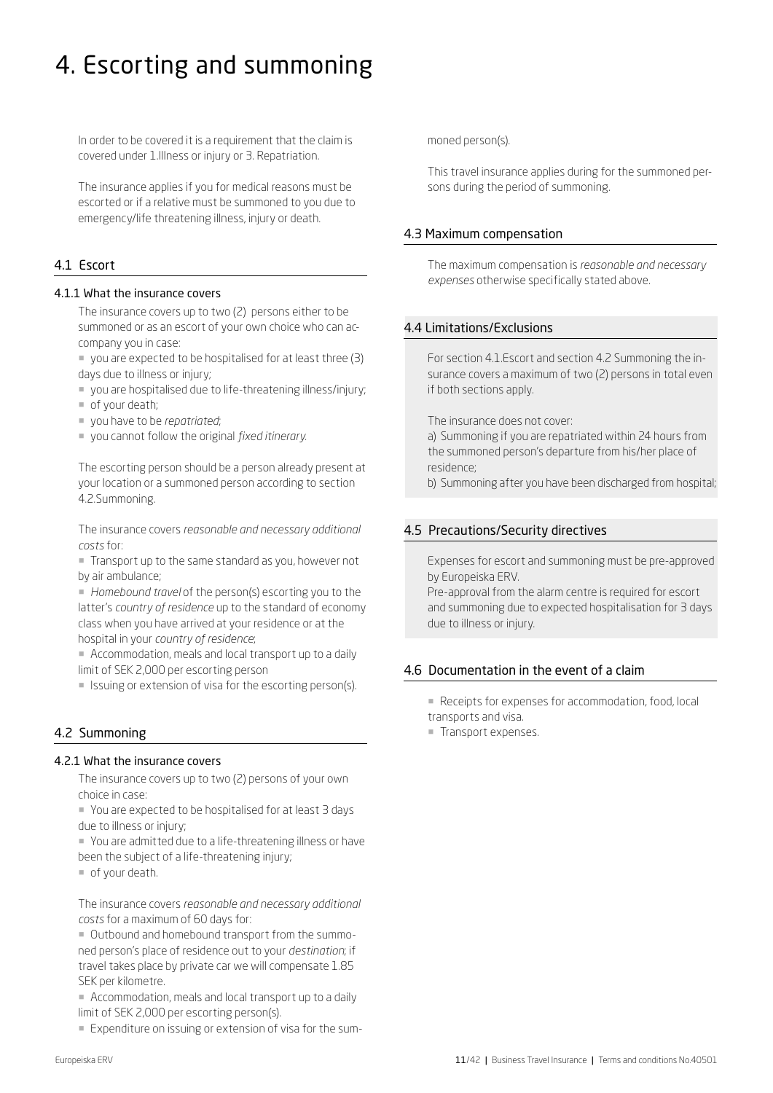# 4. Escorting and summoning

In order to be covered it is a requirement that the claim is covered under 1.Illness or injury or 3. Repatriation.

The insurance applies if you for medical reasons must be escorted or if a relative must be summoned to you due to emergency/life threatening illness, injury or death.

# 4.1 Escort

#### 4.1.1 What the insurance covers

The insurance covers up to two (2) persons either to be summoned or as an escort of your own choice who can accompany you in case:

- ¡ you are expected to be hospitalised for at least three (3) days due to illness or injury;
- ¡ you are hospitalised due to life-threatening illness/injury;
- of your death;
- ¡ you have to be *repatriated*;
- ¡ you cannot follow the original *fixed itinerary.*

The escorting person should be a person already present at your location or a summoned person according to section 4.2.Summoning.

The insurance covers *reasonable and necessary additional costs* for:

¡ Transport up to the same standard as you, however not by air ambulance;

¡ *Homebound travel* of the person(s) escorting you to the latter's *country of residence* up to the standard of economy class when you have arrived at your residence or at the hospital in your *country of residence*;

¡ Accommodation, meals and local transport up to a daily limit of SEK 2,000 per escorting person

¡ Issuing or extension of visa for the escorting person(s).

# 4.2 Summoning

# 4.2.1 What the insurance covers

The insurance covers up to two (2) persons of your own choice in case:

¡ You are expected to be hospitalised for at least 3 days due to illness or injury;

¡ You are admitted due to a life-threatening illness or have been the subject of a life-threatening injury;

¡ of your death.

The insurance covers *reasonable and necessary additional costs* for a maximum of 60 days for:

¡ Outbound and homebound transport from the summoned person's place of residence out to your *destination*; if travel takes place by private car we will compensate 1.85 SEK per kilometre.

¡ Accommodation, meals and local transport up to a daily limit of SEK 2,000 per escorting person(s).

¡ Expenditure on issuing or extension of visa for the sum-

moned person(s).

This travel insurance applies during for the summoned persons during the period of summoning.

# 4.3 Maximum compensation

The maximum compensation is *reasonable and necessary expenses* otherwise specifically stated above.

# 4.4 Limitations/Exclusions

For section 4.1.Escort and section 4.2 Summoning the insurance covers a maximum of two (2) persons in total even if both sections apply.

The insurance does not cover:

a) Summoning if you are repatriated within 24 hours from the summoned person's departure from his/her place of residence;

b) Summoning after you have been discharged from hospital;

# 4.5 Precautions/Security directives

Expenses for escort and summoning must be pre-approved by Europeiska ERV.

Pre-approval from the alarm centre is required for escort and summoning due to expected hospitalisation for 3 days due to illness or injury.

# 4.6 Documentation in the event of a claim

■ Receipts for expenses for accommodation, food, local transports and visa.

¡ Transport expenses.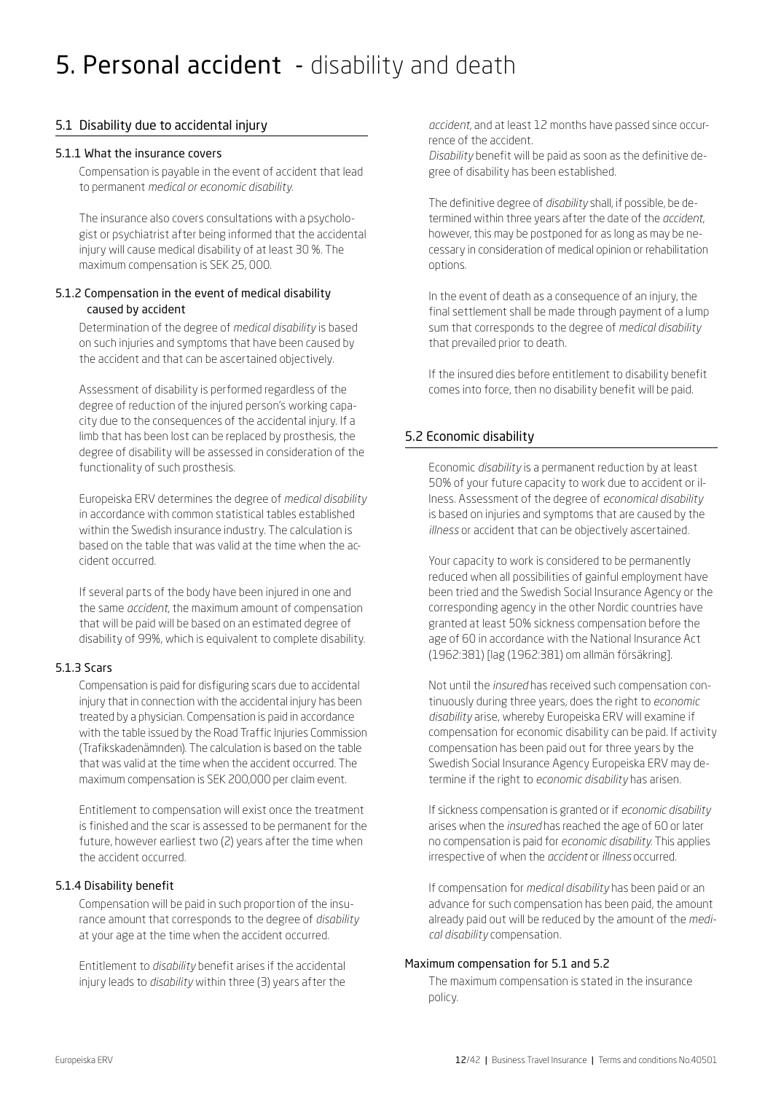# 5. Personal accident - disability and death

# 5.1 Disability due to accidental injury

#### 5.1.1 What the insurance covers

Compensation is payable in the event of accident that lead to permanent *medical or economic disability.*

The insurance also covers consultations with a psychologist or psychiatrist after being informed that the accidental injury will cause medical disability of at least 30 %. The maximum compensation is SEK 25, 000.

#### 5.1.2 Compensation in the event of medical disability caused by accident

Determination of the degree of *medical disability* is based on such injuries and symptoms that have been caused by the accident and that can be ascertained objectively.

Assessment of disability is performed regardless of the degree of reduction of the injured person's working capacity due to the consequences of the accidental injury. If a limb that has been lost can be replaced by prosthesis, the degree of disability will be assessed in consideration of the functionality of such prosthesis.

Europeiska ERV determines the degree of *medical disability*  in accordance with common statistical tables established within the Swedish insurance industry. The calculation is based on the table that was valid at the time when the accident occurred.

If several parts of the body have been injured in one and the same *accident*, the maximum amount of compensation that will be paid will be based on an estimated degree of disability of 99%, which is equivalent to complete disability.

# 5.1.3 Scars

Compensation is paid for disfiguring scars due to accidental injury that in connection with the accidental injury has been treated by a physician. Compensation is paid in accordance with the table issued by the Road Traffic Injuries Commission (Trafikskadenämnden). The calculation is based on the table that was valid at the time when the accident occurred. The maximum compensation is SEK 200,000 per claim event.

Entitlement to compensation will exist once the treatment is finished and the scar is assessed to be permanent for the future, however earliest two (2) years after the time when the accident occurred.

# 5.1.4 Disability benefit

Compensation will be paid in such proportion of the insurance amount that corresponds to the degree of *disability* at your age at the time when the accident occurred.

Entitlement to *disability* benefit arises if the accidental injury leads to *disability* within three (3) years after the

*accident*, and at least 12 months have passed since occurrence of the accident.

*Disability* benefit will be paid as soon as the definitive degree of disability has been established.

The definitive degree of *disability* shall, if possible, be determined within three years after the date of the *accident*, however, this may be postponed for as long as may be necessary in consideration of medical opinion or rehabilitation options.

In the event of death as a consequence of an injury, the final settlement shall be made through payment of a lump sum that corresponds to the degree of *medical disability* that prevailed prior to death.

If the insured dies before entitlement to disability benefit comes into force, then no disability benefit will be paid.

# 5.2 Economic disability

Economic *disability* is a permanent reduction by at least 50% of your future capacity to work due to accident or illness. Assessment of the degree of *economical disability* is based on injuries and symptoms that are caused by the *illness* or accident that can be objectively ascertained.

Your capacity to work is considered to be permanently reduced when all possibilities of gainful employment have been tried and the Swedish Social Insurance Agency or the corresponding agency in the other Nordic countries have granted at least 50% sickness compensation before the age of 60 in accordance with the National Insurance Act (1962:381) [lag (1962:381) om allmän försäkring].

Not until the *insured* has received such compensation continuously during three years, does the right to *economic disability* arise, whereby Europeiska ERV will examine if compensation for economic disability can be paid. If activity compensation has been paid out for three years by the Swedish Social Insurance Agency Europeiska ERV may determine if the right to *economic disability* has arisen.

If sickness compensation is granted or if *economic disability* arises when the *insured* has reached the age of 60 or later no compensation is paid for *economic disability*. This applies irrespective of when the *accident* or *illness* occurred.

If compensation for *medical disability* has been paid or an advance for such compensation has been paid, the amount already paid out will be reduced by the amount of the *medical disability* compensation.

# Maximum compensation for 5.1 and 5.2

The maximum compensation is stated in the insurance policy.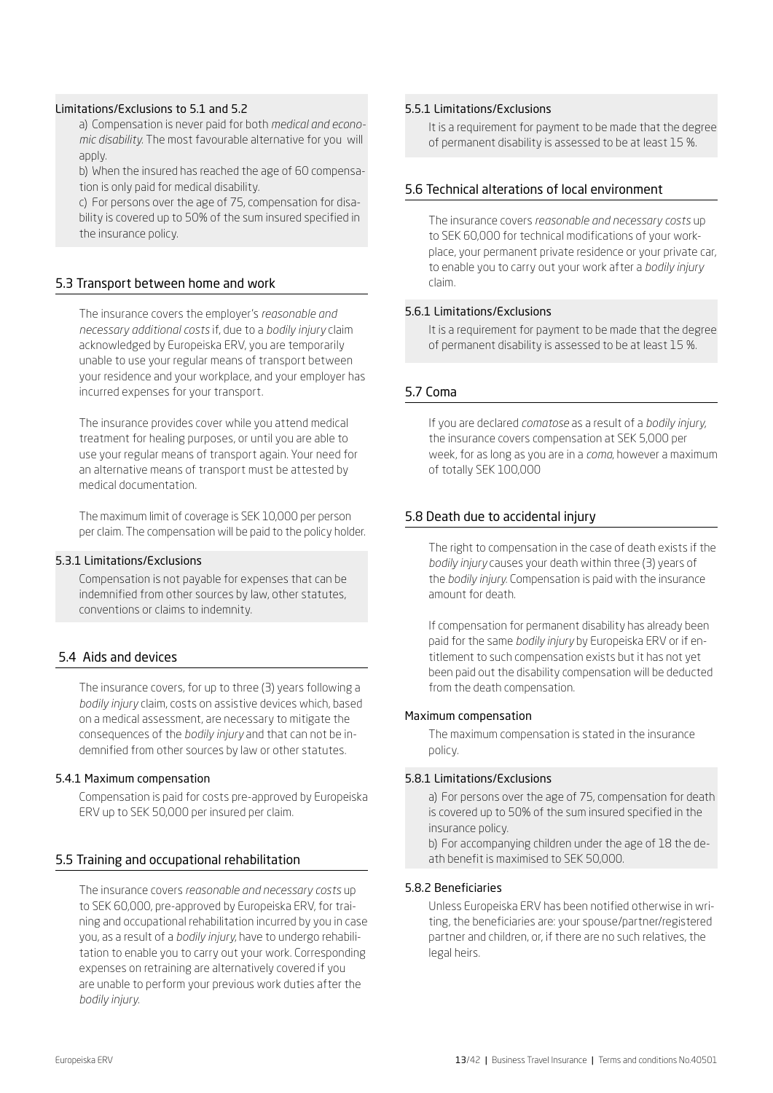#### Limitations/Exclusions to 5.1 and 5.2

a) Compensation is never paid for both *medical and economic disability*. The most favourable alternative for you will apply.

b) When the insured has reached the age of 60 compensation is only paid for medical disability.

c) For persons over the age of 75, compensation for disability is covered up to 50% of the sum insured specified in the insurance policy.

# 5.3 Transport between home and work

The insurance covers the employer's *reasonable and necessary additional costs* if, due to a *bodily injury* claim acknowledged by Europeiska ERV, you are temporarily unable to use your regular means of transport between your residence and your workplace, and your employer has incurred expenses for your transport.

The insurance provides cover while you attend medical treatment for healing purposes, or until you are able to use your regular means of transport again. Your need for an alternative means of transport must be attested by medical documentation.

The maximum limit of coverage is SEK 10,000 per person per claim. The compensation will be paid to the policy holder.

#### 5.3.1 Limitations/Exclusions

Compensation is not payable for expenses that can be indemnified from other sources by law, other statutes, conventions or claims to indemnity.

# 5.4 Aids and devices

The insurance covers, for up to three (3) years following a *bodily injury* claim, costs on assistive devices which, based on a medical assessment, are necessary to mitigate the consequences of the *bodily injury* and that can not be indemnified from other sources by law or other statutes.

#### 5.4.1 Maximum compensation

Compensation is paid for costs pre-approved by Europeiska ERV up to SEK 50,000 per insured per claim.

# 5.5 Training and occupational rehabilitation

The insurance covers *reasonable and necessary costs* up to SEK 60,000, pre-approved by Europeiska ERV, for training and occupational rehabilitation incurred by you in case you, as a result of a *bodily injury*, have to undergo rehabilitation to enable you to carry out your work. Corresponding expenses on retraining are alternatively covered if you are unable to perform your previous work duties after the *bodily injury.* 

#### 5.5.1 Limitations/Exclusions

It is a requirement for payment to be made that the degree of permanent disability is assessed to be at least 15 %.

#### 5.6 Technical alterations of local environment

The insurance covers *reasonable and necessary costs* up to SEK 60,000 for technical modifications of your workplace, your permanent private residence or your private car, to enable you to carry out your work after a *bodily injury*  claim.

#### 5.6.1 Limitations/Exclusions

It is a requirement for payment to be made that the degree of permanent disability is assessed to be at least 15 %.

#### 5.7 Coma

If you are declared *comatose* as a result of a *bodily injury*, the insurance covers compensation at SEK 5,000 per week, for as long as you are in a *coma*, however a maximum of totally SEK 100,000

# 5.8 Death due to accidental injury

The right to compensation in the case of death exists if the *bodily injury* causes your death within three (3) years of the *bodily injury*. Compensation is paid with the insurance amount for death.

If compensation for permanent disability has already been paid for the same *bodily injury* by Europeiska ERV or if entitlement to such compensation exists but it has not yet been paid out the disability compensation will be deducted from the death compensation.

#### Maximum compensation

The maximum compensation is stated in the insurance policy.

#### 5.8.1 Limitations/Exclusions

a) For persons over the age of 75, compensation for death is covered up to 50% of the sum insured specified in the insurance policy.

b) For accompanying children under the age of 18 the death benefit is maximised to SEK 50,000.

#### 5.8.2 Beneficiaries

Unless Europeiska ERV has been notified otherwise in writing, the beneficiaries are: your spouse/partner/registered partner and children, or, if there are no such relatives, the legal heirs.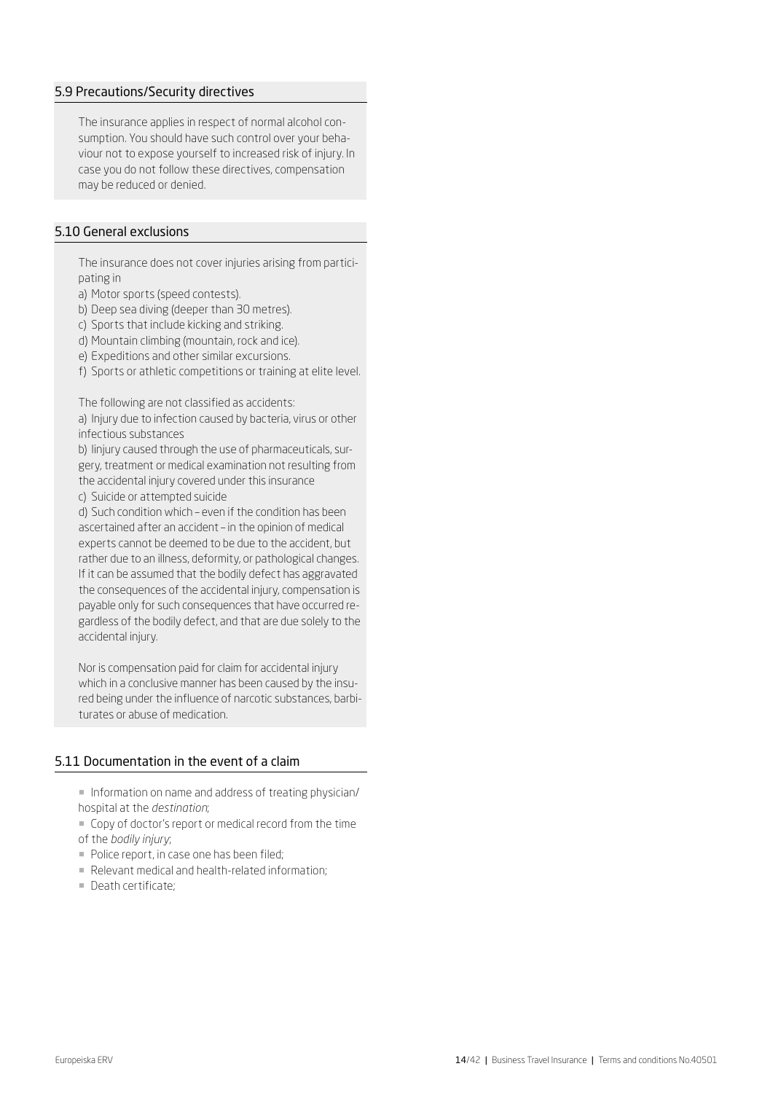# 5.9 Precautions/Security directives

The insurance applies in respect of normal alcohol consumption. You should have such control over your behaviour not to expose yourself to increased risk of injury. In case you do not follow these directives, compensation may be reduced or denied.

# 5.10 General exclusions

The insurance does not cover injuries arising from participating in

a) Motor sports (speed contests).

b) Deep sea diving (deeper than 30 metres).

- c) Sports that include kicking and striking.
- d) Mountain climbing (mountain, rock and ice).
- e) Expeditions and other similar excursions.
- f) Sports or athletic competitions or training at elite level.

The following are not classified as accidents:

a) Injury due to infection caused by bacteria, virus or other infectious substances

b) Iinjury caused through the use of pharmaceuticals, surgery, treatment or medical examination not resulting from the accidental injury covered under this insurance c) Suicide or attempted suicide

d) Such condition which – even if the condition has been ascertained after an accident – in the opinion of medical experts cannot be deemed to be due to the accident, but rather due to an illness, deformity, or pathological changes. If it can be assumed that the bodily defect has aggravated the consequences of the accidental injury, compensation is payable only for such consequences that have occurred regardless of the bodily defect, and that are due solely to the accidental injury.

Nor is compensation paid for claim for accidental injury which in a conclusive manner has been caused by the insured being under the influence of narcotic substances, barbiturates or abuse of medication.

### 5.11 Documentation in the event of a claim

¡ Information on name and address of treating physician/ hospital at the *destination*;

¡ Copy of doctor's report or medical record from the time of the *bodily injury*;

- ¡ Police report, in case one has been filed;
- ¡ Relevant medical and health-related information;
- ¡ Death certificate;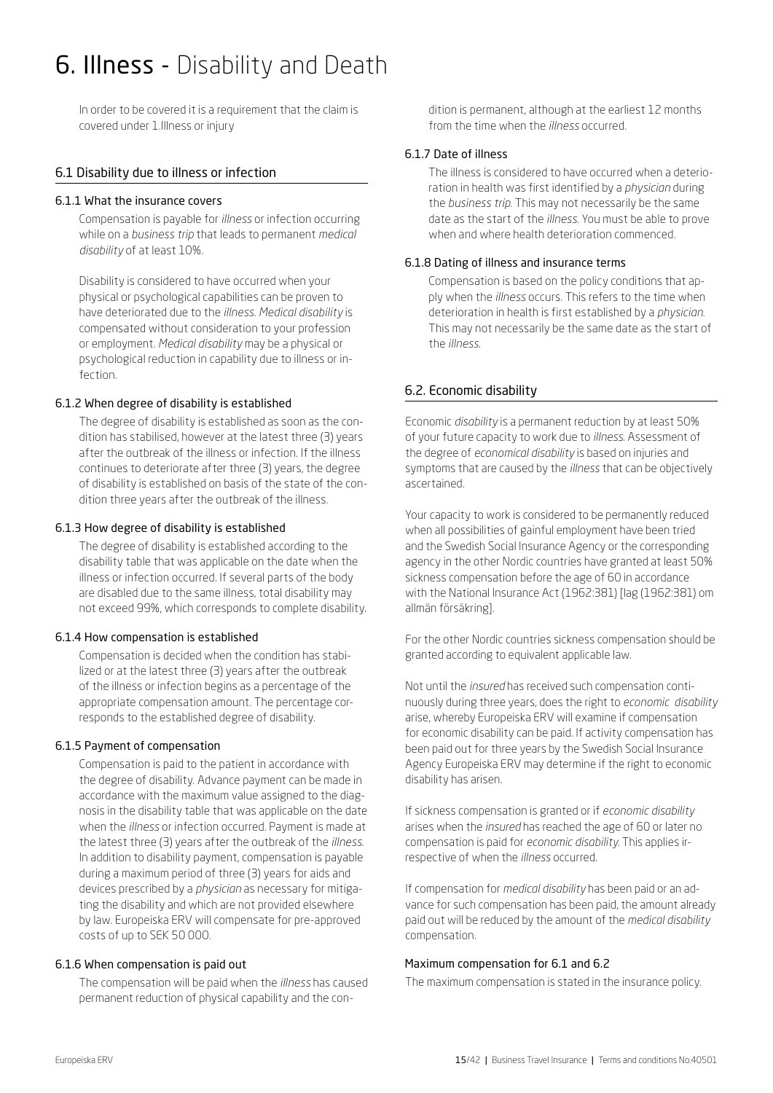# 6. Illness - Disability and Death

In order to be covered it is a requirement that the claim is covered under 1.Illness or injury

# 6.1 Disability due to illness or infection

#### 6.1.1 What the insurance covers

Compensation is payable for *illness* or infection occurring while on a *business trip* that leads to permanent *medical disability* of at least 10%.

Disability is considered to have occurred when your physical or psychological capabilities can be proven to have deteriorated due to the *illness*. *Medical disability* is compensated without consideration to your profession or employment. *Medical disability* may be a physical or psychological reduction in capability due to illness or infection.

# 6.1.2 When degree of disability is established

The degree of disability is established as soon as the condition has stabilised, however at the latest three (3) years after the outbreak of the illness or infection. If the illness continues to deteriorate after three (3) years, the degree of disability is established on basis of the state of the condition three years after the outbreak of the illness.

#### 6.1.3 How degree of disability is established

The degree of disability is established according to the disability table that was applicable on the date when the illness or infection occurred. If several parts of the body are disabled due to the same illness, total disability may not exceed 99%, which corresponds to complete disability.

# 6.1.4 How compensation is established

Compensation is decided when the condition has stabilized or at the latest three (3) years after the outbreak of the illness or infection begins as a percentage of the appropriate compensation amount. The percentage corresponds to the established degree of disability.

# 6.1.5 Payment of compensation

Compensation is paid to the patient in accordance with the degree of disability. Advance payment can be made in accordance with the maximum value assigned to the diagnosis in the disability table that was applicable on the date when the *illness* or infection occurred. Payment is made at the latest three (3) years after the outbreak of the *illness*. In addition to disability payment, compensation is payable during a maximum period of three (3) years for aids and devices prescribed by a *physician* as necessary for mitigating the disability and which are not provided elsewhere by law. Europeiska ERV will compensate for pre-approved costs of up to SEK 50 000.

# 6.1.6 When compensation is paid out

The compensation will be paid when the *illness* has caused permanent reduction of physical capability and the condition is permanent, although at the earliest 12 months from the time when the *illness* occurred.

# 6.1.7 Date of illness

The illness is considered to have occurred when a deterioration in health was first identified by a *physician* during the *business trip*. This may not necessarily be the same date as the start of the *illness*. You must be able to prove when and where health deterioration commenced.

#### 6.1.8 Dating of illness and insurance terms

Compensation is based on the policy conditions that apply when the *illness* occurs. This refers to the time when deterioration in health is first established by a *physician*. This may not necessarily be the same date as the start of the *illness*.

# 6.2. Economic disability

Economic *disability* is a permanent reduction by at least 50% of your future capacity to work due to *illness*. Assessment of the degree of *economical disability* is based on injuries and symptoms that are caused by the *illness* that can be objectively ascertained.

Your capacity to work is considered to be permanently reduced when all possibilities of gainful employment have been tried and the Swedish Social Insurance Agency or the corresponding agency in the other Nordic countries have granted at least 50% sickness compensation before the age of 60 in accordance with the National Insurance Act (1962:381) [lag (1962:381) om allmän försäkring].

For the other Nordic countries sickness compensation should be granted according to equivalent applicable law.

Not until the *insured* has received such compensation continuously during three years, does the right to *economic disability*  arise, whereby Europeiska ERV will examine if compensation for economic disability can be paid. If activity compensation has been paid out for three years by the Swedish Social Insurance Agency Europeiska ERV may determine if the right to economic disability has arisen.

If sickness compensation is granted or if *economic disability* arises when the *insured* has reached the age of 60 or later no compensation is paid for *economic disability*. This applies irrespective of when the *illness* occurred.

If compensation for *medical disability* has been paid or an advance for such compensation has been paid, the amount already paid out will be reduced by the amount of the *medical disability* compensation.

#### Maximum compensation for 6.1 and 6.2

The maximum compensation is stated in the insurance policy.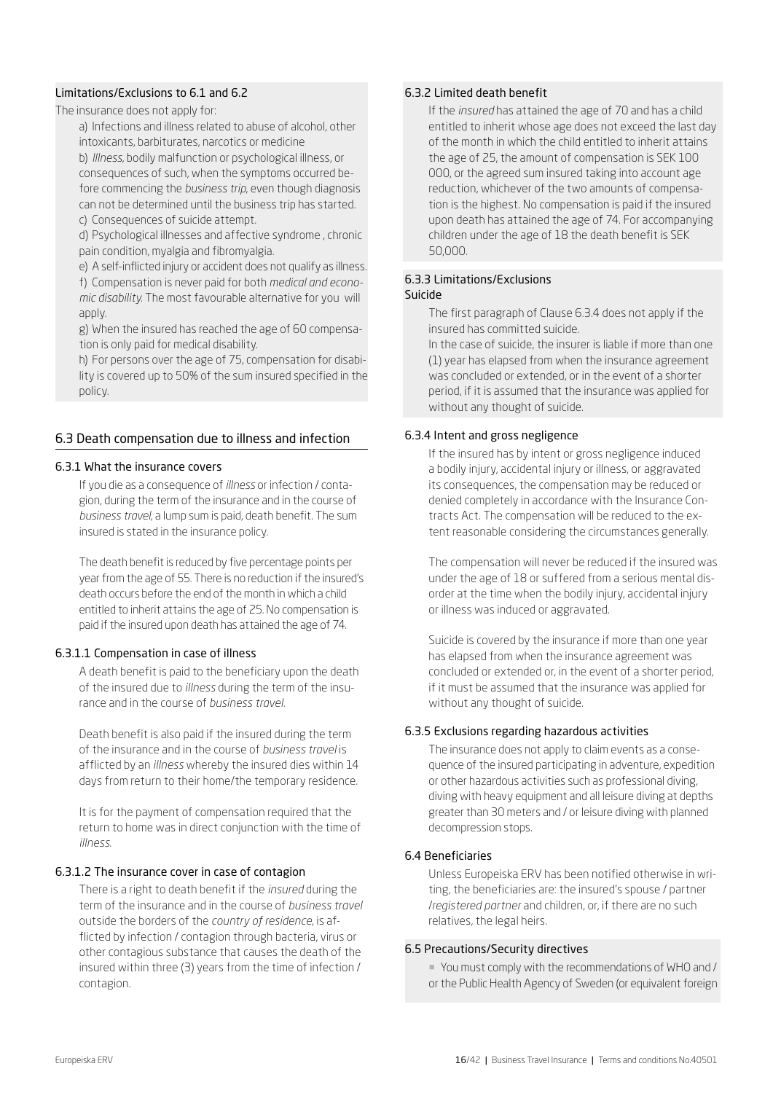### Limitations/Exclusions to 6.1 and 6.2

#### The insurance does not apply for:

a) Infections and illness related to abuse of alcohol, other intoxicants, barbiturates, narcotics or medicine

b) *Illness*, bodily malfunction or psychological illness, or consequences of such, when the symptoms occurred before commencing the *business trip*, even though diagnosis can not be determined until the business trip has started. c) Consequences of suicide attempt.

d) Psychological illnesses and affective syndrome , chronic pain condition, myalgia and fibromyalgia.

e) A self-inflicted injury or accident does not qualify as illness.

f) Compensation is never paid for both *medical and economic disability*. The most favourable alternative for you will apply.

g) When the insured has reached the age of 60 compensation is only paid for medical disability.

h) For persons over the age of 75, compensation for disability is covered up to 50% of the sum insured specified in the policy.

#### 6.3 Death compensation due to illness and infection

#### 6.3.1 What the insurance covers

If you die as a consequence of *illness* or infection / contagion, during the term of the insurance and in the course of *business travel,* a lump sum is paid, death benefit. The sum insured is stated in the insurance policy.

The death benefit is reduced by five percentage points per year from the age of 55. There is no reduction if the insured's death occurs before the end of the month in which a child entitled to inherit attains the age of 25. No compensation is paid if the insured upon death has attained the age of 74.

#### 6.3.1.1 Compensation in case of illness

A death benefit is paid to the beneficiary upon the death of the insured due to *illness* during the term of the insurance and in the course of *business travel.*

Death benefit is also paid if the insured during the term of the insurance and in the course of *business travel* is afflicted by an *illness* whereby the insured dies within 14 days from return to their home/the temporary residence.

It is for the payment of compensation required that the return to home was in direct conjunction with the time of *illness*.

#### 6.3.1.2 The insurance cover in case of contagion

There is a right to death benefit if the *insured* during the term of the insurance and in the course of *business travel*  outside the borders of the *country of residence*, is afflicted by infection / contagion through bacteria, virus or other contagious substance that causes the death of the insured within three (3) years from the time of infection / contagion.

#### 6.3.2 Limited death benefit

If the *insured* has attained the age of 70 and has a child entitled to inherit whose age does not exceed the last day of the month in which the child entitled to inherit attains the age of 25, the amount of compensation is SEK 100 000, or the agreed sum insured taking into account age reduction, whichever of the two amounts of compensation is the highest. No compensation is paid if the insured upon death has attained the age of 74. For accompanying children under the age of 18 the death benefit is SEK 50,000.

#### 6.3.3 Limitations/Exclusions Suicide

The first paragraph of Clause 6.3.4 does not apply if the insured has committed suicide.

In the case of suicide, the insurer is liable if more than one (1) year has elapsed from when the insurance agreement was concluded or extended, or in the event of a shorter period, if it is assumed that the insurance was applied for without any thought of suicide.

#### 6.3.4 Intent and gross negligence

If the insured has by intent or gross negligence induced a bodily injury, accidental injury or illness, or aggravated its consequences, the compensation may be reduced or denied completely in accordance with the Insurance Contracts Act. The compensation will be reduced to the extent reasonable considering the circumstances generally.

The compensation will never be reduced if the insured was under the age of 18 or suffered from a serious mental disorder at the time when the bodily injury, accidental injury or illness was induced or aggravated.

Suicide is covered by the insurance if more than one year has elapsed from when the insurance agreement was concluded or extended or, in the event of a shorter period, if it must be assumed that the insurance was applied for without any thought of suicide.

#### 6.3.5 Exclusions regarding hazardous activities

The insurance does not apply to claim events as a consequence of the insured participating in adventure, expedition or other hazardous activities such as professional diving, diving with heavy equipment and all leisure diving at depths greater than 30 meters and / or leisure diving with planned decompression stops.

#### 6.4 Beneficiaries

Unless Europeiska ERV has been notified otherwise in writing, the beneficiaries are: the insured's spouse / partner /*registered partner* and children, or, if there are no such relatives, the legal heirs.

#### 6.5 Precautions/Security directives

¡ You must comply with the recommendations of WHO and / or the Public Health Agency of Sweden (or equivalent foreign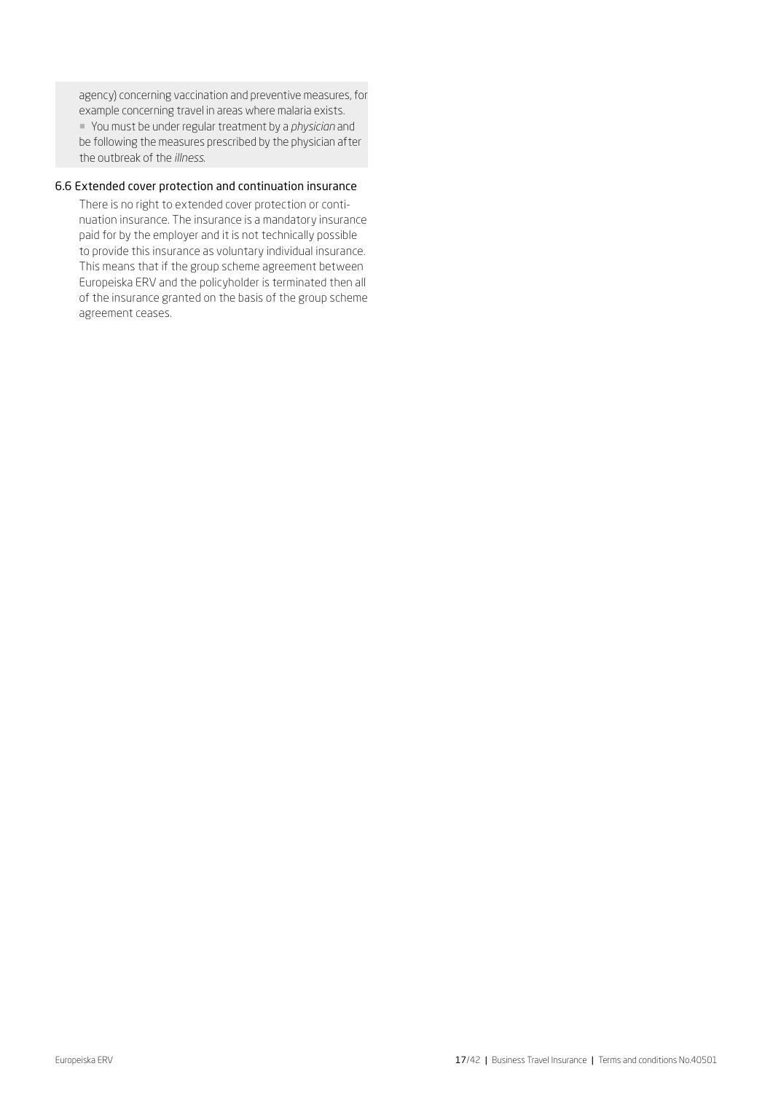agency) concerning vaccination and preventive measures, for example concerning travel in areas where malaria exists. ¡ You must be under regular treatment by a *physician* and be following the measures prescribed by the physician after the outbreak of the *illness*.

#### 6.6 Extended cover protection and continuation insurance

There is no right to extended cover protection or continuation insurance. The insurance is a mandatory insurance paid for by the employer and it is not technically possible to provide this insurance as voluntary individual insurance. This means that if the group scheme agreement between Europeiska ERV and the policyholder is terminated then all of the insurance granted on the basis of the group scheme agreement ceases.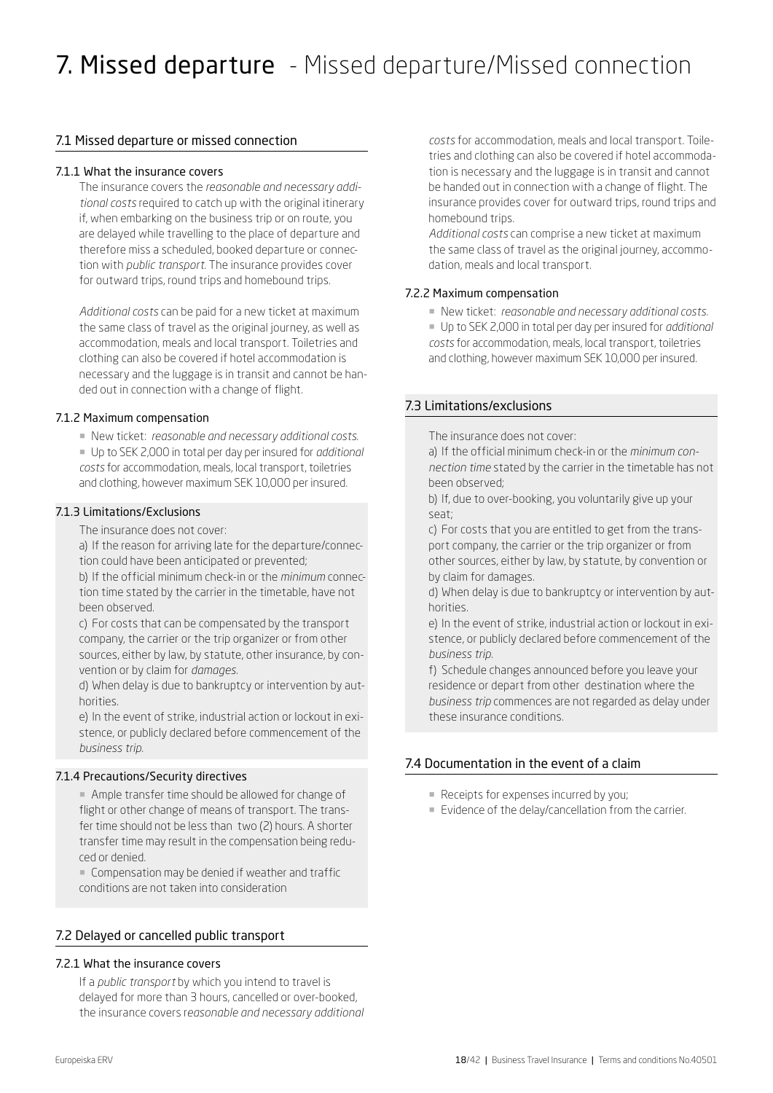# 7.1 Missed departure or missed connection

#### 7.1.1 What the insurance covers

The insurance covers the *reasonable and necessary additional costs* required to catch up with the original itinerary if, when embarking on the business trip or on route, you are delayed while travelling to the place of departure and therefore miss a scheduled, booked departure or connection with *public transport.* The insurance provides cover for outward trips, round trips and homebound trips.

*Additional costs* can be paid for a new ticket at maximum the same class of travel as the original journey, as well as accommodation, meals and local transport. Toiletries and clothing can also be covered if hotel accommodation is necessary and the luggage is in transit and cannot be handed out in connection with a change of flight.

#### 7.1.2 Maximum compensation

¡ New ticket: *reasonable and necessary additional costs*.

¡ Up to SEK 2,000 in total per day per insured for *additional costs* for accommodation, meals, local transport, toiletries and clothing, however maximum SEK 10,000 per insured.

#### 7.1.3 Limitations/Exclusions

The insurance does not cover:

a) If the reason for arriving late for the departure/connection could have been anticipated or prevented;

b) If the official minimum check-in or the *minimum* connection time stated by the carrier in the timetable, have not been observed.

c) For costs that can be compensated by the transport company, the carrier or the trip organizer or from other sources, either by law, by statute, other insurance, by convention or by claim for *damages*.

d) When delay is due to bankruptcy or intervention by authorities.

e) In the event of strike, industrial action or lockout in existence, or publicly declared before commencement of the *business trip.*

# 7.1.4 Precautions/Security directives

¡ Ample transfer time should be allowed for change of flight or other change of means of transport. The transfer time should not be less than two (2) hours. A shorter transfer time may result in the compensation being reduced or denied.

¡ Compensation may be denied if weather and traffic conditions are not taken into consideration

# 7.2 Delayed or cancelled public transport

# 7.2.1 What the insurance covers

If a *public transport* by which you intend to travel is delayed for more than 3 hours, cancelled or over-booked, the insurance covers r*easonable and necessary additional* 

*costs* for accommodation, meals and local transport. Toiletries and clothing can also be covered if hotel accommodation is necessary and the luggage is in transit and cannot be handed out in connection with a change of flight. The insurance provides cover for outward trips, round trips and homebound trips.

*Additional costs* can comprise a new ticket at maximum the same class of travel as the original journey, accommodation, meals and local transport.

#### 7.2.2 Maximum compensation

- ¡ New ticket: *reasonable and necessary additional costs.*
- ¡ Up to SEK 2,000 in total per day per insured for *additional costs* for accommodation, meals, local transport, toiletries and clothing, however maximum SEK 10,000 per insured.

# 7.3 Limitations/exclusions

The insurance does not cover:

a) If the official minimum check-in or the *minimum connection time* stated by the carrier in the timetable has not been observed;

b) If, due to over-booking, you voluntarily give up your seat;

c) For costs that you are entitled to get from the transport company, the carrier or the trip organizer or from other sources, either by law, by statute, by convention or by claim for damages.

d) When delay is due to bankruptcy or intervention by authorities.

e) In the event of strike, industrial action or lockout in existence, or publicly declared before commencement of the *business trip.*

f) Schedule changes announced before you leave your residence or depart from other destination where the *business trip* commences are not regarded as delay under these insurance conditions.

# 7.4 Documentation in the event of a claim

- Receipts for expenses incurred by you;
- **Evidence of the delay/cancellation from the carrier.**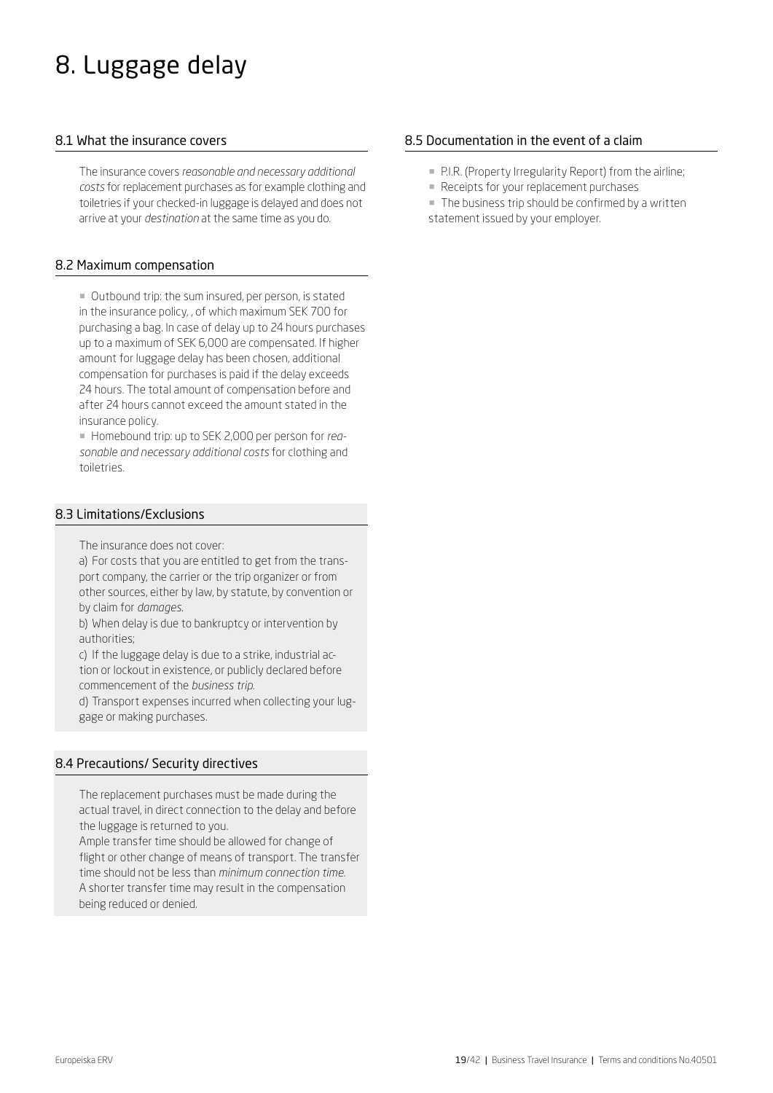# 8. Luggage delay

# 8.1 What the insurance covers

The insurance covers *reasonable and necessary additional costs* for replacement purchases as for example clothing and toiletries if your checked-in luggage is delayed and does not arrive at your *destination* at the same time as you do.

# 8.2 Maximum compensation

¡ Outbound trip: the sum insured, per person, is stated in the insurance policy, , of which maximum SEK 700 for purchasing a bag. In case of delay up to 24 hours purchases up to a maximum of SEK 6,000 are compensated. If higher amount for luggage delay has been chosen, additional compensation for purchases is paid if the delay exceeds 24 hours. The total amount of compensation before and after 24 hours cannot exceed the amount stated in the insurance policy.

¡ Homebound trip: up to SEK 2,000 per person for *reasonable and necessary additional costs* for clothing and toiletries.

# 8.3 Limitations/Exclusions

The insurance does not cover:

a) For costs that you are entitled to get from the transport company, the carrier or the trip organizer or from other sources, either by law, by statute, by convention or by claim for *damages*.

b) When delay is due to bankruptcy or intervention by authorities;

c) If the luggage delay is due to a strike, industrial action or lockout in existence, or publicly declared before commencement of the *business trip*.

d) Transport expenses incurred when collecting your luggage or making purchases.

# 8.4 Precautions/ Security directives

The replacement purchases must be made during the actual travel, in direct connection to the delay and before the luggage is returned to you.

Ample transfer time should be allowed for change of flight or other change of means of transport. The transfer time should not be less than *minimum connection time.*  A shorter transfer time may result in the compensation being reduced or denied.

# 8.5 Documentation in the event of a claim

- P.I.R. (Property Irregularity Report) from the airline;
- **Receipts for your replacement purchases**
- **The business trip should be confirmed by a written** statement issued by your employer.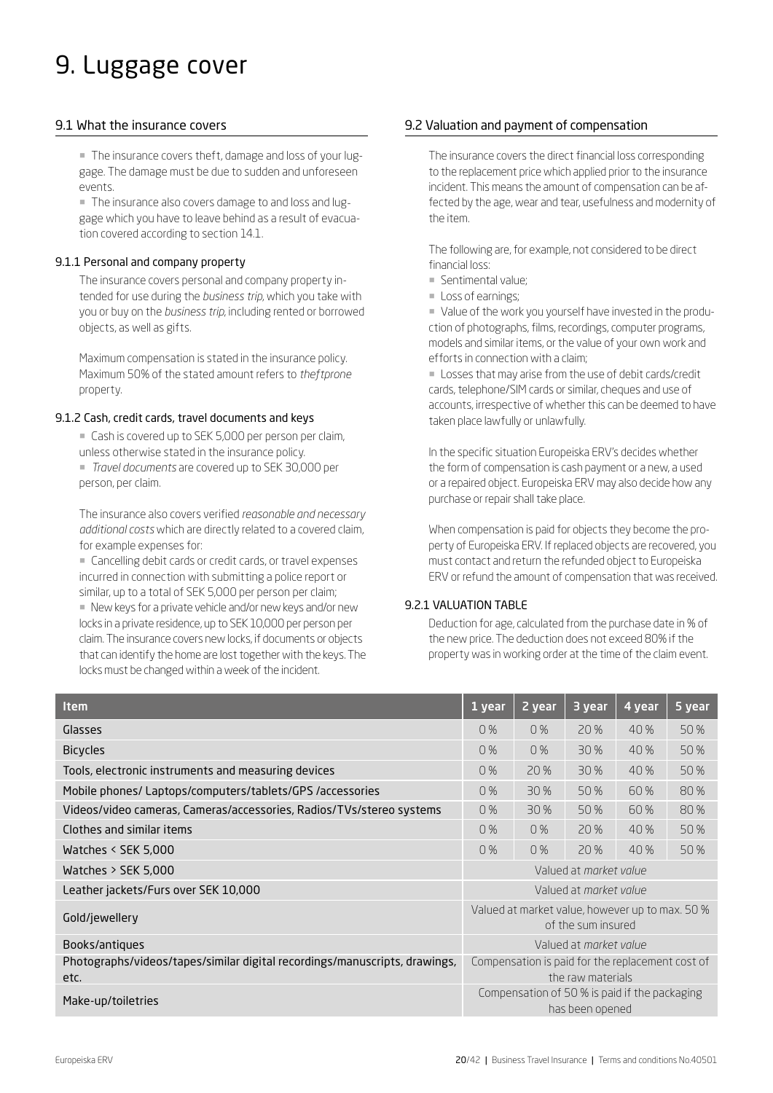# 9. Luggage cover

# 9.1 What the insurance covers

¡ The insurance covers theft, damage and loss of your luggage. The damage must be due to sudden and unforeseen events.

¡ The insurance also covers damage to and loss and luggage which you have to leave behind as a result of evacuation covered according to section 14.1.

### 9.1.1 Personal and company property

The insurance covers personal and company property intended for use during the *business trip*, which you take with you or buy on the *business trip*, including rented or borrowed objects, as well as gifts.

Maximum compensation is stated in the insurance policy. Maximum 50% of the stated amount refers to *theftprone* property.

#### 9.1.2 Cash, credit cards, travel documents and keys

■ Cash is covered up to SEK 5,000 per person per claim,

unless otherwise stated in the insurance policy.

¡ *Travel documents* are covered up to SEK 30,000 per person, per claim.

The insurance also covers verified *reasonable and necessary additional costs* which are directly related to a covered claim, for example expenses for:

■ Cancelling debit cards or credit cards, or travel expenses incurred in connection with submitting a police report or similar, up to a total of SEK 5,000 per person per claim;

■ New keys for a private vehicle and/or new keys and/or new locks in a private residence, up to SEK 10,000 per person per claim. The insurance covers new locks, if documents or objects that can identify the home are lost together with the keys. The locks must be changed within a week of the incident.

# 9.2 Valuation and payment of compensation

The insurance covers the direct financial loss corresponding to the replacement price which applied prior to the insurance incident. This means the amount of compensation can be affected by the age, wear and tear, usefulness and modernity of the item.

The following are, for example, not considered to be direct financial loss:

- ¡ Sentimental value;
- **Loss of earnings;**

¡ Value of the work you yourself have invested in the production of photographs, films, recordings, computer programs, models and similar items, or the value of your own work and efforts in connection with a claim;

¡ Losses that may arise from the use of debit cards/credit cards, telephone/SIM cards or similar, cheques and use of accounts, irrespective of whether this can be deemed to have taken place lawfully or unlawfully.

In the specific situation Europeiska ERV's decides whether the form of compensation is cash payment or a new, a used or a repaired object. Europeiska ERV may also decide how any purchase or repair shall take place.

When compensation is paid for objects they become the property of Europeiska ERV. If replaced objects are recovered, you must contact and return the refunded object to Europeiska ERV or refund the amount of compensation that was received.

# 9.2.1 VALUATION TABLE

Deduction for age, calculated from the purchase date in % of the new price. The deduction does not exceed 80% if the property was in working order at the time of the claim event.

| <b>Item</b>                                                                        | 1 year                                                                | 2 year                        | 3 year | 4 year | 5 year |
|------------------------------------------------------------------------------------|-----------------------------------------------------------------------|-------------------------------|--------|--------|--------|
| Glasses                                                                            | 0%                                                                    | 0%                            | 20 %   | 40 %   | 50 %   |
| <b>Bicycles</b>                                                                    | 0%                                                                    | 0%                            | 30 %   | 40%    | 50%    |
| Tools, electronic instruments and measuring devices                                | 0%                                                                    | 20 %                          | 30%    | 40 %   | 50 %   |
| Mobile phones/ Laptops/computers/tablets/GPS /accessories                          | 0%                                                                    | 30 %                          | 50%    | 60%    | 80%    |
| Videos/video cameras, Cameras/accessories, Radios/TVs/stereo systems               | 0%                                                                    | 30 %                          | 50 %   | 60%    | 80%    |
| Clothes and similar items                                                          | 0%                                                                    | 0%                            | 20 %   | 40 %   | 50%    |
| Watches $\le$ SEK 5,000                                                            | 0%                                                                    | 0%                            | 20 %   | 40%    | 50 %   |
| Watches $>$ SEK 5,000                                                              | Valued at market value                                                |                               |        |        |        |
| Leather jackets/Furs over SEK 10,000                                               | Valued at <i>morket volue</i>                                         |                               |        |        |        |
| Gold/jewellery                                                                     | Valued at market value, however up to max. 50 %<br>of the sum insured |                               |        |        |        |
| Books/antiques                                                                     |                                                                       | Valued at <i>morket volue</i> |        |        |        |
| Photographs/videos/tapes/similar digital recordings/manuscripts, drawings,<br>etc. | Compensation is paid for the replacement cost of<br>the raw materials |                               |        |        |        |
| Make-up/toiletries                                                                 | Compensation of 50 % is paid if the packaging<br>has been opened      |                               |        |        |        |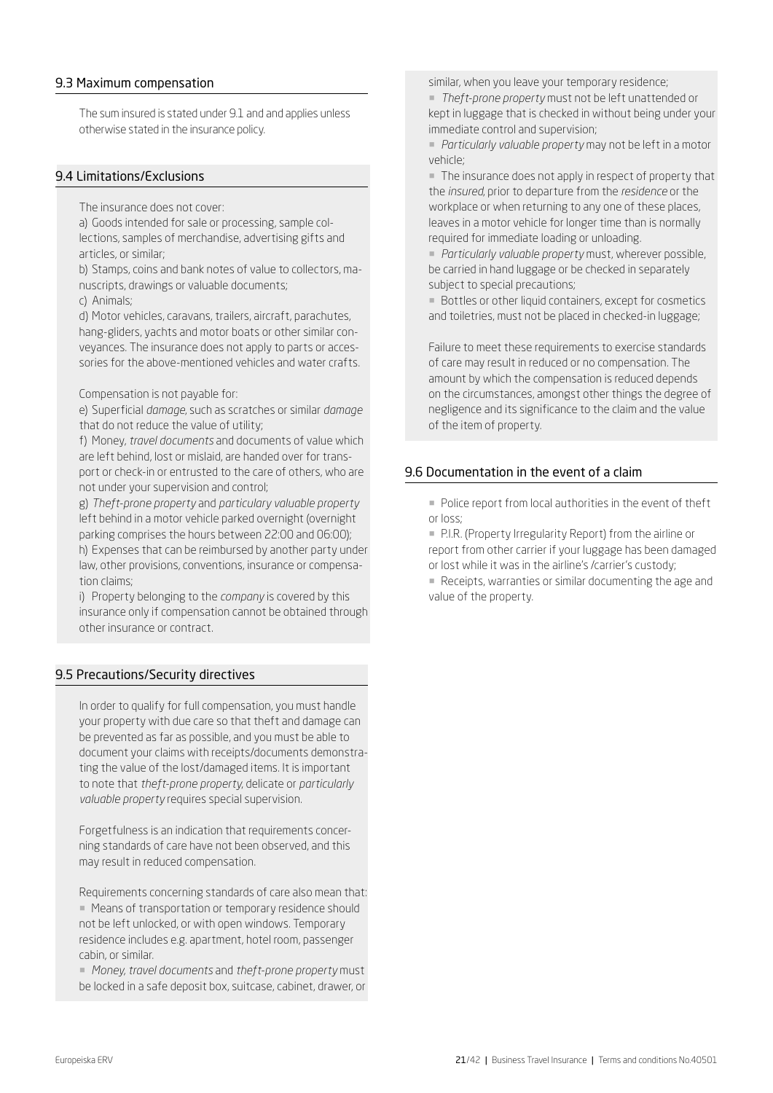### 9.3 Maximum compensation

The sum insured is stated under 9.1 and and applies unless otherwise stated in the insurance policy.

#### 9.4 Limitations/Exclusions

The insurance does not cover:

a) Goods intended for sale or processing, sample collections, samples of merchandise, advertising gifts and articles, or similar;

b) Stamps, coins and bank notes of value to collectors, manuscripts, drawings or valuable documents;

c) Animals;

d) Motor vehicles, caravans, trailers, aircraft, parachutes, hang-gliders, yachts and motor boats or other similar conveyances. The insurance does not apply to parts or accessories for the above-mentioned vehicles and water crafts.

Compensation is not payable for:

e) Superficial *damage*, such as scratches or similar *damage* that do not reduce the value of utility;

f) Money, *travel documents* and documents of value which are left behind, lost or mislaid, are handed over for transport or check-in or entrusted to the care of others, who are not under your supervision and control;

g) *Theft-prone property* and *particulary valuable property* left behind in a motor vehicle parked overnight (overnight parking comprises the hours between 22:00 and 06:00); h) Expenses that can be reimbursed by another party under law, other provisions, conventions, insurance or compensation claims;

i) Property belonging to the *company* is covered by this insurance only if compensation cannot be obtained through other insurance or contract.

# 9.5 Precautions/Security directives

In order to qualify for full compensation, you must handle your property with due care so that theft and damage can be prevented as far as possible, and you must be able to document your claims with receipts/documents demonstrating the value of the lost/damaged items. It is important to note that *theft-prone property*, delicate or *particularly valuable property* requires special supervision.

Forgetfulness is an indication that requirements concerning standards of care have not been observed, and this may result in reduced compensation.

Requirements concerning standards of care also mean that: ■ Means of transportation or temporary residence should not be left unlocked, or with open windows. Temporary residence includes e.g. apartment, hotel room, passenger cabin, or similar.

¡ *Money*, *travel documents* and *theft-prone property* must be locked in a safe deposit box, suitcase, cabinet, drawer, or similar, when you leave your temporary residence;

¡ *Theft-prone property* must not be left unattended or kept in luggage that is checked in without being under your immediate control and supervision;

¡ *Particularly valuable property* may not be left in a motor vehicle;

¡ The insurance does not apply in respect of property that the *insured*, prior to departure from the *residence* or the workplace or when returning to any one of these places, leaves in a motor vehicle for longer time than is normally required for immediate loading or unloading.

¡ *Particularly valuable property* must, wherever possible, be carried in hand luggage or be checked in separately subject to special precautions;

**• Bottles or other liquid containers, except for cosmetics** and toiletries, must not be placed in checked-in luggage;

Failure to meet these requirements to exercise standards of care may result in reduced or no compensation. The amount by which the compensation is reduced depends on the circumstances, amongst other things the degree of negligence and its significance to the claim and the value of the item of property.

#### 9.6 Documentation in the event of a claim

¡ Police report from local authorities in the event of theft or loss;

¡ P.I.R. (Property Irregularity Report) from the airline or report from other carrier if your luggage has been damaged or lost while it was in the airline's /carrier's custody;

¡ Receipts, warranties or similar documenting the age and value of the property.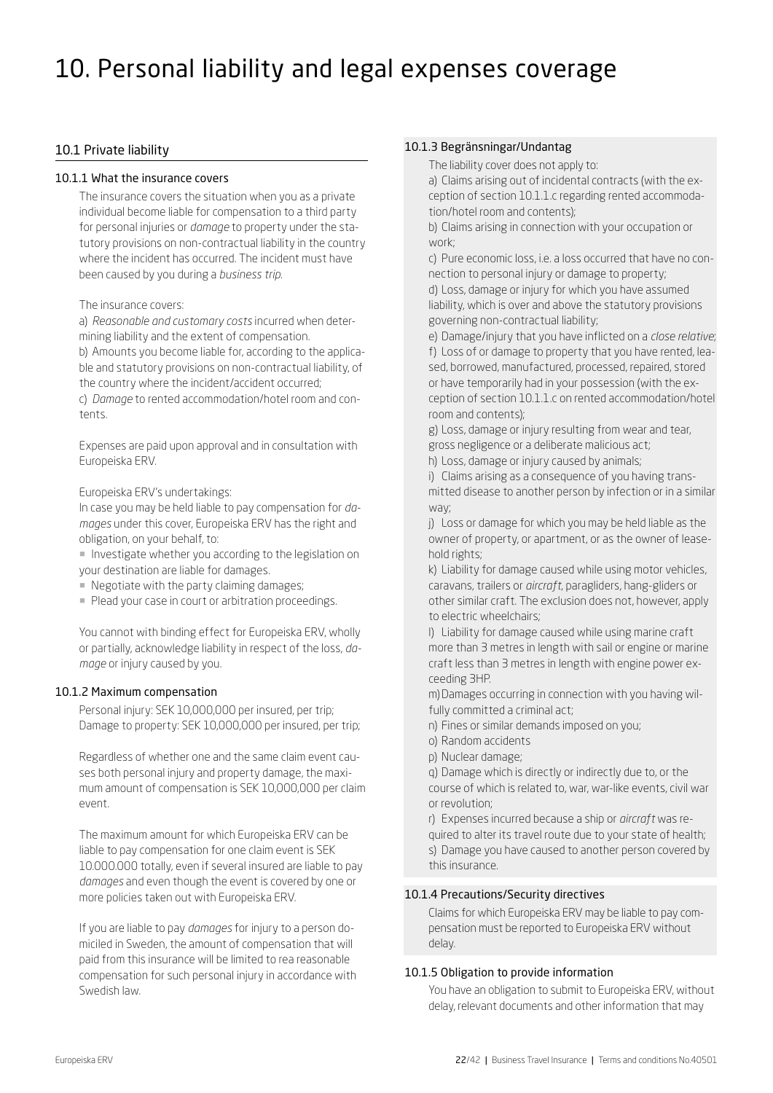# 10. Personal liability and legal expenses coverage

# 10.1 Private liability

#### 10.1.1 What the insurance covers

The insurance covers the situation when you as a private individual become liable for compensation to a third party for personal injuries or *damage* to property under the statutory provisions on non-contractual liability in the country where the incident has occurred. The incident must have been caused by you during a *business trip.*

#### The insurance covers:

a) *Reasonable and customary costs* incurred when determining liability and the extent of compensation.

b) Amounts you become liable for, according to the applicable and statutory provisions on non-contractual liability, of the country where the incident/accident occurred;

c) *Damage* to rented accommodation/hotel room and contents.

Expenses are paid upon approval and in consultation with Europeiska ERV.

Europeiska ERV's undertakings:

In case you may be held liable to pay compensation for *damages* under this cover, Europeiska ERV has the right and obligation, on your behalf, to:

¡ Investigate whether you according to the legislation on your destination are liable for damages.

- ¡ Negotiate with the party claiming damages;
- **Plead your case in court or arbitration proceedings.**

You cannot with binding effect for Europeiska ERV, wholly or partially, acknowledge liability in respect of the loss, *damage* or injury caused by you.

# 10.1.2 Maximum compensation

Personal injury: SEK 10,000,000 per insured, per trip; Damage to property: SEK 10,000,000 per insured, per trip;

Regardless of whether one and the same claim event causes both personal injury and property damage, the maximum amount of compensation is SEK 10,000,000 per claim event.

The maximum amount for which Europeiska ERV can be liable to pay compensation for one claim event is SEK 10.000.000 totally, even if several insured are liable to pay *damages* and even though the event is covered by one or more policies taken out with Europeiska ERV.

If you are liable to pay *damages* for injury to a person domiciled in Sweden, the amount of compensation that will paid from this insurance will be limited to rea reasonable compensation for such personal injury in accordance with Swedish law.

#### 10.1.3 Begränsningar/Undantag

The liability cover does not apply to:

a) Claims arising out of incidental contracts (with the exception of section 10.1.1.c regarding rented accommodation/hotel room and contents);

b) Claims arising in connection with your occupation or work;

c) Pure economic loss, i.e. a loss occurred that have no connection to personal injury or damage to property; d) Loss, damage or injury for which you have assumed liability, which is over and above the statutory provisions governing non-contractual liability;

e) Damage/injury that you have inflicted on a *close relative*; f) Loss of or damage to property that you have rented, leased, borrowed, manufactured, processed, repaired, stored or have temporarily had in your possession (with the exception of section 10.1.1.c on rented accommodation/hotel room and contents);

g) Loss, damage or injury resulting from wear and tear, gross negligence or a deliberate malicious act;

h) Loss, damage or injury caused by animals;

i) Claims arising as a consequence of you having transmitted disease to another person by infection or in a similar way;

j) Loss or damage for which you may be held liable as the owner of property, or apartment, or as the owner of leasehold rights;

k) Liability for damage caused while using motor vehicles, caravans, trailers or *aircraft*, paragliders, hang-gliders or other similar craft. The exclusion does not, however, apply to electric wheelchairs;

l) Liability for damage caused while using marine craft more than 3 metres in length with sail or engine or marine craft less than 3 metres in length with engine power exceeding 3HP.

m)Damages occurring in connection with you having wilfully committed a criminal act;

- n) Fines or similar demands imposed on you;
- o) Random accidents
- p) Nuclear damage;

q) Damage which is directly or indirectly due to, or the course of which is related to, war, war-like events, civil war or revolution;

r) Expenses incurred because a ship or *aircraft* was required to alter its travel route due to your state of health; s) Damage you have caused to another person covered by this insurance.

# 10.1.4 Precautions/Security directives

Claims for which Europeiska ERV may be liable to pay compensation must be reported to Europeiska ERV without delay.

# 10.1.5 Obligation to provide information

You have an obligation to submit to Europeiska ERV, without delay, relevant documents and other information that may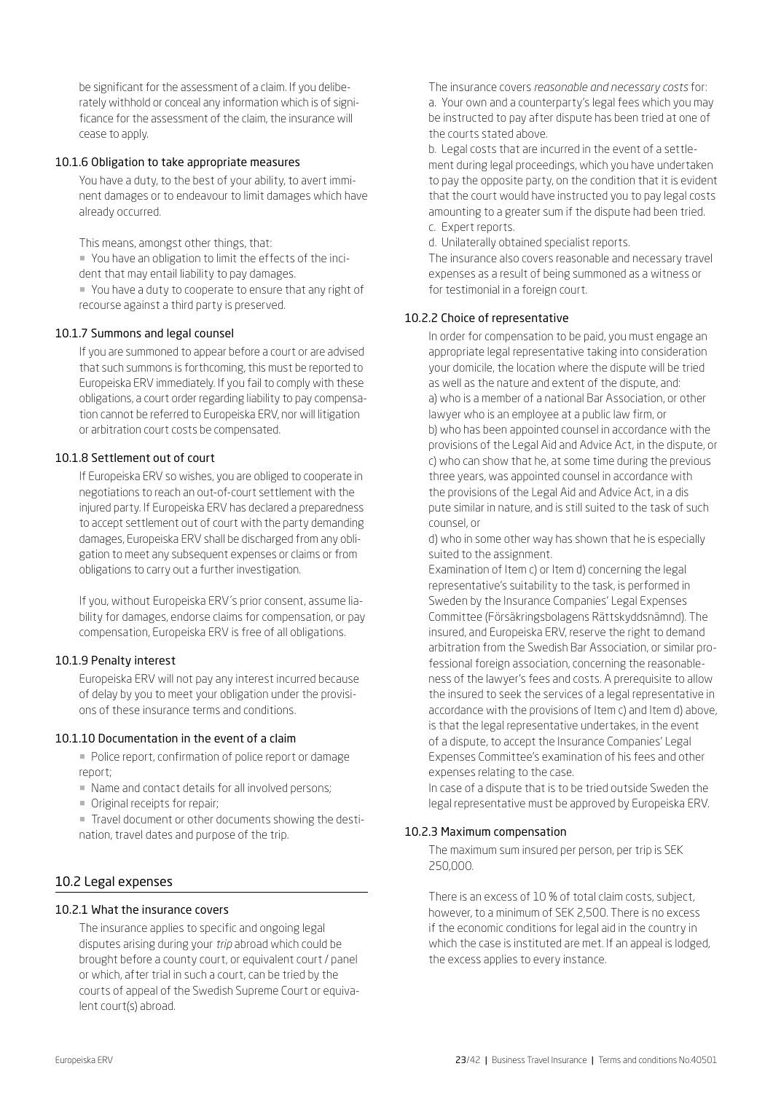be significant for the assessment of a claim. If you deliberately withhold or conceal any information which is of significance for the assessment of the claim, the insurance will cease to apply.

#### 10.1.6 Obligation to take appropriate measures

You have a duty, to the best of your ability, to avert imminent damages or to endeavour to limit damages which have already occurred.

This means, amongst other things, that:

¡ You have an obligation to limit the effects of the incident that may entail liability to pay damages.

¡ You have a duty to cooperate to ensure that any right of recourse against a third party is preserved.

#### 10.1.7 Summons and legal counsel

If you are summoned to appear before a court or are advised that such summons is forthcoming, this must be reported to Europeiska ERV immediately. If you fail to comply with these obligations, a court order regarding liability to pay compensation cannot be referred to Europeiska ERV, nor will litigation or arbitration court costs be compensated.

#### 10.1.8 Settlement out of court

If Europeiska ERV so wishes, you are obliged to cooperate in negotiations to reach an out-of-court settlement with the injured party. If Europeiska ERV has declared a preparedness to accept settlement out of court with the party demanding damages, Europeiska ERV shall be discharged from any obligation to meet any subsequent expenses or claims or from obligations to carry out a further investigation.

If you, without Europeiska ERV´s prior consent, assume liability for damages, endorse claims for compensation, or pay compensation, Europeiska ERV is free of all obligations.

#### 10.1.9 Penalty interest

Europeiska ERV will not pay any interest incurred because of delay by you to meet your obligation under the provisions of these insurance terms and conditions.

#### 10.1.10 Documentation in the event of a claim

¡ Police report, confirmation of police report or damage report;

- Name and contact details for all involved persons;
- **Original receipts for repair;**

¡ Travel document or other documents showing the destination, travel dates and purpose of the trip.

#### 10.2 Legal expenses

#### 10.2.1 What the insurance covers

The insurance applies to specific and ongoing legal disputes arising during your *trip* abroad which could be brought before a county court, or equivalent court / panel or which, after trial in such a court, can be tried by the courts of appeal of the Swedish Supreme Court or equivalent court(s) abroad.

The insurance covers *reasonable and necessary costs* for: a. Your own and a counterparty's legal fees which you may be instructed to pay after dispute has been tried at one of the courts stated above.

b. Legal costs that are incurred in the event of a settlement during legal proceedings, which you have undertaken to pay the opposite party, on the condition that it is evident that the court would have instructed you to pay legal costs amounting to a greater sum if the dispute had been tried. c. Expert reports.

d. Unilaterally obtained specialist reports.

The insurance also covers reasonable and necessary travel expenses as a result of being summoned as a witness or for testimonial in a foreign court.

#### 10.2.2 Choice of representative

In order for compensation to be paid, you must engage an appropriate legal representative taking into consideration your domicile, the location where the dispute will be tried as well as the nature and extent of the dispute, and: a) who is a member of a national Bar Association, or other lawyer who is an employee at a public law firm, or b) who has been appointed counsel in accordance with the provisions of the Legal Aid and Advice Act, in the dispute, or c) who can show that he, at some time during the previous three years, was appointed counsel in accordance with the provisions of the Legal Aid and Advice Act, in a dis pute similar in nature, and is still suited to the task of such counsel, or

d) who in some other way has shown that he is especially suited to the assignment.

Examination of Item c) or Item d) concerning the legal representative's suitability to the task, is performed in Sweden by the Insurance Companies' Legal Expenses Committee (Försäkringsbolagens Rättskyddsnämnd). The insured, and Europeiska ERV, reserve the right to demand arbitration from the Swedish Bar Association, or similar professional foreign association, concerning the reasonableness of the lawyer's fees and costs. A prerequisite to allow the insured to seek the services of a legal representative in accordance with the provisions of Item c) and Item d) above, is that the legal representative undertakes, in the event of a dispute, to accept the Insurance Companies' Legal Expenses Committee's examination of his fees and other expenses relating to the case.

In case of a dispute that is to be tried outside Sweden the legal representative must be approved by Europeiska ERV.

### 10.2.3 Maximum compensation

The maximum sum insured per person, per trip is SEK 250,000.

There is an excess of 10 % of total claim costs, subject, however, to a minimum of SEK 2,500. There is no excess if the economic conditions for legal aid in the country in which the case is instituted are met. If an appeal is lodged, the excess applies to every instance.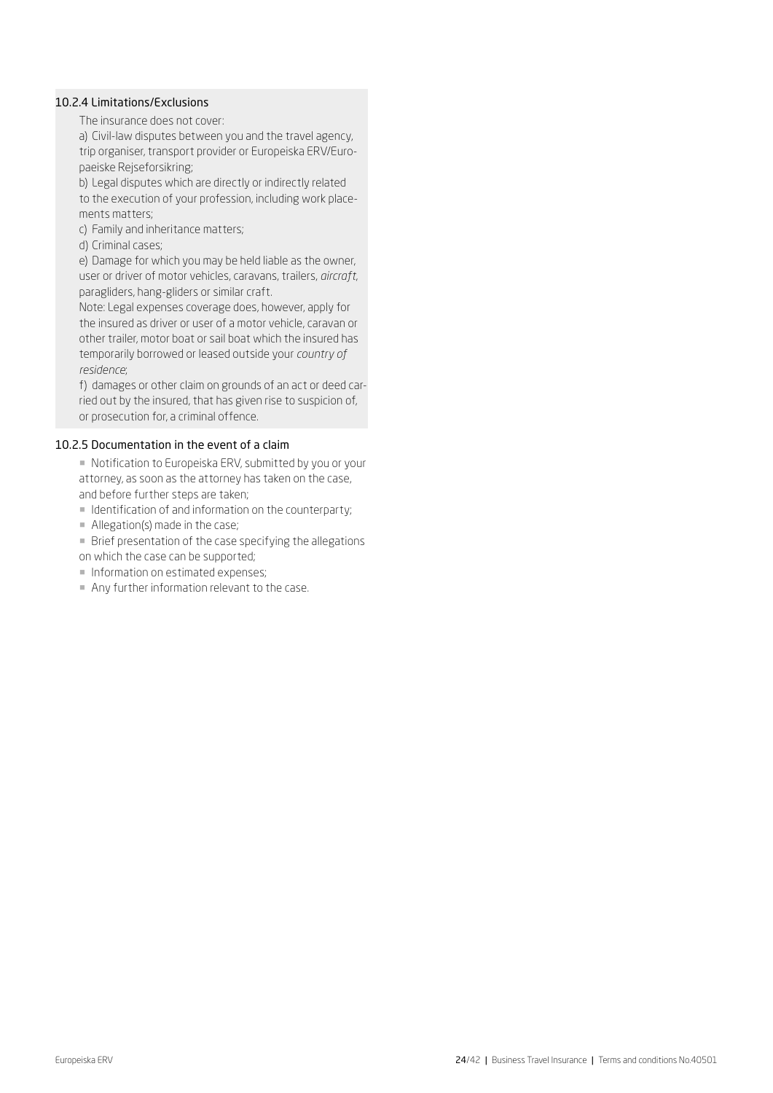# 10.2.4 Limitations/Exclusions

The insurance does not cover:

a) Civil-law disputes between you and the travel agency, trip organiser, transport provider or Europeiska ERV/Europaeiske Rejseforsikring;

b) Legal disputes which are directly or indirectly related to the execution of your profession, including work placements matters;

c) Family and inheritance matters;

d) Criminal cases;

e) Damage for which you may be held liable as the owner, user or driver of motor vehicles, caravans, trailers, *aircraft*, paragliders, hang-gliders or similar craft.

Note: Legal expenses coverage does, however, apply for the insured as driver or user of a motor vehicle, caravan or other trailer, motor boat or sail boat which the insured has temporarily borrowed or leased outside your *country of residence*;

f) damages or other claim on grounds of an act or deed carried out by the insured, that has given rise to suspicion of, or prosecution for, a criminal offence.

#### 10.2.5 Documentation in the event of a claim

■ Notification to Europeiska ERV, submitted by you or your attorney, as soon as the attorney has taken on the case, and before further steps are taken;

¡ Identification of and information on the counterparty;

• Allegation(s) made in the case;

¡ Brief presentation of the case specifying the allegations on which the case can be supported;

**Information on estimated expenses;** 

¡ Any further information relevant to the case.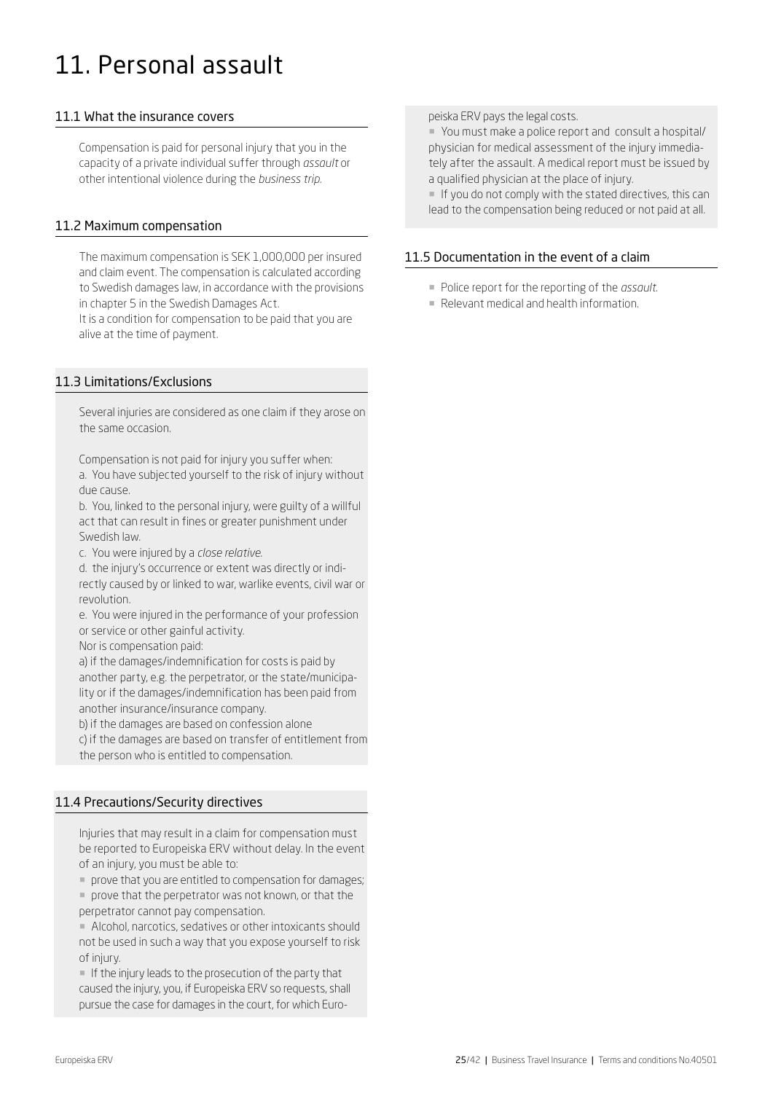# 11. Personal assault

# 11.1 What the insurance covers

Compensation is paid for personal injury that you in the capacity of a private individual suffer through *assault* or other intentional violence during the *business trip.*

# 11.2 Maximum compensation

The maximum compensation is SEK 1,000,000 per insured and claim event. The compensation is calculated according to Swedish damages law, in accordance with the provisions in chapter 5 in the Swedish Damages Act.

It is a condition for compensation to be paid that you are alive at the time of payment.

# 11.3 Limitations/Exclusions

Several injuries are considered as one claim if they arose on the same occasion.

Compensation is not paid for injury you suffer when: a. You have subjected yourself to the risk of injury without due cause.

b. You, linked to the personal injury, were guilty of a willful act that can result in fines or greater punishment under Swedish law.

c. You were injured by a *close relative*.

d. the injury's occurrence or extent was directly or indirectly caused by or linked to war, warlike events, civil war or revolution.

e. You were injured in the performance of your profession or service or other gainful activity.

Nor is compensation paid:

a) if the damages/indemnification for costs is paid by another party, e.g. the perpetrator, or the state/municipality or if the damages/indemnification has been paid from another insurance/insurance company.

b) if the damages are based on confession alone

c) if the damages are based on transfer of entitlement from the person who is entitled to compensation.

# 11.4 Precautions/Security directives

Injuries that may result in a claim for compensation must be reported to Europeiska ERV without delay. In the event of an injury, you must be able to:

¡ prove that you are entitled to compensation for damages;

¡ prove that the perpetrator was not known, or that the perpetrator cannot pay compensation.

¡ Alcohol, narcotics, sedatives or other intoxicants should not be used in such a way that you expose yourself to risk of injury.

**If the injury leads to the prosecution of the party that** caused the injury, you, if Europeiska ERV so requests, shall pursue the case for damages in the court, for which Europeiska ERV pays the legal costs.

¡ You must make a police report and consult a hospital/ physician for medical assessment of the injury immediately after the assault. A medical report must be issued by a qualified physician at the place of injury.

¡ If you do not comply with the stated directives, this can lead to the compensation being reduced or not paid at all.

# 11.5 Documentation in the event of a claim

- ¡ Police report for the reporting of the *assault*.
- Relevant medical and health information.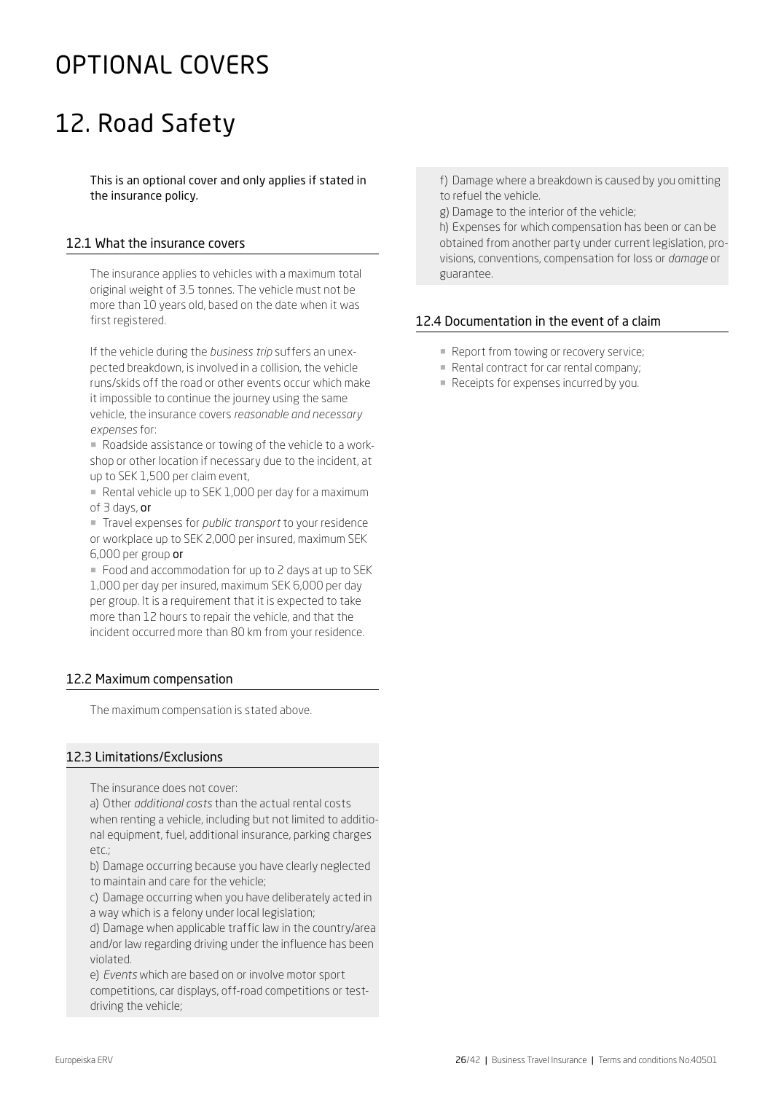# OPTIONAL COVERS

# 12. Road Safety

This is an optional cover and only applies if stated in the insurance policy.

# 12.1 What the insurance covers

The insurance applies to vehicles with a maximum total original weight of 3.5 tonnes. The vehicle must not be more than 10 years old, based on the date when it was first registered.

If the vehicle during the *business trip* suffers an unexpected breakdown, is involved in a collision, the vehicle runs/skids off the road or other events occur which make it impossible to continue the journey using the same vehicle, the insurance covers *reasonable and necessary expenses* for:

¡ Roadside assistance or towing of the vehicle to a workshop or other location if necessary due to the incident, at up to SEK 1,500 per claim event,

■ Rental vehicle up to SEK 1,000 per day for a maximum of 3 days, or

¡ Travel expenses for *public transport* to your residence or workplace up to SEK 2,000 per insured, maximum SEK 6,000 per group or

■ Food and accommodation for up to 2 days at up to SEK 1,000 per day per insured, maximum SEK 6,000 per day per group. It is a requirement that it is expected to take more than 12 hours to repair the vehicle, and that the incident occurred more than 80 km from your residence.

# 12.2 Maximum compensation

The maximum compensation is stated above.

# 12.3 Limitations/Exclusions

The insurance does not cover:

a) Other *additional costs* than the actual rental costs when renting a vehicle, including but not limited to additional equipment, fuel, additional insurance, parking charges  $p \uparrow c$ ;

b) Damage occurring because you have clearly neglected to maintain and care for the vehicle;

c) Damage occurring when you have deliberately acted in a way which is a felony under local legislation;

d) Damage when applicable traffic law in the country/area and/or law regarding driving under the influence has been violated.

e) *Events* which are based on or involve motor sport competitions, car displays, off-road competitions or testdriving the vehicle;

f) Damage where a breakdown is caused by you omitting to refuel the vehicle.

g) Damage to the interior of the vehicle;

h) Expenses for which compensation has been or can be obtained from another party under current legislation, provisions, conventions, compensation for loss or *damage* or guarantee.

# 12.4 Documentation in the event of a claim

- Report from towing or recovery service;
- ¡ Rental contract for car rental company;
- Receipts for expenses incurred by you.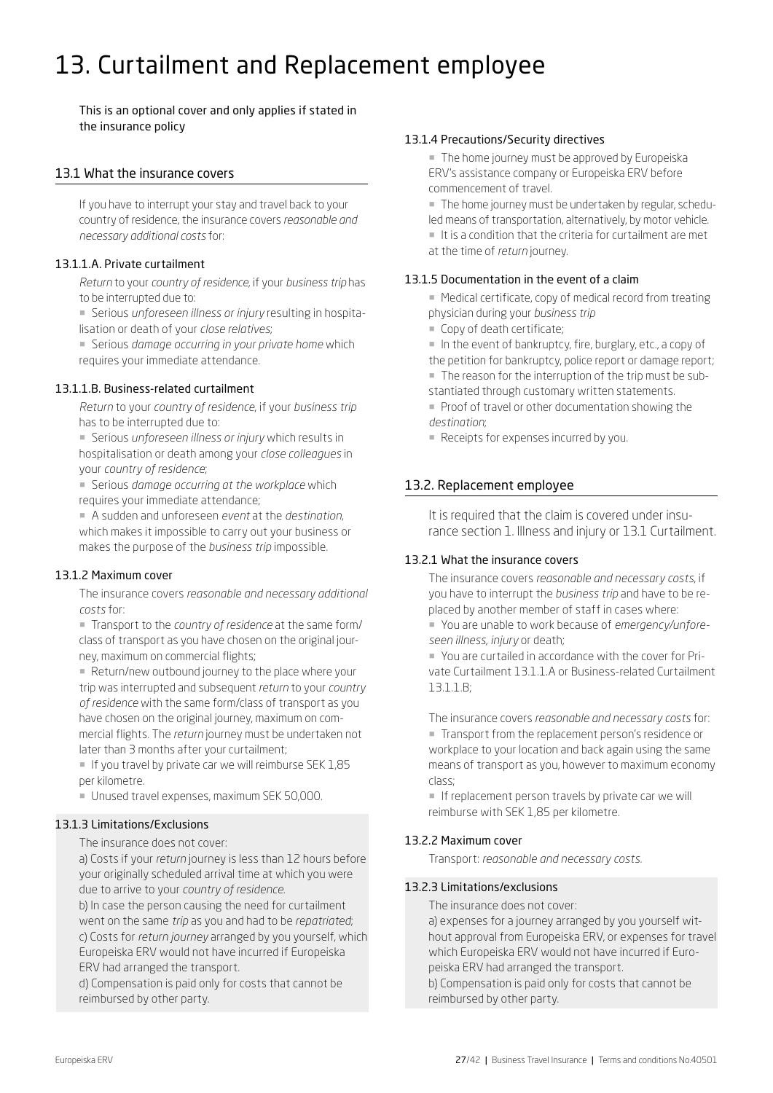# 13. Curtailment and Replacement employee

This is an optional cover and only applies if stated in the insurance policy

# 13.1 What the insurance covers

If you have to interrupt your stay and travel back to your country of residence, the insurance covers *reasonable and necessary additional costs* for:

# 13.1.1.A. Private curtailment

*Return* to your *country of residence*, if your *business trip* has to be interrupted due to:

¡ Serious *unforeseen illness or injury* resulting in hospitalisation or death of your *close relatives*;

¡ Serious *damage occurring in your private home* which requires your immediate attendance.

# 13.1.1.B. Business-related curtailment

*Return* to your *country of residence*, if your *business trip* has to be interrupted due to:

¡ Serious *unforeseen illness or injury* which results in hospitalisation or death among your *close colleagues* in your *country of residence*;

¡ Serious *damage occurring at the workplace* which requires your immediate attendance;

¡ A sudden and unforeseen *event* at the *destination*, which makes it impossible to carry out your business or makes the purpose of the *business trip* impossible.

# 13.1.2 Maximum cover

The insurance covers *reasonable and necessary additional costs* for:

¡ Transport to the *country of residence* at the same form/ class of transport as you have chosen on the original journey, maximum on commercial flights;

■ Return/new outbound journey to the place where your trip was interrupted and subsequent *return* to your *country of residence* with the same form/class of transport as you have chosen on the original journey, maximum on commercial flights. The *return* journey must be undertaken not later than 3 months after your curtailment;

 $\blacksquare$  If you travel by private car we will reimburse SEK 1,85 per kilometre.

¡ Unused travel expenses, maximum SEK 50,000.

# 13.1.3 Limitations/Exclusions

The insurance does not cover:

a) Costs if your *return* journey is less than 12 hours before your originally scheduled arrival time at which you were due to arrive to your *country of residence*.

b) In case the person causing the need for curtailment went on the same *trip* as you and had to be *repatriated*; c) Costs for *return journey* arranged by you yourself, which Europeiska ERV would not have incurred if Europeiska ERV had arranged the transport.

d) Compensation is paid only for costs that cannot be reimbursed by other party.

#### 13.1.4 Precautions/Security directives

**The home journey must be approved by Europeiska** ERV's assistance company or Europeiska ERV before commencement of travel.

¡ The home journey must be undertaken by regular, scheduled means of transportation, alternatively, by motor vehicle.

■ It is a condition that the criteria for curtailment are met at the time of *return* journey.

### 13.1.5 Documentation in the event of a claim

■ Medical certificate, copy of medical record from treating physician during your *business trip*

■ Copy of death certificate:

¡ In the event of bankruptcy, fire, burglary, etc., a copy of the petition for bankruptcy, police report or damage report;

¡ The reason for the interruption of the trip must be sub-

stantiated through customary written statements. ■ Proof of travel or other documentation showing the *destination*;

■ Receipts for expenses incurred by you.

# 13.2. Replacement employee

It is required that the claim is covered under insurance section 1. Illness and injury or 13.1 Curtailment.

# 13.2.1 What the insurance covers

The insurance covers *reasonable and necessary costs*, if you have to interrupt the *business trip* and have to be replaced by another member of staff in cases where:

¡ You are unable to work because of *emergency/unforeseen illness*, *injury* or death;

¡ You are curtailed in accordance with the cover for Private Curtailment 13.1.1.A or Business-related Curtailment 13.1.1.B;

The insurance covers *reasonable and necessary costs* for: ¡ Transport from the replacement person's residence or workplace to your location and back again using the same means of transport as you, however to maximum economy class;

**If replacement person travels by private car we will** reimburse with SEK 1,85 per kilometre.

# 13.2.2 Maximum cover

Transport: *reasonable and necessary costs.* 

# 13.2.3 Limitations/exclusions

The insurance does not cover:

a) expenses for a journey arranged by you yourself without approval from Europeiska ERV, or expenses for travel which Europeiska ERV would not have incurred if Europeiska ERV had arranged the transport.

b) Compensation is paid only for costs that cannot be reimbursed by other party.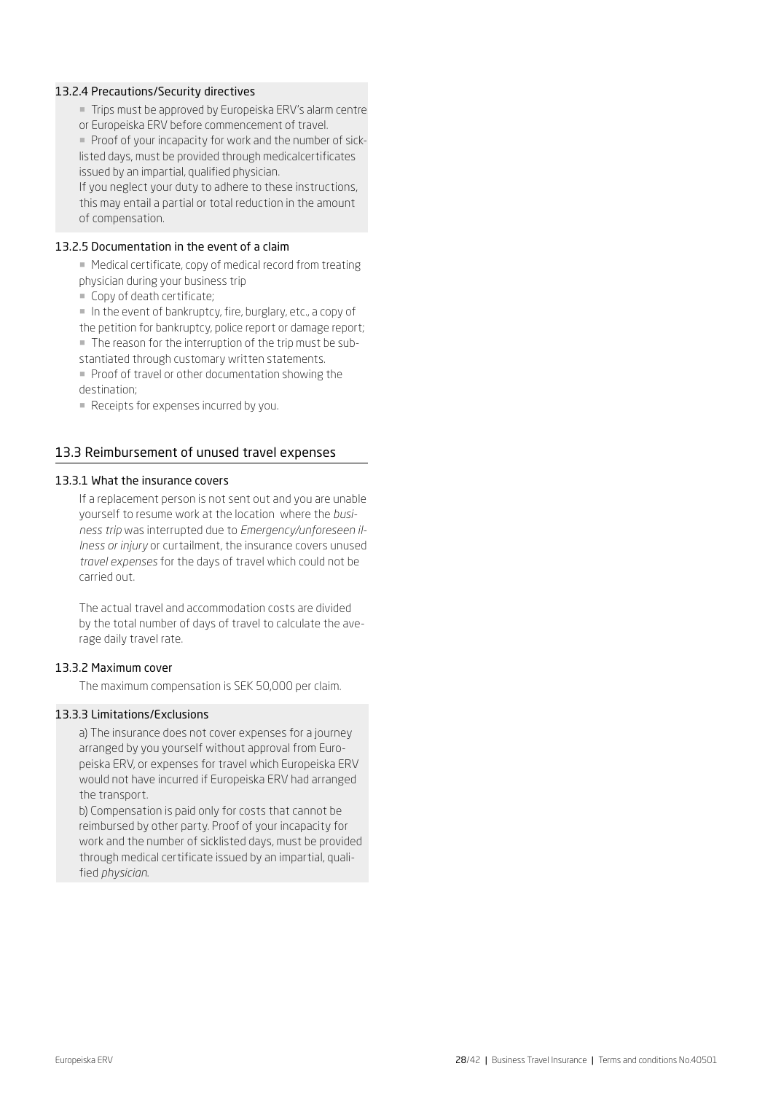#### 13.2.4 Precautions/Security directives

- ¡ Trips must be approved by Europeiska ERV's alarm centre
- or Europeiska ERV before commencement of travel.

**• Proof of your incapacity for work and the number of sick**listed days, must be provided through medicalcertificates issued by an impartial, qualified physician.

If you neglect your duty to adhere to these instructions, this may entail a partial or total reduction in the amount of compensation.

#### 13.2.5 Documentation in the event of a claim

■ Medical certificate, copy of medical record from treating physician during your business trip

**• Copy of death certificate;** 

¡ In the event of bankruptcy, fire, burglary, etc., a copy of the petition for bankruptcy, police report or damage report;

- ¡ The reason for the interruption of the trip must be sub-
- stantiated through customary written statements.

¡ Proof of travel or other documentation showing the destination;

■ Receipts for expenses incurred by you.

# 13.3 Reimbursement of unused travel expenses

# 13.3.1 What the insurance covers

If a replacement person is not sent out and you are unable yourself to resume work at the location where the *business trip* was interrupted due to *Emergency/unforeseen illness or injury* or curtailment, the insurance covers unused *travel expenses* for the days of travel which could not be carried out.

The actual travel and accommodation costs are divided by the total number of days of travel to calculate the average daily travel rate.

#### 13.3.2 Maximum cover

The maximum compensation is SEK 50,000 per claim.

# 13.3.3 Limitations/Exclusions

a) The insurance does not cover expenses for a journey arranged by you yourself without approval from Europeiska ERV, or expenses for travel which Europeiska ERV would not have incurred if Europeiska ERV had arranged the transport.

b) Compensation is paid only for costs that cannot be reimbursed by other party. Proof of your incapacity for work and the number of sicklisted days, must be provided through medical certificate issued by an impartial, qualified *physician*.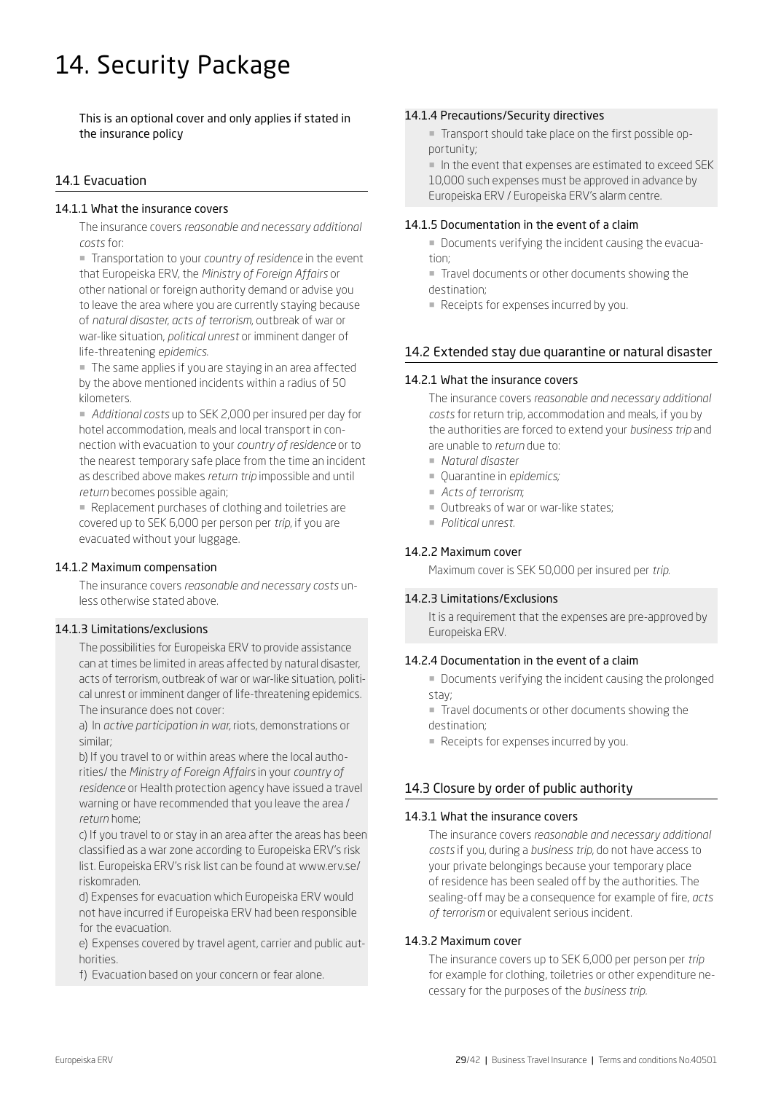# 14. Security Package

This is an optional cover and only applies if stated in the insurance policy

# 14.1 Evacuation

### 14.1.1 What the insurance covers

The insurance covers *reasonable and necessary additional costs* for:

¡ Transportation to your *country of residence* in the event that Europeiska ERV, the *Ministry of Foreign Affairs* or other national or foreign authority demand or advise you to leave the area where you are currently staying because of *natural disaster*, *acts of terrorism*, outbreak of war or war-like situation, *political unrest* or imminent danger of life-threatening *epidemics*.

¡ The same applies if you are staying in an area affected by the above mentioned incidents within a radius of 50 kilometers.

¡ *Additional costs* up to SEK 2,000 per insured per day for hotel accommodation, meals and local transport in connection with evacuation to your *country of residence* or to the nearest temporary safe place from the time an incident as described above makes *return trip* impossible and until *return* becomes possible again;

■ Replacement purchases of clothing and toiletries are covered up to SEK 6,000 per person per *trip*, if you are evacuated without your luggage.

# 14.1.2 Maximum compensation

The insurance covers *reasonable and necessary costs* unless otherwise stated above.

#### 14.1.3 Limitations/exclusions

The possibilities for Europeiska ERV to provide assistance can at times be limited in areas affected by natural disaster, acts of terrorism, outbreak of war or war-like situation, political unrest or imminent danger of life-threatening epidemics. The insurance does not cover:

a) In *active participation in war,* riots, demonstrations or similar;

b) If you travel to or within areas where the local authorities/ the *Ministry of Foreign Affairs* in your *country of residence* or Health protection agency have issued a travel warning or have recommended that you leave the area / *return* home;

c) If you travel to or stay in an area after the areas has been classified as a war zone according to Europeiska ERV's risk list. Europeiska ERV's risk list can be found at www.erv.se/ riskomraden.

d) Expenses for evacuation which Europeiska ERV would not have incurred if Europeiska ERV had been responsible for the evacuation.

e) Expenses covered by travel agent, carrier and public authorities.

f) Evacuation based on your concern or fear alone.

#### 14.1.4 Precautions/Security directives

¡ Transport should take place on the first possible opportunity;

¡ In the event that expenses are estimated to exceed SEK 10,000 such expenses must be approved in advance by Europeiska ERV / Europeiska ERV's alarm centre.

#### 14.1.5 Documentation in the event of a claim

¡ Documents verifying the incident causing the evacuation;

¡ Travel documents or other documents showing the destination;

■ Receipts for expenses incurred by you.

# 14.2 Extended stay due quarantine or natural disaster

#### 14.2.1 What the insurance covers

The insurance covers *reasonable and necessary additional costs* for return trip, accommodation and meals, if you by the authorities are forced to extend your *business trip* and are unable to *return* due to:

- ¡ *Natural disaster*
- ¡ Quarantine in *epidemics;*
- ¡ *Acts of terrorism*;
- Outbreaks of war or war-like states;
- ¡ *Political unrest.*

#### 14.2.2 Maximum cover

Maximum cover is SEK 50,000 per insured per *trip*.

#### 14.2.3 Limitations/Exclusions

It is a requirement that the expenses are pre-approved by Europeiska ERV.

# 14.2.4 Documentation in the event of a claim

¡ Documents verifying the incident causing the prolonged stay;

■ Travel documents or other documents showing the destination;

■ Receipts for expenses incurred by you.

# 14.3 Closure by order of public authority

#### 14.3.1 What the insurance covers

The insurance covers *reasonable and necessary additional costs* if you, during a *business trip*, do not have access to your private belongings because your temporary place of residence has been sealed off by the authorities. The sealing-off may be a consequence for example of fire, *acts of terrorism* or equivalent serious incident.

#### 14.3.2 Maximum cover

The insurance covers up to SEK 6,000 per person per *trip* for example for clothing, toiletries or other expenditure necessary for the purposes of the *business trip.*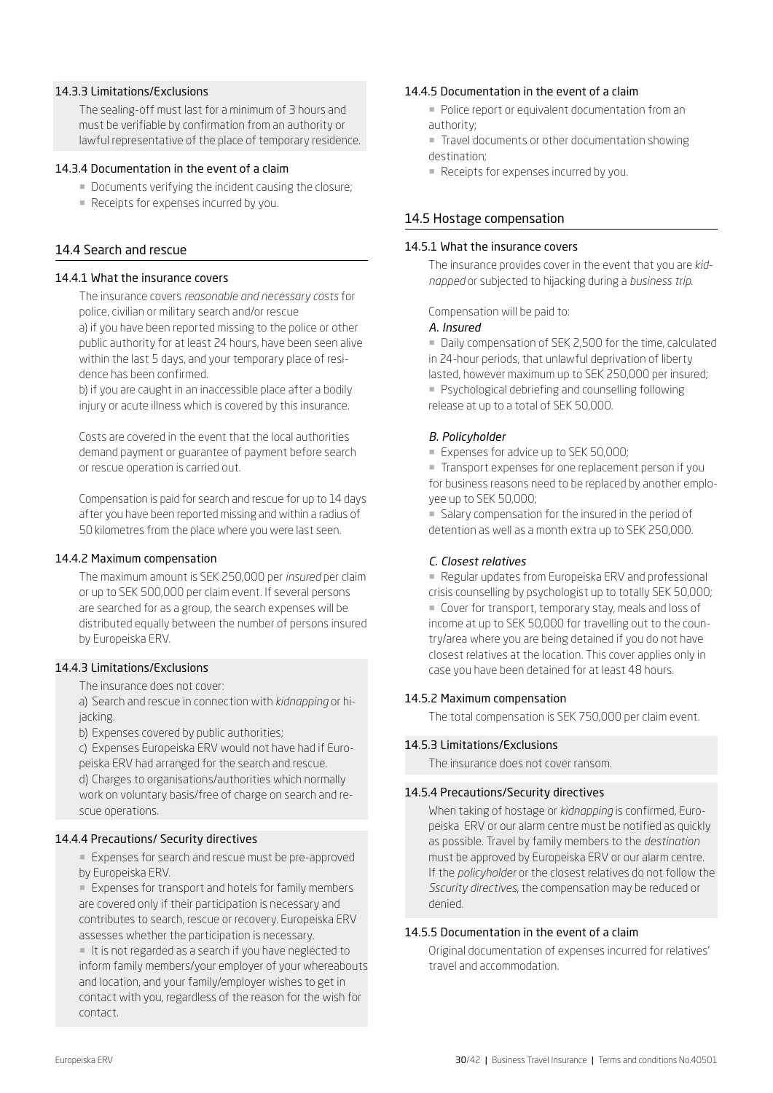#### 14.3.3 Limitations/Exclusions

The sealing-off must last for a minimum of 3 hours and must be verifiable by confirmation from an authority or lawful representative of the place of temporary residence.

#### 14.3.4 Documentation in the event of a claim

- Documents verifying the incident causing the closure;
- Receipts for expenses incurred by you.

#### 14.4 Search and rescue

#### 14.4.1 What the insurance covers

The insurance covers *reasonable and necessary costs* for police, civilian or military search and/or rescue a) if you have been reported missing to the police or other public authority for at least 24 hours, have been seen alive within the last 5 days, and your temporary place of residence has been confirmed.

b) if you are caught in an inaccessible place after a bodily injury or acute illness which is covered by this insurance.

Costs are covered in the event that the local authorities demand payment or guarantee of payment before search or rescue operation is carried out.

Compensation is paid for search and rescue for up to 14 days after you have been reported missing and within a radius of 50 kilometres from the place where you were last seen.

#### 14.4.2 Maximum compensation

The maximum amount is SEK 250,000 per *insured* per claim or up to SEK 500,000 per claim event. If several persons are searched for as a group, the search expenses will be distributed equally between the number of persons insured by Europeiska ERV.

### 14.4.3 Limitations/Exclusions

The insurance does not cover:

a) Search and rescue in connection with *kidnapping* or hijacking.

b) Expenses covered by public authorities;

c) Expenses Europeiska ERV would not have had if Europeiska ERV had arranged for the search and rescue. d) Charges to organisations/authorities which normally work on voluntary basis/free of charge on search and rescue operations.

#### 14.4.4 Precautions/ Security directives

**Expenses for search and rescue must be pre-approved** by Europeiska ERV.

■ Expenses for transport and hotels for family members are covered only if their participation is necessary and contributes to search, rescue or recovery. Europeiska ERV assesses whether the participation is necessary.

■ It is not regarded as a search if you have neglected to inform family members/your employer of your whereabouts and location, and your family/employer wishes to get in contact with you, regardless of the reason for the wish for contact.

#### 14.4.5 Documentation in the event of a claim

- ¡ Police report or equivalent documentation from an authority;
- ¡ Travel documents or other documentation showing destination;
- **Receipts for expenses incurred by you.**

### 14.5 Hostage compensation

#### 14.5.1 What the insurance covers

The insurance provides cover in the event that you are *kidnapped* or subjected to hijacking during a *business trip*.

Compensation will be paid to:

#### *A. Insured*

¡ Daily compensation of SEK 2,500 for the time, calculated in 24-hour periods, that unlawful deprivation of liberty lasted, however maximum up to SEK 250,000 per insured; **• Psychological debriefing and counselling following** release at up to a total of SEK 50,000.

#### *B. Policyholder*

**EXpenses for advice up to SEK 50,000:** 

¡ Transport expenses for one replacement person if you for business reasons need to be replaced by another employee up to SEK 50,000;

¡ Salary compensation for the insured in the period of detention as well as a month extra up to SEK 250,000.

#### *C. Closest relatives*

■ Regular updates from Europeiska ERV and professional crisis counselling by psychologist up to totally SEK 50,000; ¡ Cover for transport, temporary stay, meals and loss of income at up to SEK 50,000 for travelling out to the country/area where you are being detained if you do not have closest relatives at the location. This cover applies only in case you have been detained for at least 48 hours.

#### 14.5.2 Maximum compensation

The total compensation is SEK 750,000 per claim event.

#### 14.5.3 Limitations/Exclusions

The insurance does not cover ransom.

#### 14.5.4 Precautions/Security directives

When taking of hostage or *kidnapping* is confirmed, Europeiska ERV or our alarm centre must be notified as quickly as possible. Travel by family members to the *destination* must be approved by Europeiska ERV or our alarm centre. If the *policyholder* or the closest relatives do not follow the *Sscurity directives*, the compensation may be reduced or denied.

#### 14.5.5 Documentation in the event of a claim

Original documentation of expenses incurred for relatives' travel and accommodation.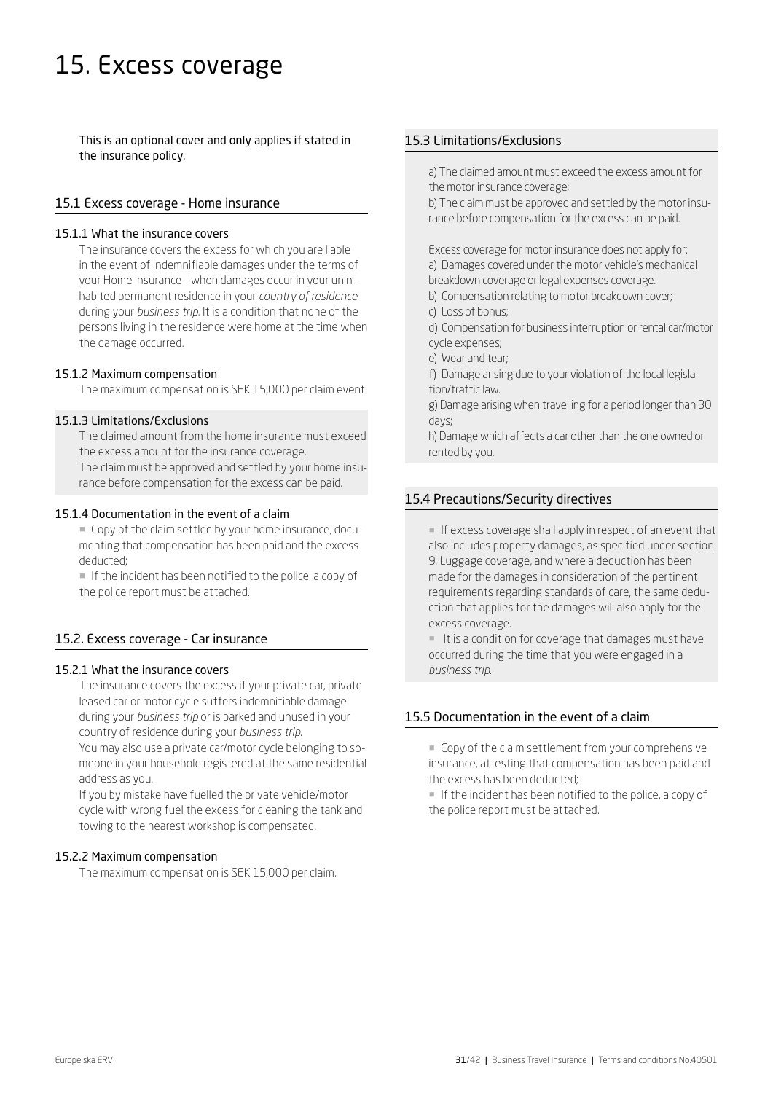# 15. Excess coverage

This is an optional cover and only applies if stated in the insurance policy.

### 15.1 Excess coverage - Home insurance

#### 15.1.1 What the insurance covers

The insurance covers the excess for which you are liable in the event of indemnifiable damages under the terms of your Home insurance – when damages occur in your uninhabited permanent residence in your *country of residence*  during your *business trip*. It is a condition that none of the persons living in the residence were home at the time when the damage occurred.

#### 15.1.2 Maximum compensation

The maximum compensation is SEK 15,000 per claim event.

### 15.1.3 Limitations/Exclusions

The claimed amount from the home insurance must exceed the excess amount for the insurance coverage. The claim must be approved and settled by your home insu-

rance before compensation for the excess can be paid.

#### 15.1.4 Documentation in the event of a claim

¡ Copy of the claim settled by your home insurance, documenting that compensation has been paid and the excess deducted;

¡ If the incident has been notified to the police, a copy of the police report must be attached.

# 15.2. Excess coverage - Car insurance

#### 15.2.1 What the insurance covers

The insurance covers the excess if your private car, private leased car or motor cycle suffers indemnifiable damage during your *business trip* or is parked and unused in your country of residence during your *business trip*. You may also use a private car/motor cycle belonging to someone in your household registered at the same residential address as you.

If you by mistake have fuelled the private vehicle/motor cycle with wrong fuel the excess for cleaning the tank and towing to the nearest workshop is compensated.

#### 15.2.2 Maximum compensation

The maximum compensation is SEK 15,000 per claim.

# 15.3 Limitations/Exclusions

a) The claimed amount must exceed the excess amount for the motor insurance coverage;

b) The claim must be approved and settled by the motor insurance before compensation for the excess can be paid.

Excess coverage for motor insurance does not apply for: a) Damages covered under the motor vehicle's mechanical breakdown coverage or legal expenses coverage.

- b) Compensation relating to motor breakdown cover;
- c) Loss of bonus;
- d) Compensation for business interruption or rental car/motor cycle expenses;
- e) Wear and tear;
- f) Damage arising due to your violation of the local legislation/traffic law.

g) Damage arising when travelling for a period longer than 30 days;

h) Damage which affects a car other than the one owned or rented by you.

#### 15.4 Precautions/Security directives

¡ If excess coverage shall apply in respect of an event that also includes property damages, as specified under section 9. Luggage coverage, and where a deduction has been made for the damages in consideration of the pertinent requirements regarding standards of care, the same deduction that applies for the damages will also apply for the excess coverage.

¡ It is a condition for coverage that damages must have occurred during the time that you were engaged in a *business trip*.

# 15.5 Documentation in the event of a claim

¡ Copy of the claim settlement from your comprehensive insurance, attesting that compensation has been paid and the excess has been deducted;

¡ If the incident has been notified to the police, a copy of the police report must be attached.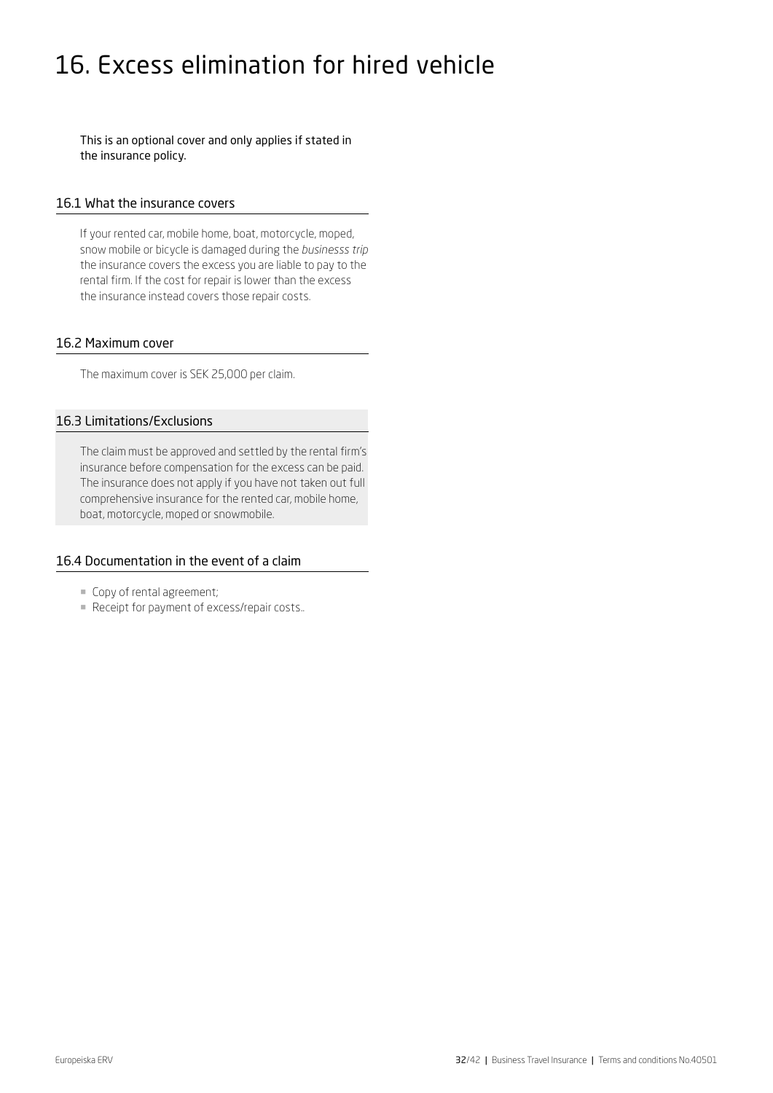# 16. Excess elimination for hired vehicle

This is an optional cover and only applies if stated in the insurance policy.

#### 16.1 What the insurance covers

If your rented car, mobile home, boat, motorcycle, moped, snow mobile or bicycle is damaged during the *businesss trip* the insurance covers the excess you are liable to pay to the rental firm. If the cost for repair is lower than the excess the insurance instead covers those repair costs.

#### 16.2 Maximum cover

The maximum cover is SEK 25,000 per claim.

# 16.3 Limitations/Exclusions

The claim must be approved and settled by the rental firm's insurance before compensation for the excess can be paid. The insurance does not apply if you have not taken out full comprehensive insurance for the rented car, mobile home, boat, motorcycle, moped or snowmobile.

# 16.4 Documentation in the event of a claim

- ¡ Copy of rental agreement;
- ¡ Receipt for payment of excess/repair costs..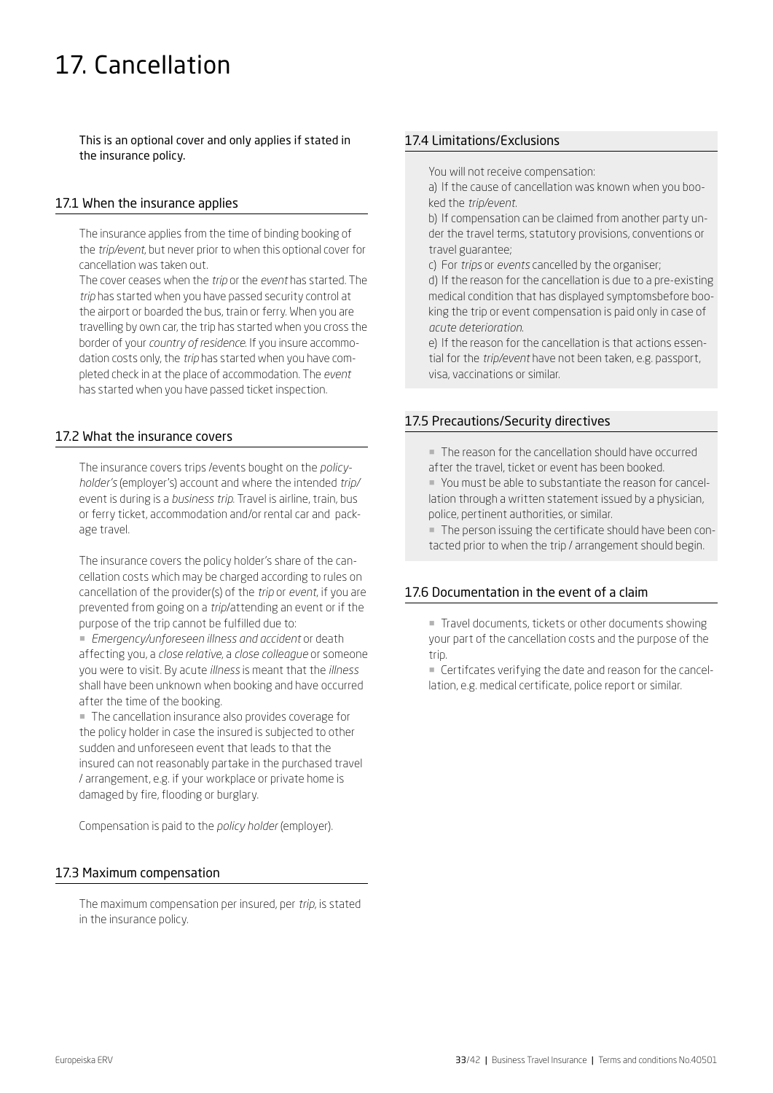# 17. Cancellation

This is an optional cover and only applies if stated in the insurance policy.

### 17.1 When the insurance applies

The insurance applies from the time of binding booking of the *trip/event*, but never prior to when this optional cover for cancellation was taken out.

The cover ceases when the *trip* or the *event* has started. The *trip* has started when you have passed security control at the airport or boarded the bus, train or ferry. When you are travelling by own car, the trip has started when you cross the border of your *country of residence*. If you insure accommodation costs only, the *trip* has started when you have completed check in at the place of accommodation. The *event* has started when you have passed ticket inspection.

# 17.2 What the insurance covers

The insurance covers trips /events bought on the *policyholder's* (employer's) account and where the intended *trip/* event is during is a *business trip*. Travel is airline, train, bus or ferry ticket, accommodation and/or rental car and package travel.

The insurance covers the policy holder's share of the cancellation costs which may be charged according to rules on cancellation of the provider(s) of the *trip* or *event*, if you are prevented from going on a *trip*/attending an event or if the purpose of the trip cannot be fulfilled due to:

¡ *Emergency/unforeseen illness and accident* or death affecting you, a *close relative*, a *close colleague* or someone you were to visit. By acute *illness* is meant that the *illness* shall have been unknown when booking and have occurred after the time of the booking.

¡ The cancellation insurance also provides coverage for the policy holder in case the insured is subjected to other sudden and unforeseen event that leads to that the insured can not reasonably partake in the purchased travel / arrangement, e.g. if your workplace or private home is damaged by fire, flooding or burglary.

Compensation is paid to the *policy holder* (employer).

# 17.3 Maximum compensation

The maximum compensation per insured, per *trip*, is stated in the insurance policy.

# 17.4 Limitations/Exclusions

You will not receive compensation:

a) If the cause of cancellation was known when you booked the *trip/event*.

b) If compensation can be claimed from another party under the travel terms, statutory provisions, conventions or travel guarantee;

c) For *trips* or *events* cancelled by the organiser;

d) If the reason for the cancellation is due to a pre-existing medical condition that has displayed symptomsbefore booking the trip or event compensation is paid only in case of *acute deterioration*.

e) If the reason for the cancellation is that actions essential for the *trip/event* have not been taken, e.g. passport, visa, vaccinations or similar.

#### 17.5 Precautions/Security directives

¡ The reason for the cancellation should have occurred after the travel, ticket or event has been booked.

¡ You must be able to substantiate the reason for cancellation through a written statement issued by a physician, police, pertinent authorities, or similar.

¡ The person issuing the certificate should have been contacted prior to when the trip / arrangement should begin.

# 17.6 Documentation in the event of a claim

■ Travel documents, tickets or other documents showing your part of the cancellation costs and the purpose of the trip.

■ Certifcates verifying the date and reason for the cancellation, e.g. medical certificate, police report or similar.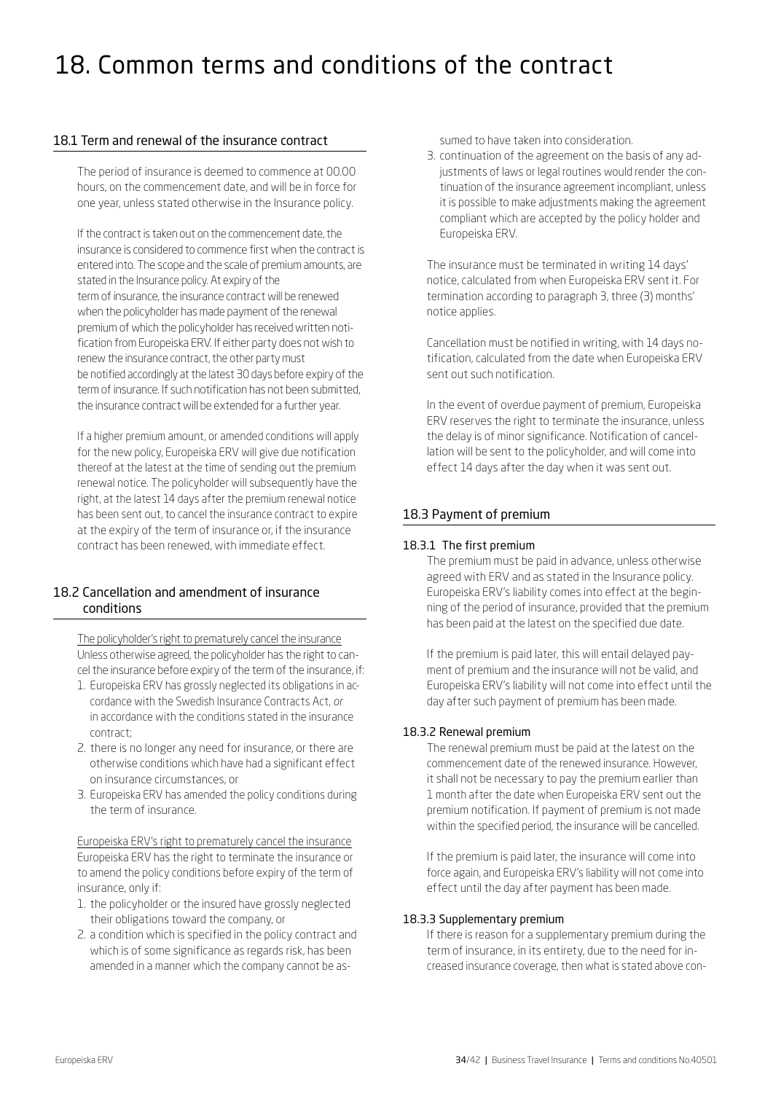# 18. Common terms and conditions of the contract

# 18.1 Term and renewal of the insurance contract

The period of insurance is deemed to commence at 00.00 hours, on the commencement date, and will be in force for one year, unless stated otherwise in the Insurance policy.

If the contract is taken out on the commencement date, the insurance is considered to commence first when the contract is entered into. The scope and the scale of premium amounts, are stated in the Insurance policy. At expiry of the term of insurance, the insurance contract will be renewed when the policyholder has made payment of the renewal premium of which the policyholder has received written notification from Europeiska ERV. If either party does not wish to renew the insurance contract, the other party must be notified accordingly at the latest 30 days before expiry of the term of insurance. If such notification has not been submitted, the insurance contract will be extended for a further year.

If a higher premium amount, or amended conditions will apply for the new policy, Europeiska ERV will give due notification thereof at the latest at the time of sending out the premium renewal notice. The policyholder will subsequently have the right, at the latest 14 days after the premium renewal notice has been sent out, to cancel the insurance contract to expire at the expiry of the term of insurance or, if the insurance contract has been renewed, with immediate effect.

# 18.2 Cancellation and amendment of insurance conditions

The policyholder's right to prematurely cancel the insurance Unless otherwise agreed, the policyholder has the right to cancel the insurance before expiry of the term of the insurance, if:

- 1. Europeiska ERV has grossly neglected its obligations in accordance with the Swedish Insurance Contracts Act, *or* in accordance with the conditions stated in the insurance contract;
- 2. there is no longer any need for insurance, or there are otherwise conditions which have had a significant effect on insurance circumstances, or
- 3. Europeiska ERV has amended the policy conditions during the term of insurance.

Europeiska ERV's right to prematurely cancel the insurance Europeiska ERV has the right to terminate the insurance or to amend the policy conditions before expiry of the term of insurance, only if:

- 1. the policyholder or the insured have grossly neglected their obligations toward the company, or
- 2. a condition which is specified in the policy contract and which is of some significance as regards risk, has been amended in a manner which the company cannot be as-

sumed to have taken into consideration.

3. continuation of the agreement on the basis of any adjustments of laws or legal routines would render the continuation of the insurance agreement incompliant, unless it is possible to make adjustments making the agreement compliant which are accepted by the policy holder and Europeiska ERV.

The insurance must be terminated in writing 14 days' notice, calculated from when Europeiska ERV sent it. For termination according to paragraph 3, three (3) months' notice applies.

Cancellation must be notified in writing, with 14 days notification, calculated from the date when Europeiska ERV sent out such notification.

In the event of overdue payment of premium, Europeiska ERV reserves the right to terminate the insurance, unless the delay is of minor significance. Notification of cancellation will be sent to the policyholder, and will come into effect 14 days after the day when it was sent out.

# 18.3 Payment of premium

# 18.3.1 The first premium

The premium must be paid in advance, unless otherwise agreed with ERV and as stated in the Insurance policy. Europeiska ERV's liability comes into effect at the beginning of the period of insurance, provided that the premium has been paid at the latest on the specified due date.

If the premium is paid later, this will entail delayed payment of premium and the insurance will not be valid, and Europeiska ERV's liability will not come into effect until the day after such payment of premium has been made.

# 18.3.2 Renewal premium

The renewal premium must be paid at the latest on the commencement date of the renewed insurance. However, it shall not be necessary to pay the premium earlier than 1 month after the date when Europeiska ERV sent out the premium notification. If payment of premium is not made within the specified period, the insurance will be cancelled.

If the premium is paid later, the insurance will come into force again, and Europeiska ERV's liability will not come into effect until the day after payment has been made.

# 18.3.3 Supplementary premium

If there is reason for a supplementary premium during the term of insurance, in its entirety, due to the need for increased insurance coverage, then what is stated above con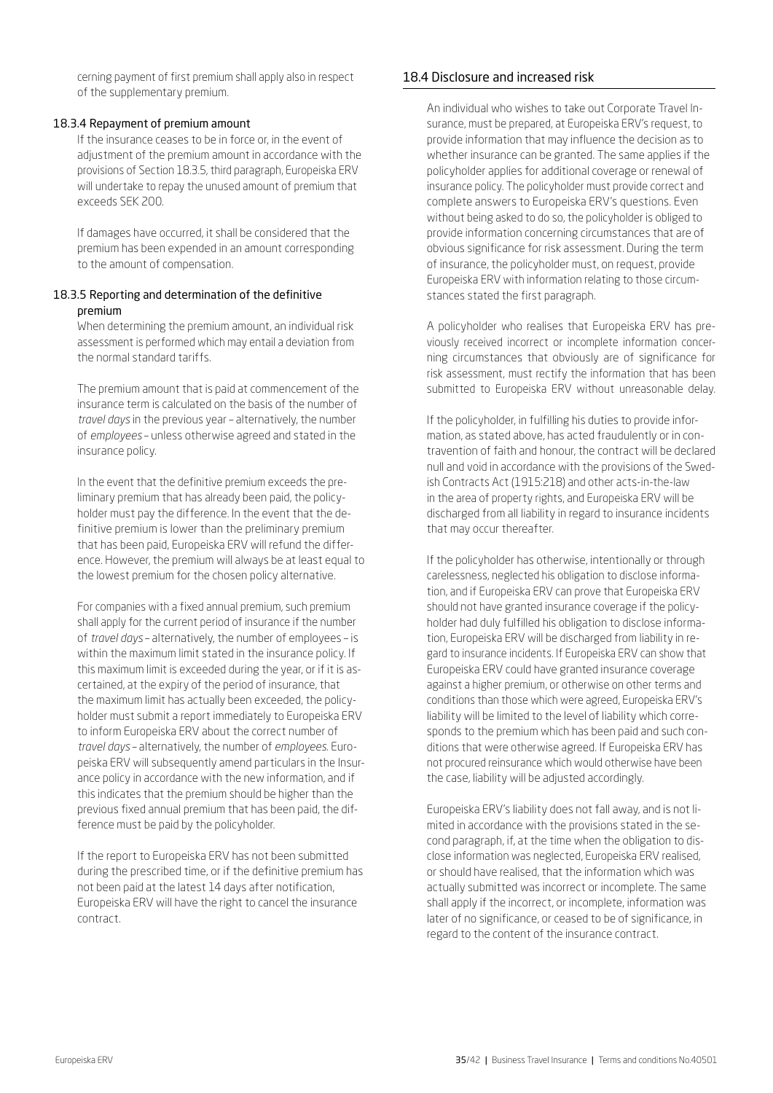cerning payment of first premium shall apply also in respect of the supplementary premium.

#### 18.3.4 Repayment of premium amount

If the insurance ceases to be in force or, in the event of adjustment of the premium amount in accordance with the provisions of Section 18.3.5, third paragraph, Europeiska ERV will undertake to repay the unused amount of premium that exceeds SEK 200.

If damages have occurred, it shall be considered that the premium has been expended in an amount corresponding to the amount of compensation.

### 18.3.5 Reporting and determination of the definitive premium

When determining the premium amount, an individual risk assessment is performed which may entail a deviation from the normal standard tariffs.

The premium amount that is paid at commencement of the insurance term is calculated on the basis of the number of *travel days* in the previous year – alternatively, the number of *employees* – unless otherwise agreed and stated in the insurance policy.

In the event that the definitive premium exceeds the preliminary premium that has already been paid, the policyholder must pay the difference. In the event that the definitive premium is lower than the preliminary premium that has been paid, Europeiska ERV will refund the difference. However, the premium will always be at least equal to the lowest premium for the chosen policy alternative.

For companies with a fixed annual premium, such premium shall apply for the current period of insurance if the number of *travel days* – alternatively, the number of employees – is within the maximum limit stated in the insurance policy. If this maximum limit is exceeded during the year, or if it is ascertained, at the expiry of the period of insurance, that the maximum limit has actually been exceeded, the policyholder must submit a report immediately to Europeiska ERV to inform Europeiska ERV about the correct number of *travel days* – alternatively, the number of *employees*. Europeiska ERV will subsequently amend particulars in the Insurance policy in accordance with the new information, and if this indicates that the premium should be higher than the previous fixed annual premium that has been paid, the difference must be paid by the policyholder.

If the report to Europeiska ERV has not been submitted during the prescribed time, or if the definitive premium has not been paid at the latest 14 days after notification, Europeiska ERV will have the right to cancel the insurance contract.

### 18.4 Disclosure and increased risk

An individual who wishes to take out Corporate Travel Insurance, must be prepared, at Europeiska ERV's request, to provide information that may influence the decision as to whether insurance can be granted. The same applies if the policyholder applies for additional coverage or renewal of insurance policy. The policyholder must provide correct and complete answers to Europeiska ERV's questions. Even without being asked to do so, the policyholder is obliged to provide information concerning circumstances that are of obvious significance for risk assessment. During the term of insurance, the policyholder must, on request, provide Europeiska ERV with information relating to those circumstances stated the first paragraph.

A policyholder who realises that Europeiska ERV has previously received incorrect or incomplete information concerning circumstances that obviously are of significance for risk assessment, must rectify the information that has been submitted to Europeiska ERV without unreasonable delay.

If the policyholder, in fulfilling his duties to provide information, as stated above, has acted fraudulently or in contravention of faith and honour, the contract will be declared null and void in accordance with the provisions of the Swedish Contracts Act (1915:218) and other acts-in-the-law in the area of property rights, and Europeiska ERV will be discharged from all liability in regard to insurance incidents that may occur thereafter.

If the policyholder has otherwise, intentionally or through carelessness, neglected his obligation to disclose information, and if Europeiska ERV can prove that Europeiska ERV should not have granted insurance coverage if the policyholder had duly fulfilled his obligation to disclose information, Europeiska ERV will be discharged from liability in regard to insurance incidents. If Europeiska ERV can show that Europeiska ERV could have granted insurance coverage against a higher premium, or otherwise on other terms and conditions than those which were agreed, Europeiska ERV's liability will be limited to the level of liability which corresponds to the premium which has been paid and such conditions that were otherwise agreed. If Europeiska ERV has not procured reinsurance which would otherwise have been the case, liability will be adjusted accordingly.

Europeiska ERV's liability does not fall away, and is not limited in accordance with the provisions stated in the second paragraph, if, at the time when the obligation to disclose information was neglected, Europeiska ERV realised, or should have realised, that the information which was actually submitted was incorrect or incomplete. The same shall apply if the incorrect, or incomplete, information was later of no significance, or ceased to be of significance, in regard to the content of the insurance contract.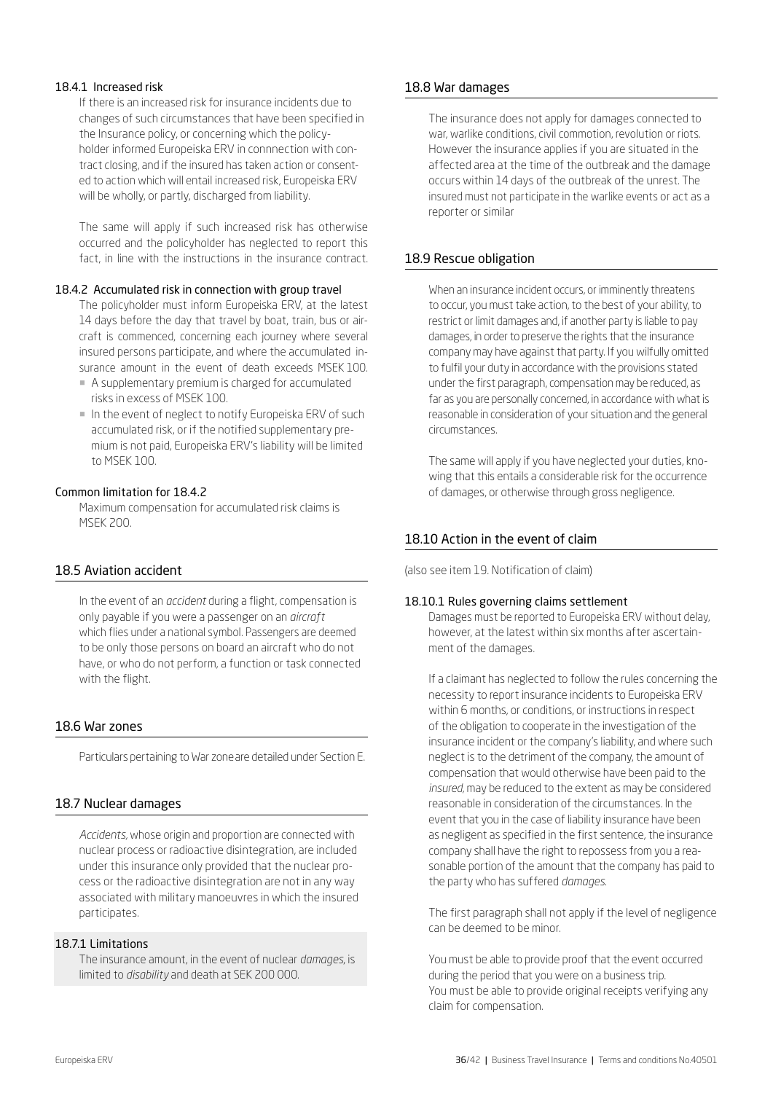#### 18.4.1 Increased risk

If there is an increased risk for insurance incidents due to changes of such circumstances that have been specified in the Insurance policy, or concerning which the policyholder informed Europeiska ERV in connnection with contract closing, and if the insured has taken action or consented to action which will entail increased risk, Europeiska ERV will be wholly, or partly, discharged from liability.

The same will apply if such increased risk has otherwise occurred and the policyholder has neglected to report this fact, in line with the instructions in the insurance contract.

#### 18.4.2 Accumulated risk in connection with group travel

The policyholder must inform Europeiska ERV, at the latest 14 days before the day that travel by boat, train, bus or aircraft is commenced, concerning each journey where several insured persons participate, and where the accumulated insurance amount in the event of death exceeds MSEK 100.

- ¡ A supplementary premium is charged for accumulated risks in excess of MSEK 100.
- ¡ In the event of neglect to notify Europeiska ERV of such accumulated risk, or if the notified supplementary premium is not paid, Europeiska ERV's liability will be limited to MSEK 100.

#### Common limitation for 18.4.2

Maximum compensation for accumulated risk claims is MSEK 200.

# 18.5 Aviation accident

In the event of an *accident* during a flight, compensation is only payable if you were a passenger on an *aircraft* which flies under a national symbol. Passengers are deemed to be only those persons on board an aircraft who do not have, or who do not perform, a function or task connected with the flight.

# 18.6 War zones

Particulars pertaining to War zoneare detailed under Section E.

# 18.7 Nuclear damages

*Accidents,* whose origin and proportion are connected with nuclear process or radioactive disintegration, are included under this insurance only provided that the nuclear process or the radioactive disintegration are not in any way associated with military manoeuvres in which the insured participates.

#### 18.7.1 Limitations

The insurance amount, in the event of nuclear *damages*, is limited to *disability* and death at SEK 200 000.

#### 18.8 War damages

The insurance does not apply for damages connected to war, warlike conditions, civil commotion, revolution or riots. However the insurance applies if you are situated in the affected area at the time of the outbreak and the damage occurs within 14 days of the outbreak of the unrest. The insured must not participate in the warlike events or act as a reporter or similar

# 18.9 Rescue obligation

When an insurance incident occurs, or imminently threatens to occur, you must take action, to the best of your ability, to restrict or limit damages and, if another party is liable to pay damages, in order to preserve the rights that the insurance company may have against that party. If you wilfully omitted to fulfil your duty in accordance with the provisions stated under the first paragraph, compensation may be reduced, as far as you are personally concerned, in accordance with what is reasonable in consideration of your situation and the general circumstances.

The same will apply if you have neglected your duties, knowing that this entails a considerable risk for the occurrence of damages, or otherwise through gross negligence.

# 18.10 Action in the event of claim

(also see item 19. Notification of claim)

#### 18.10.1 Rules governing claims settlement

Damages must be reported to Europeiska ERV without delay, however, at the latest within six months after ascertainment of the damages.

If a claimant has neglected to follow the rules concerning the necessity to report insurance incidents to Europeiska ERV within 6 months, or conditions, or instructions in respect of the obligation to cooperate in the investigation of the insurance incident or the company's liability, and where such neglect is to the detriment of the company, the amount of compensation that would otherwise have been paid to the *insured,* may be reduced to the extent as may be considered reasonable in consideration of the circumstances. In the event that you in the case of liability insurance have been as negligent as specified in the first sentence, the insurance company shall have the right to repossess from you a reasonable portion of the amount that the company has paid to the party who has suffered *damages*.

The first paragraph shall not apply if the level of negligence can be deemed to be minor.

You must be able to provide proof that the event occurred during the period that you were on a business trip. You must be able to provide original receipts verifying any claim for compensation.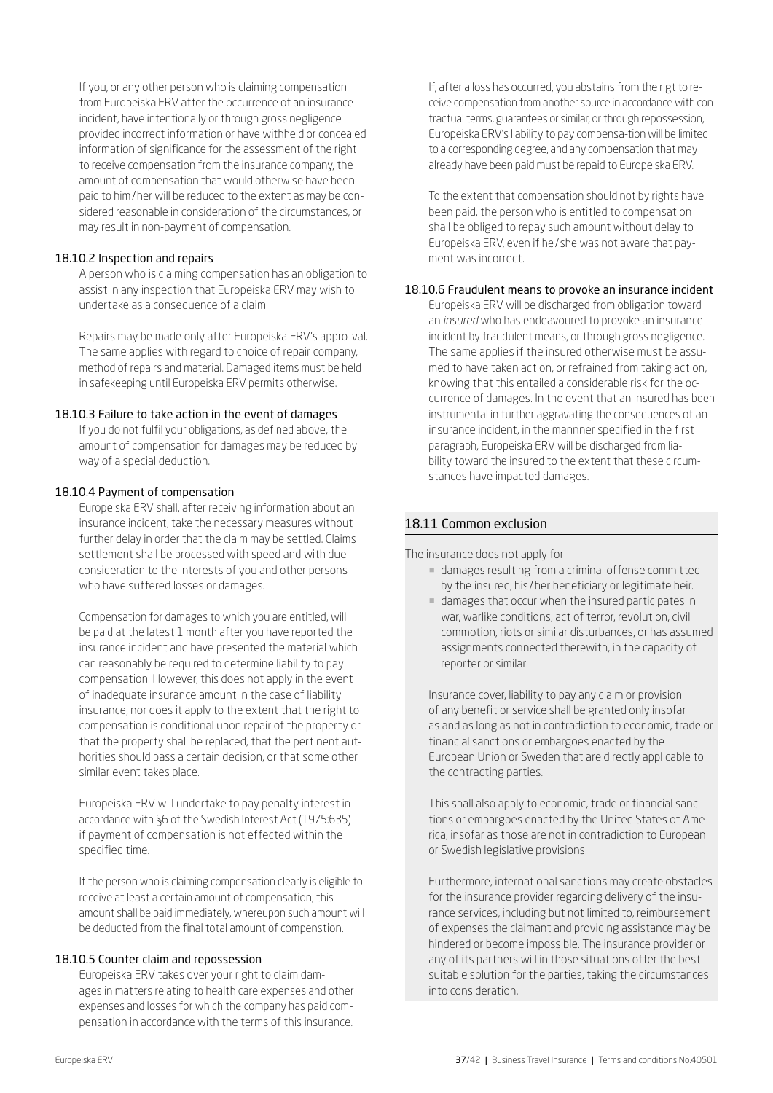If you, or any other person who is claiming compensation from Europeiska ERV after the occurrence of an insurance incident, have intentionally or through gross negligence provided incorrect information or have withheld or concealed information of significance for the assessment of the right to receive compensation from the insurance company, the amount of compensation that would otherwise have been paid to him/her will be reduced to the extent as may be considered reasonable in consideration of the circumstances, or may result in non-payment of compensation.

#### 18.10.2 Inspection and repairs

A person who is claiming compensation has an obligation to assist in any inspection that Europeiska ERV may wish to undertake as a consequence of a claim.

Repairs may be made only after Europeiska ERV's appro-val. The same applies with regard to choice of repair company, method of repairs and material. Damaged items must be held in safekeeping until Europeiska ERV permits otherwise.

#### 18.10.3 Failure to take action in the event of damages

If you do not fulfil your obligations, as defined above, the amount of compensation for damages may be reduced by way of a special deduction.

#### 18.10.4 Payment of compensation

Europeiska ERV shall, after receiving information about an insurance incident, take the necessary measures without further delay in order that the claim may be settled. Claims settlement shall be processed with speed and with due consideration to the interests of you and other persons who have suffered losses or damages.

Compensation for damages to which you are entitled, will be paid at the latest 1 month after you have reported the insurance incident and have presented the material which can reasonably be required to determine liability to pay compensation. However, this does not apply in the event of inadequate insurance amount in the case of liability insurance, nor does it apply to the extent that the right to compensation is conditional upon repair of the property or that the property shall be replaced, that the pertinent authorities should pass a certain decision, or that some other similar event takes place.

Europeiska ERV will undertake to pay penalty interest in accordance with §6 of the Swedish Interest Act (1975:635) if payment of compensation is not effected within the specified time.

If the person who is claiming compensation clearly is eligible to receive at least a certain amount of compensation, this amount shall be paid immediately, whereupon such amount will be deducted from the final total amount of compenstion.

#### 18.10.5 Counter claim and repossession

Europeiska ERV takes over your right to claim damages in matters relating to health care expenses and other expenses and losses for which the company has paid compensation in accordance with the terms of this insurance.

If, after a loss has occurred, you abstains from the rigt to receive compensation from another source in accordance with contractual terms, guarantees or similar, or through repossession, Europeiska ERV's liability to pay compensa-tion will be limited to a corresponding degree, and any compensation that may already have been paid must be repaid to Europeiska ERV.

To the extent that compensation should not by rights have been paid, the person who is entitled to compensation shall be obliged to repay such amount without delay to Europeiska ERV, even if he/ she was not aware that payment was incorrect.

#### 18.10.6 Fraudulent means to provoke an insurance incident

Europeiska ERV will be discharged from obligation toward an *insured* who has endeavoured to provoke an insurance incident by fraudulent means, or through gross negligence. The same applies if the insured otherwise must be assumed to have taken action, or refrained from taking action, knowing that this entailed a considerable risk for the occurrence of damages. In the event that an insured has been instrumental in further aggravating the consequences of an insurance incident, in the mannner specified in the first paragraph, Europeiska ERV will be discharged from liability toward the insured to the extent that these circumstances have impacted damages.

#### 18.11 Common exclusion

The insurance does not apply for:

- ¡ damages resulting from a criminal offense committed by the insured, his /her beneficiary or legitimate heir.
- ¡ damages that occur when the insured participates in war, warlike conditions, act of terror, revolution, civil commotion, riots or similar disturbances, or has assumed assignments connected therewith, in the capacity of reporter or similar.

Insurance cover, liability to pay any claim or provision of any benefit or service shall be granted only insofar as and as long as not in contradiction to economic, trade or financial sanctions or embargoes enacted by the European Union or Sweden that are directly applicable to the contracting parties.

This shall also apply to economic, trade or financial sanctions or embargoes enacted by the United States of America, insofar as those are not in contradiction to European or Swedish legislative provisions.

Furthermore, international sanctions may create obstacles for the insurance provider regarding delivery of the insurance services, including but not limited to, reimbursement of expenses the claimant and providing assistance may be hindered or become impossible. The insurance provider or any of its partners will in those situations offer the best suitable solution for the parties, taking the circumstances into consideration.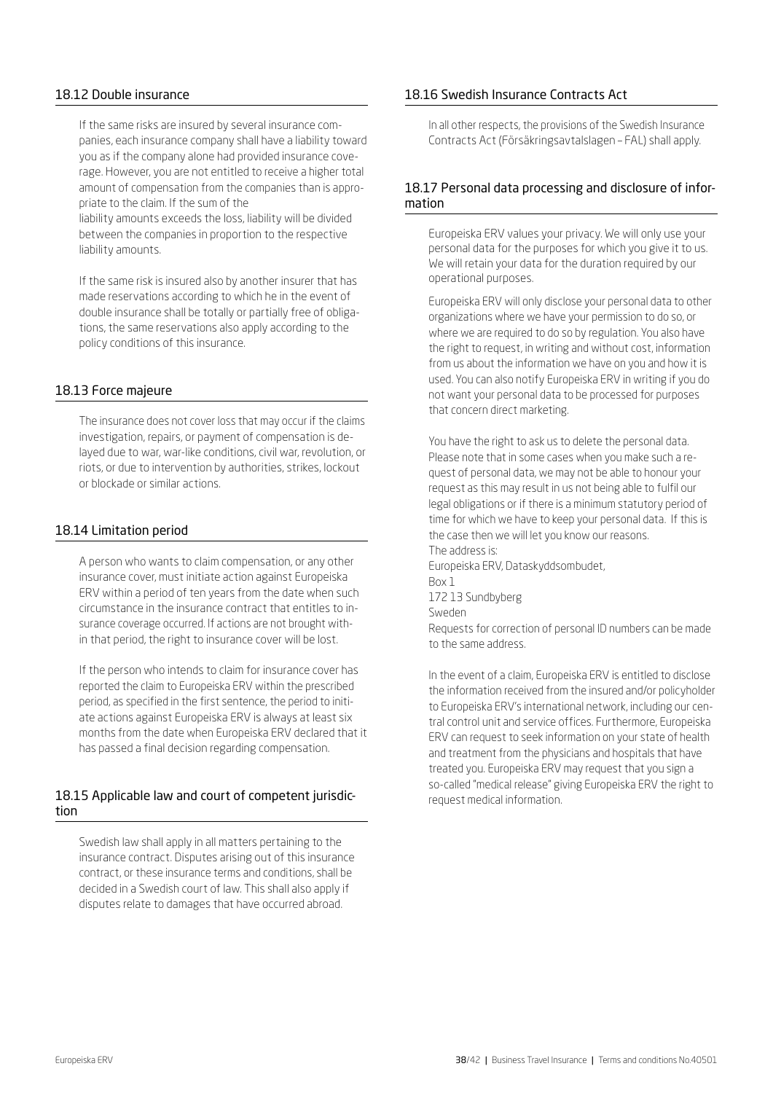# 18.12 Double insurance

If the same risks are insured by several insurance companies, each insurance company shall have a liability toward you as if the company alone had provided insurance coverage. However, you are not entitled to receive a higher total amount of compensation from the companies than is appropriate to the claim. If the sum of the

liability amounts exceeds the loss, liability will be divided between the companies in proportion to the respective liability amounts.

If the same risk is insured also by another insurer that has made reservations according to which he in the event of double insurance shall be totally or partially free of obligations, the same reservations also apply according to the policy conditions of this insurance.

# 18.13 Force majeure

The insurance does not cover loss that may occur if the claims investigation, repairs, or payment of compensation is delayed due to war, war-like conditions, civil war, revolution, or riots, or due to intervention by authorities, strikes, lockout or blockade or similar actions.

#### 18.14 Limitation period

A person who wants to claim compensation, or any other insurance cover, must initiate action against Europeiska ERV within a period of ten years from the date when such circumstance in the insurance contract that entitles to insurance coverage occurred. If actions are not brought within that period, the right to insurance cover will be lost.

If the person who intends to claim for insurance cover has reported the claim to Europeiska ERV within the prescribed period, as specified in the first sentence, the period to initiate actions against Europeiska ERV is always at least six months from the date when Europeiska ERV declared that it has passed a final decision regarding compensation.

#### 18.15 Applicable law and court of competent jurisdiction

Swedish law shall apply in all matters pertaining to the insurance contract. Disputes arising out of this insurance contract, or these insurance terms and conditions, shall be decided in a Swedish court of law. This shall also apply if disputes relate to damages that have occurred abroad.

### 18.16 Swedish Insurance Contracts Act

In all other respects, the provisions of the Swedish Insurance Contracts Act (Försäkringsavtalslagen – FAL) shall apply.

# 18.17 Personal data processing and disclosure of information

Europeiska ERV values your privacy. We will only use your personal data for the purposes for which you give it to us. We will retain your data for the duration required by our operational purposes.

Europeiska ERV will only disclose your personal data to other organizations where we have your permission to do so, or where we are required to do so by regulation. You also have the right to request, in writing and without cost, information from us about the information we have on you and how it is used. You can also notify Europeiska ERV in writing if you do not want your personal data to be processed for purposes that concern direct marketing.

You have the right to ask us to delete the personal data. Please note that in some cases when you make such a request of personal data, we may not be able to honour your request as this may result in us not being able to fulfil our legal obligations or if there is a minimum statutory period of time for which we have to keep your personal data. If this is the case then we will let you know our reasons. The address is: Europeiska ERV, Dataskyddsombudet, Box 1

172 13 Sundbyberg

Sweden

Requests for correction of personal ID numbers can be made to the same address.

In the event of a claim, Europeiska ERV is entitled to disclose the information received from the insured and/or policyholder to Europeiska ERV's international network, including our central control unit and service offices. Furthermore, Europeiska ERV can request to seek information on your state of health and treatment from the physicians and hospitals that have treated you. Europeiska ERV may request that you sign a so-called "medical release" giving Europeiska ERV the right to request medical information.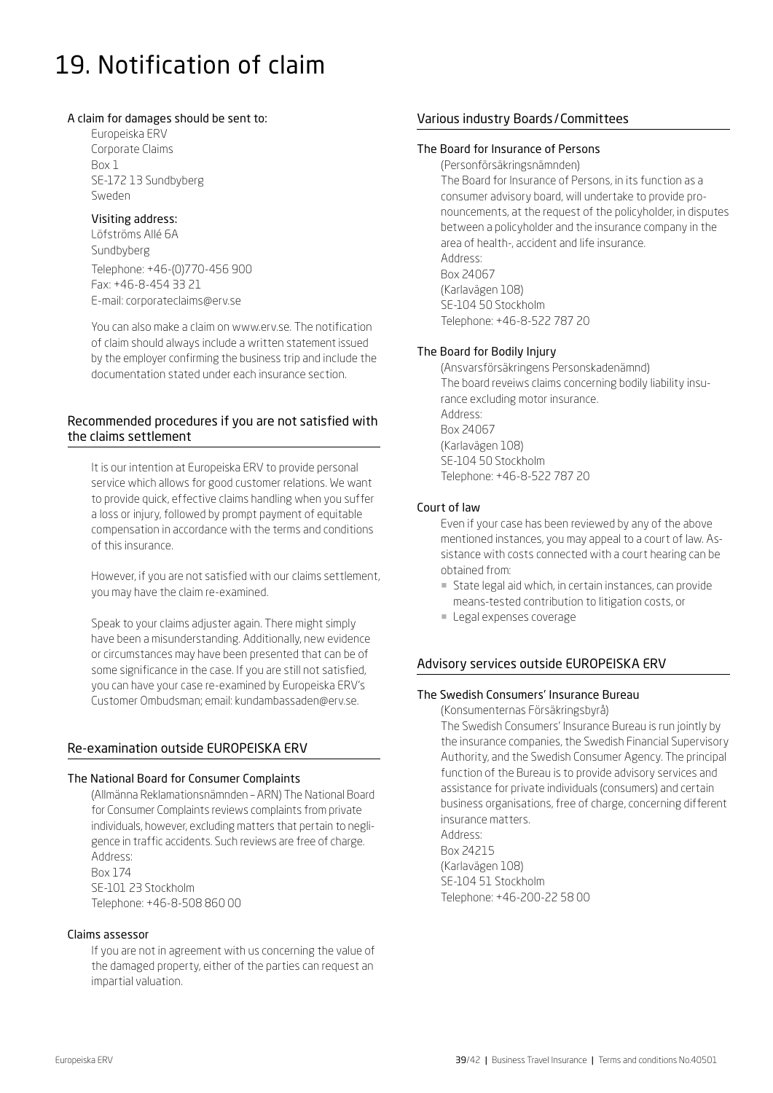# 19. Notification of claim

#### A claim for damages should be sent to:

Europeiska ERV Corporate Claims Box 1 SE-172 13 Sundbyberg Sweden

#### Visiting address:

Löfströms Allé 6A Sundbyberg Telephone: +46-(0)770-456 900 Fax: +46-8-454 33 21 E-mail: [corporateclaims@erv.se](mailto:corporateclaims%40erv.se?subject=)

You can also make a claim on [www.erv.se](https://www.erv.se/foretag/anmal-skada-foretag/). The notification of claim should always include a written statement issued by the employer confirming the business trip and include the documentation stated under each insurance section.

# Recommended procedures if you are not satisfied with the claims settlement

It is our intention at Europeiska ERV to provide personal service which allows for good customer relations. We want to provide quick, effective claims handling when you suffer a loss or injury, followed by prompt payment of equitable compensation in accordance with the terms and conditions of this insurance.

However, if you are not satisfied with our claims settlement, you may have the claim re-examined.

Speak to your claims adjuster again. There might simply have been a misunderstanding. Additionally, new evidence or circumstances may have been presented that can be of some significance in the case. If you are still not satisfied, you can have your case re-examined by Europeiska ERV's Customer Ombudsman; email: kundambassaden@erv.se.

# Re-examination outside EUROPEISKA ERV

# The National Board for Consumer Complaints

(Allmänna Reklamationsnämnden – ARN) The National Board for Consumer Complaints reviews complaints from private individuals, however, excluding matters that pertain to negligence in traffic accidents. Such reviews are free of charge. Address: Box 174 SE-101 23 Stockholm Telephone: +46-8-508 860 00

#### Claims assessor

If you are not in agreement with us concerning the value of the damaged property, either of the parties can request an impartial valuation.

# Various industry Boards/Committees

#### The Board for Insurance of Persons

(Personförsäkringsnämnden) The Board for Insurance of Persons, in its function as a consumer advisory board, will undertake to provide pronouncements, at the request of the policyholder, in disputes between a policyholder and the insurance company in the area of health-, accident and life insurance. Address: Box 24067 (Karlavägen 108) SE-104 50 Stockholm

Telephone: +46-8-522 787 20

# The Board for Bodily Injury

(Ansvarsförsäkringens Personskadenämnd) The board reveiws claims concerning bodily liability insurance excluding motor insurance. Address: Box 24067 (Karlavägen 108) SE-104 50 Stockholm Telephone: +46-8-522 787 20

#### Court of law

Even if your case has been reviewed by any of the above mentioned instances, you may appeal to a court of law. Assistance with costs connected with a court hearing can be obtained from:

- ¡ State legal aid which, in certain instances, can provide means-tested contribution to litigation costs, or
- **Legal expenses coverage**

# Advisory services outside EUROPEISKA ERV

# The Swedish Consumers' Insurance Bureau

(Konsumenternas Försäkringsbyrå)

The Swedish Consumers' Insurance Bureau is run jointly by the insurance companies, the Swedish Financial Supervisory Authority, and the Swedish Consumer Agency. The principal function of the Bureau is to provide advisory services and assistance for private individuals (consumers) and certain business organisations, free of charge, concerning different insurance matters. Address: Box 24215

(Karlavägen 108) SE-104 51 Stockholm Telephone: +46-200-22 58 00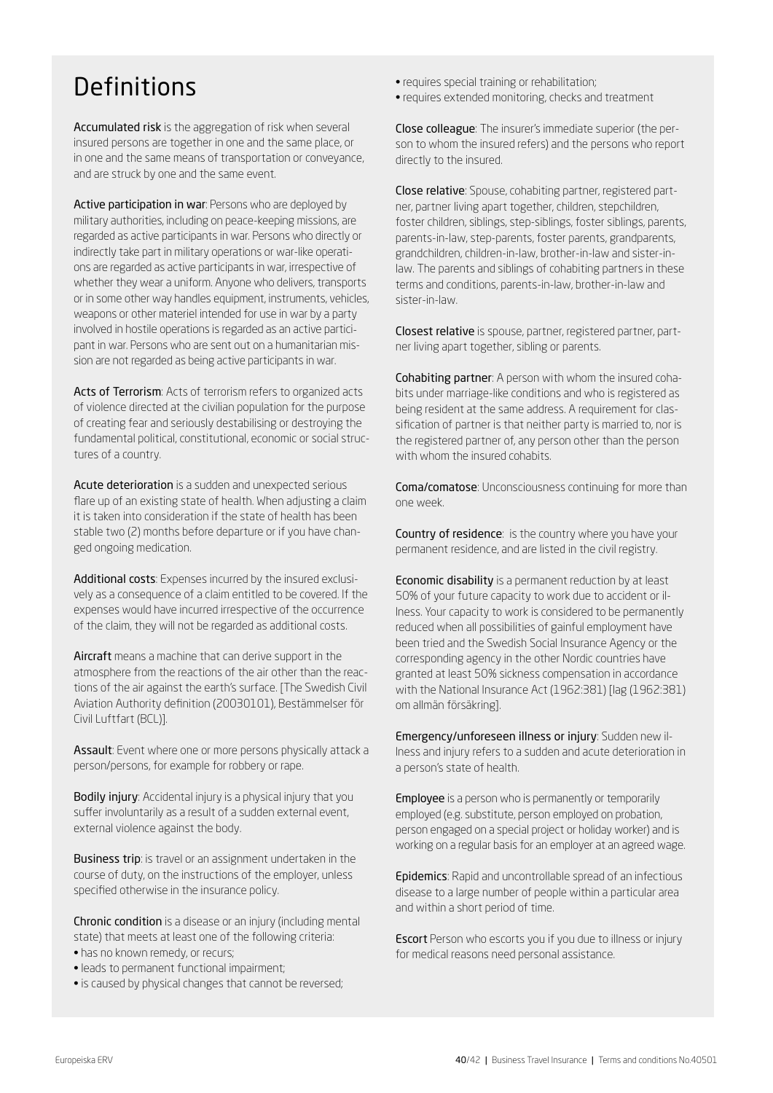# Definitions

Accumulated risk is the aggregation of risk when several insured persons are together in one and the same place, or in one and the same means of transportation or conveyance, and are struck by one and the same event.

Active participation in war: Persons who are deployed by military authorities, including on peace-keeping missions, are regarded as active participants in war. Persons who directly or indirectly take part in military operations or war-like operations are regarded as active participants in war, irrespective of whether they wear a uniform. Anyone who delivers, transports or in some other way handles equipment, instruments, vehicles, weapons or other materiel intended for use in war by a party involved in hostile operations is regarded as an active participant in war. Persons who are sent out on a humanitarian mission are not regarded as being active participants in war.

Acts of Terrorism: Acts of terrorism refers to organized acts of violence directed at the civilian population for the purpose of creating fear and seriously destabilising or destroying the fundamental political, constitutional, economic or social structures of a country.

Acute deterioration is a sudden and unexpected serious flare up of an existing state of health. When adjusting a claim it is taken into consideration if the state of health has been stable two (2) months before departure or if you have changed ongoing medication.

Additional costs: Expenses incurred by the insured exclusively as a consequence of a claim entitled to be covered. If the expenses would have incurred irrespective of the occurrence of the claim, they will not be regarded as additional costs.

Aircraft means a machine that can derive support in the atmosphere from the reactions of the air other than the reactions of the air against the earth's surface. [The Swedish Civil Aviation Authority definition (20030101), Bestämmelser för Civil Luftfart (BCL)].

Assault: Event where one or more persons physically attack a person/persons, for example for robbery or rape.

Bodily injury: Accidental injury is a physical injury that you suffer involuntarily as a result of a sudden external event, external violence against the body.

Business trip: is travel or an assignment undertaken in the course of duty, on the instructions of the employer, unless specified otherwise in the insurance policy.

Chronic condition is a disease or an injury (including mental state) that meets at least one of the following criteria:

- has no known remedy, or recurs;
- leads to permanent functional impairment;
- is caused by physical changes that cannot be reversed;
- requires special training or rehabilitation;
- requires extended monitoring, checks and treatment

Close colleague: The insurer's immediate superior (the person to whom the insured refers) and the persons who report directly to the insured.

Close relative: Spouse, cohabiting partner, registered partner, partner living apart together, children, stepchildren, foster children, siblings, step-siblings, foster siblings, parents, parents-in-law, step-parents, foster parents, grandparents, grandchildren, children-in-law, brother-in-law and sister-inlaw. The parents and siblings of cohabiting partners in these terms and conditions, parents-in-law, brother-in-law and sister-in-law.

Closest relative is spouse, partner, registered partner, partner living apart together, sibling or parents.

Cohabiting partner: A person with whom the insured cohabits under marriage-like conditions and who is registered as being resident at the same address. A requirement for classification of partner is that neither party is married to, nor is the registered partner of, any person other than the person with whom the insured cohabits.

Coma/comatose: Unconsciousness continuing for more than one week.

Country of residence: is the country where you have your permanent residence, and are listed in the civil registry.

Economic disability is a permanent reduction by at least 50% of your future capacity to work due to accident or illness. Your capacity to work is considered to be permanently reduced when all possibilities of gainful employment have been tried and the Swedish Social Insurance Agency or the corresponding agency in the other Nordic countries have granted at least 50% sickness compensation in accordance with the National Insurance Act (1962:381) [lag (1962:381) om allmän försäkring].

Emergency/unforeseen illness or injury: Sudden new illness and injury refers to a sudden and acute deterioration in a person's state of health.

Employee is a person who is permanently or temporarily employed (e.g. substitute, person employed on probation, person engaged on a special project or holiday worker) and is working on a regular basis for an employer at an agreed wage.

Epidemics: Rapid and uncontrollable spread of an infectious disease to a large number of people within a particular area and within a short period of time.

Escort Person who escorts you if you due to illness or injury for medical reasons need personal assistance.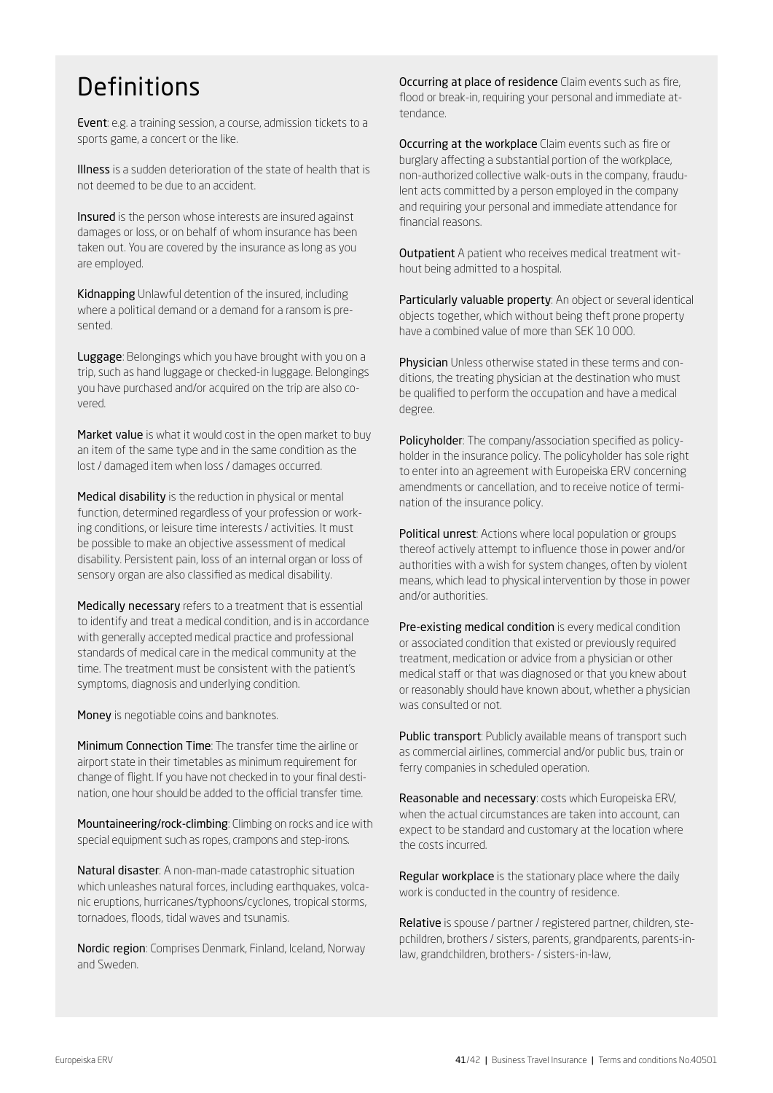# Definitions

Event: e.g. a training session, a course, admission tickets to a sports game, a concert or the like.

Illness is a sudden deterioration of the state of health that is not deemed to be due to an accident.

Insured is the person whose interests are insured against damages or loss, or on behalf of whom insurance has been taken out. You are covered by the insurance as long as you are employed.

Kidnapping Unlawful detention of the insured, including where a political demand or a demand for a ransom is presented.

Luggage: Belongings which you have brought with you on a trip, such as hand luggage or checked-in luggage. Belongings you have purchased and/or acquired on the trip are also covered.

Market value is what it would cost in the open market to buy an item of the same type and in the same condition as the lost / damaged item when loss / damages occurred.

Medical disability is the reduction in physical or mental function, determined regardless of your profession or working conditions, or leisure time interests / activities. It must be possible to make an objective assessment of medical disability. Persistent pain, loss of an internal organ or loss of sensory organ are also classified as medical disability.

Medically necessary refers to a treatment that is essential to identify and treat a medical condition, and is in accordance with generally accepted medical practice and professional standards of medical care in the medical community at the time. The treatment must be consistent with the patient's symptoms, diagnosis and underlying condition.

Money is negotiable coins and banknotes.

Minimum Connection Time: The transfer time the airline or airport state in their timetables as minimum requirement for change of flight. If you have not checked in to your final destination, one hour should be added to the official transfer time.

Mountaineering/rock-climbing: Climbing on rocks and ice with special equipment such as ropes, crampons and step-irons.

Natural disaster: A non-man-made catastrophic situation which unleashes natural forces, including earthquakes, volcanic eruptions, hurricanes/typhoons/cyclones, tropical storms, tornadoes, floods, tidal waves and tsunamis.

Nordic region: Comprises Denmark, Finland, Iceland, Norway and Sweden.

Occurring at place of residence Claim events such as fire, flood or break-in, requiring your personal and immediate attendance.

Occurring at the workplace Claim events such as fire or burglary affecting a substantial portion of the workplace, non-authorized collective walk-outs in the company, fraudulent acts committed by a person employed in the company and requiring your personal and immediate attendance for financial reasons.

Outpatient A patient who receives medical treatment without being admitted to a hospital.

Particularly valuable property: An object or several identical objects together, which without being theft prone property have a combined value of more than SEK 10 000.

Physician Unless otherwise stated in these terms and conditions, the treating physician at the destination who must be qualified to perform the occupation and have a medical degree.

Policyholder: The company/association specified as policyholder in the insurance policy. The policyholder has sole right to enter into an agreement with Europeiska ERV concerning amendments or cancellation, and to receive notice of termination of the insurance policy.

Political unrest: Actions where local population or groups thereof actively attempt to influence those in power and/or authorities with a wish for system changes, often by violent means, which lead to physical intervention by those in power and/or authorities.

Pre-existing medical condition is every medical condition or associated condition that existed or previously required treatment, medication or advice from a physician or other medical staff or that was diagnosed or that you knew about or reasonably should have known about, whether a physician was consulted or not.

Public transport: Publicly available means of transport such as commercial airlines, commercial and/or public bus, train or ferry companies in scheduled operation.

Reasonable and necessary: costs which Europeiska ERV, when the actual circumstances are taken into account, can expect to be standard and customary at the location where the costs incurred.

Regular workplace is the stationary place where the daily work is conducted in the country of residence.

Relative is spouse / partner / registered partner, children, stepchildren, brothers / sisters, parents, grandparents, parents-inlaw, grandchildren, brothers- / sisters-in-law,